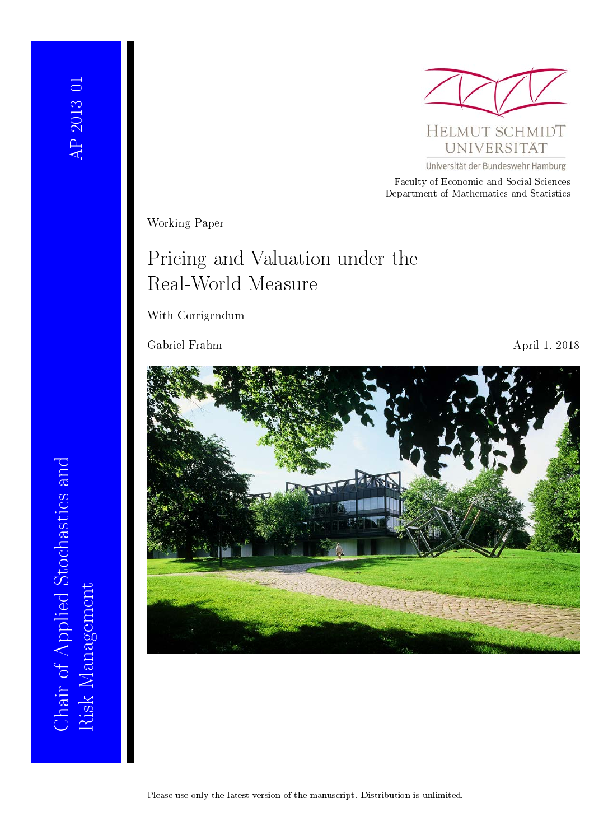Chair of Applied Stochastics and

Risk Management

Chair of Applied Stochastics and



Universität der Bundeswehr Hamburg

Faculty of Economic and Social Sciences Department of Mathematics and Statistics

Working Paper

## Pricing and Valuation under the Real-World Measure

With Corrigendum

Gabriel Frahm April 1, 2018

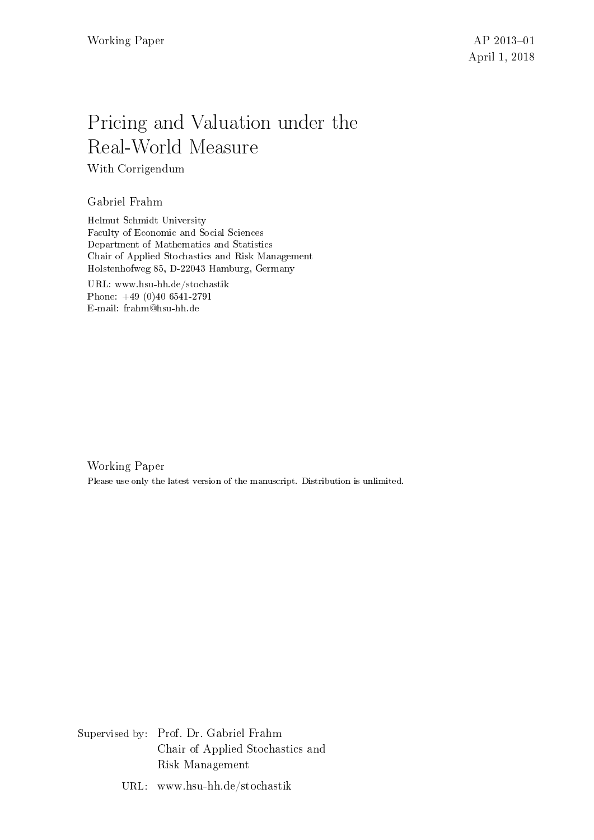# Pricing and Valuation under the Real-World Measure

With Corrigendum

Gabriel Frahm

Helmut Schmidt University Faculty of Economic and Social Sciences Department of Mathematics and Statistics Chair of Applied Stochastics and Risk Management Holstenhofweg 85, D-22043 Hamburg, Germany

URL: www.hsu-hh.de/stochastik Phone: +49 (0)40 6541-2791 E-mail: frahm@hsu-hh.de

Working Paper Please use only the latest version of the manuscript. Distribution is unlimited.

Supervised by: Prof. Dr. Gabriel Frahm Chair of Applied Stochastics and Risk Management

URL: www.hsu-hh.de/stochastik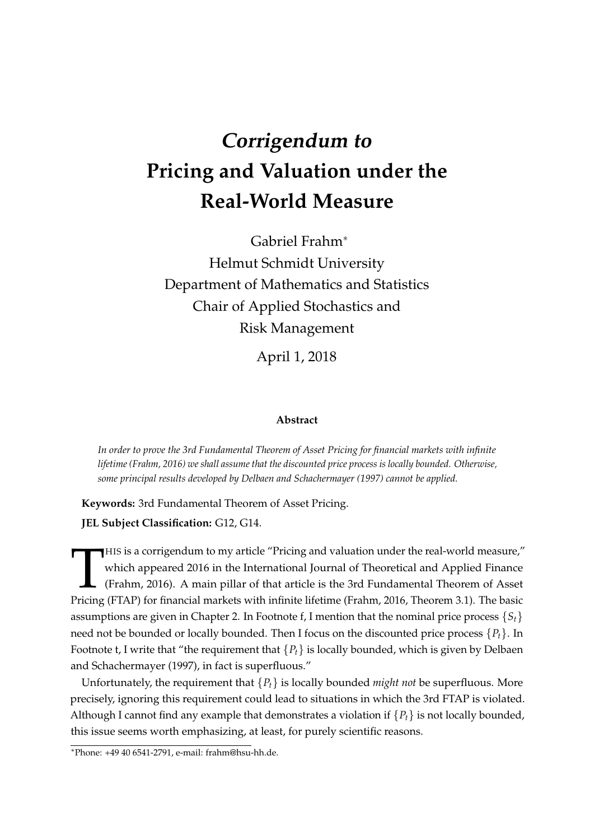# **Corrigendum to Pricing and Valuation under the Real-World Measure**

Gabriel Frahm<sup>∗</sup> Helmut Schmidt University Department of Mathematics and Statistics Chair of Applied Stochastics and Risk Management

April 1, 2018

#### **Abstract**

*In order to prove the 3rd Fundamental Theorem of Asset Pricing for financial markets with infinite lifetime (Frahm, 2016) we shall assume that the discounted price process is locally bounded. Otherwise, some principal results developed by Delbaen and Schachermayer (1997) cannot be applied.*

**Keywords:** 3rd Fundamental Theorem of Asset Pricing.

**JEL Subject Classification:** G12, G14.

THIS is a corrigendum to my article "Pricing and valuation under the real-world measure,"<br>which appeared 2016 in the International Journal of Theoretical and Applied Finance<br>(Frahm, 2016). A main pillar of that article is HIS is a corrigendum to my article "Pricing and valuation under the real-world measure," which appeared 2016 in the International Journal of Theoretical and Applied Finance (Frahm, 2016). A main pillar of that article is the 3rd Fundamental Theorem of Asset assumptions are given in Chapter 2. In Footnote f, I mention that the nominal price process  $\{S_t\}$ need not be bounded or locally bounded. Then I focus on the discounted price process {*Pt*}. In Footnote t, I write that "the requirement that  ${P_t}$  is locally bounded, which is given by Delbaen and Schachermayer (1997), in fact is superfluous."

Unfortunately, the requirement that  ${P_t}$  is locally bounded *might not* be superfluous. More precisely, ignoring this requirement could lead to situations in which the 3rd FTAP is violated. Although I cannot find any example that demonstrates a violation if  ${P_t}$  is not locally bounded, this issue seems worth emphasizing, at least, for purely scientific reasons.

<sup>∗</sup>Phone: +49 40 6541-2791, e-mail: frahm@hsu-hh.de.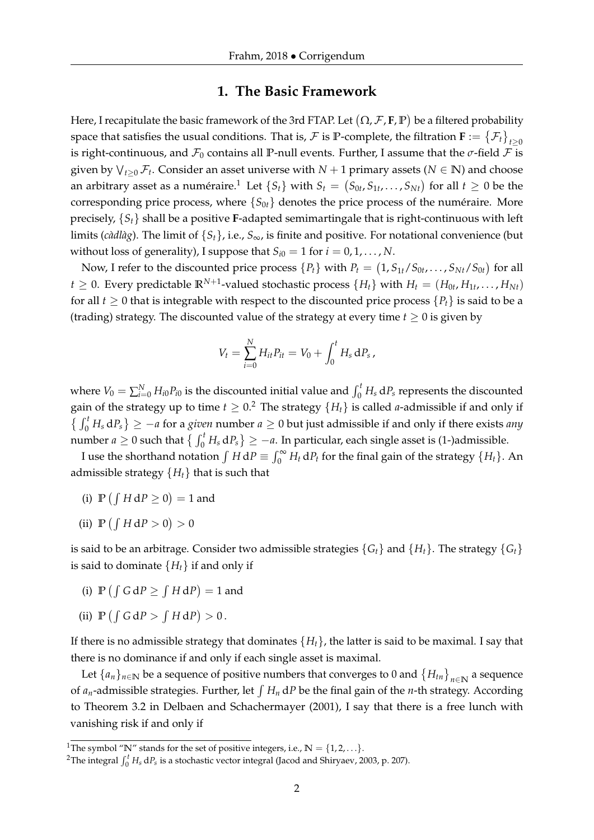## **1. The Basic Framework**

Here, I recapitulate the basic framework of the 3rd FTAP. Let  $(\Omega, \mathcal{F}, \mathbf{F}, \mathbb{P})$  be a filtered probability space that satisfies the usual conditions. That is,  $\cal{F}$  is  $\mathbb{P}$ -complete, the filtration  $\mathbf{F} := \{ \mathcal{F}_t \}_{t \geq 0}$ is right-continuous, and  $\mathcal{F}_0$  contains all P-null events. Further, I assume that the  $\sigma$ -field  $\mathcal F$  is given by  $\bigvee_{t\geq0}\mathcal{F}_t$ . Consider an asset universe with  $N+1$  primary assets ( $N\in\mathbb{N}$ ) and choose an arbitrary asset as a numéraire. $^1$  Let  $\{S_t\}$  with  $S_t = \left(S_{0t}, S_{1t}, \ldots, S_{Nt}\right)$  for all  $t \geq 0$  be the corresponding price process, where  $\{S_{0t}\}\$  denotes the price process of the numéraire. More precisely, {*St*} shall be a positive **F**-adapted semimartingale that is right-continuous with left limits (*càdlàg*). The limit of {*St*}, i.e., *S*∞, is finite and positive. For notational convenience (but without loss of generality), I suppose that  $S_{i0} = 1$  for  $i = 0, 1, ..., N$ .

Now, I refer to the discounted price process  $\{P_t\}$  with  $P_t = (1, S_{1t}/S_{0t}, \ldots, S_{Nt}/S_{0t})$  for all  $t \geq 0$ . Every predictable  $\mathbb{R}^{N+1}$ -valued stochastic process  $\{H_t\}$  with  $H_t = (H_{0t}, H_{1t}, \ldots, H_{Nt})$ for all  $t \geq 0$  that is integrable with respect to the discounted price process  $\{P_t\}$  is said to be a (trading) strategy. The discounted value of the strategy at every time  $t \geq 0$  is given by

$$
V_t = \sum_{i=0}^{N} H_{it} P_{it} = V_0 + \int_0^t H_s \, dP_s \,,
$$

where  $V_0 = \sum_{i=0}^{N} H_{i0} P_{i0}$  is the discounted initial value and  $\int_0^t H_s dP_s$  represents the discounted gain of the strategy up to time  $t \geq 0.2$  The strategy  $\{H_t\}$  is called *a*-admissible if and only if  $\binom{f}{0}$  *H<sub>s</sub>* d $P_s$   $\geq -a$  for a *given* number *a*  $\geq 0$  but just admissible if and only if there exists *any* number  $a \geq 0$  such that  $\left\{\int_0^t H_s \, dP_s\right\} \geq -a$ . In particular, each single asset is (1-)admissible.

I use the shorthand notation  $\int H dP \equiv \int_0^\infty H_t dP_t$  for the final gain of the strategy  $\{H_t\}$ . An admissible strategy  ${H_t}$  that is such that

- (i)  $\mathbb{P}(\int H dP \ge 0) = 1$  and
- (ii)  $\mathbb{P} \left( \int H \, \mathrm{d}P > 0 \right) > 0$

is said to be an arbitrage. Consider two admissible strategies  $\{G_t\}$  and  $\{H_t\}$ . The strategy  $\{G_t\}$ is said to dominate  ${H<sub>t</sub>}$  if and only if

- (i)  $\mathbb{P}(\int G dP \geq \int H dP) = 1$  and
- (ii)  $\mathbb{P}(\int G dP > \int H dP) > 0$ .

If there is no admissible strategy that dominates  ${H_t}$ , the latter is said to be maximal. I say that there is no dominance if and only if each single asset is maximal.

Let  $\{a_n\}_{n\in\mathbb{N}}$  be a sequence of positive numbers that converges to 0 and  $\{H_{tn}\}_{n\in\mathbb{N}}$  a sequence of  $a_n$ -admissible strategies. Further, let  $\int H_n dP$  be the final gain of the *n*-th strategy. According to Theorem 3.2 in Delbaen and Schachermayer (2001), I say that there is a free lunch with vanishing risk if and only if

<sup>&</sup>lt;sup>1</sup>The symbol " $\mathbb{N}$ " stands for the set of positive integers, i.e.,  $\mathbb{N} = \{1, 2, \ldots\}$ .

<sup>&</sup>lt;sup>2</sup>The integral  $\int_0^t H_s\,\mathrm{d}P_s$  is a stochastic vector integral (Jacod and Shiryaev, 2003, p. 207).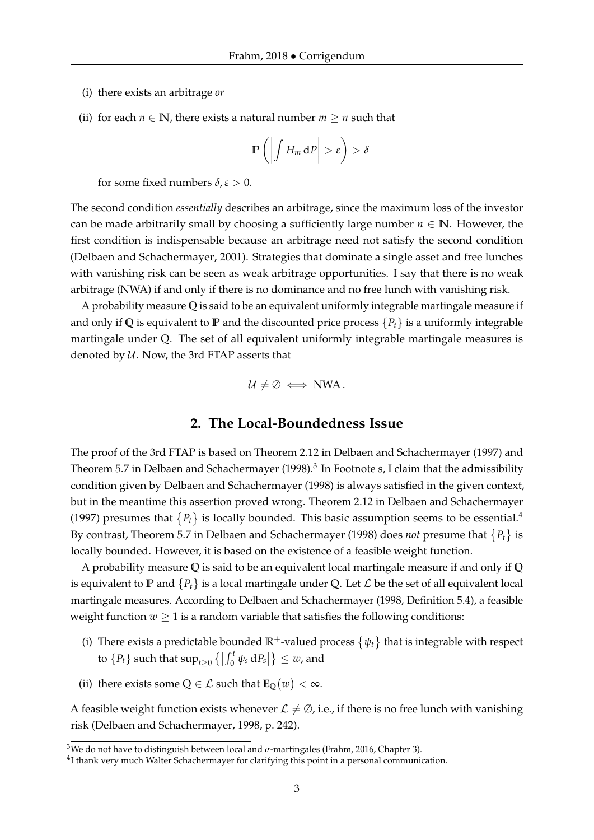- (i) there exists an arbitrage *or*
- (ii) for each  $n \in \mathbb{N}$ , there exists a natural number  $m \geq n$  such that

$$
\mathbb{P}\left(\left|\int H_m\,\mathrm{d}P\right|>\varepsilon\right)>\delta
$$

for some fixed numbers  $\delta$ ,  $\varepsilon > 0$ .

The second condition *essentially* describes an arbitrage, since the maximum loss of the investor can be made arbitrarily small by choosing a sufficiently large number  $n \in \mathbb{N}$ . However, the first condition is indispensable because an arbitrage need not satisfy the second condition (Delbaen and Schachermayer, 2001). Strategies that dominate a single asset and free lunches with vanishing risk can be seen as weak arbitrage opportunities. I say that there is no weak arbitrage (NWA) if and only if there is no dominance and no free lunch with vanishing risk.

A probability measure **Q** is said to be an equivalent uniformly integrable martingale measure if and only if Q is equivalent to  $\mathbb P$  and the discounted price process  $\{P_t\}$  is a uniformly integrable martingale under **Q**. The set of all equivalent uniformly integrable martingale measures is denoted by  $U$ . Now, the 3rd FTAP asserts that

$$
\mathcal{U} \neq \emptyset \iff NWA.
$$

### **2. The Local-Boundedness Issue**

The proof of the 3rd FTAP is based on Theorem 2.12 in Delbaen and Schachermayer (1997) and Theorem 5.7 in Delbaen and Schachermayer (1998). $^3$  In Footnote s, I claim that the admissibility condition given by Delbaen and Schachermayer (1998) is always satisfied in the given context, but in the meantime this assertion proved wrong. Theorem 2.12 in Delbaen and Schachermayer (1997) presumes that  ${P_t}$  is locally bounded. This basic assumption seems to be essential.<sup>4</sup> By contrast, Theorem 5.7 in Delbaen and Schachermayer (1998) does *not* presume that  $\{P_t\}$  is locally bounded. However, it is based on the existence of a feasible weight function.

A probability measure **Q** is said to be an equivalent local martingale measure if and only if **Q** is equivalent to **P** and  $\{P_t\}$  is a local martingale under Q. Let  $\mathcal L$  be the set of all equivalent local martingale measures. According to Delbaen and Schachermayer (1998, Definition 5.4), a feasible weight function  $w \geq 1$  is a random variable that satisfies the following conditions:

- (i) There exists a predictable bounded  $\mathbb{R}^+$ -valued process  $\{\psi_t\}$  that is integrable with respect to  $\{P_t\}$  such that  $\sup_{t\geq 0} \left\{ \left| \int_0^t \psi_s \, dP_s \right| \right\} \leq w$ , and
- (ii) there exists some  $Q \in \mathcal{L}$  such that  $\mathbf{E}_{Q}(w) < \infty$ .

A feasible weight function exists whenever  $\mathcal{L} \neq \emptyset$ , i.e., if there is no free lunch with vanishing risk (Delbaen and Schachermayer, 1998, p. 242).

<sup>&</sup>lt;sup>3</sup>We do not have to distinguish between local and  $\sigma$ -martingales (Frahm, 2016, Chapter 3).

 $^{4}$ I thank very much Walter Schachermayer for clarifying this point in a personal communication.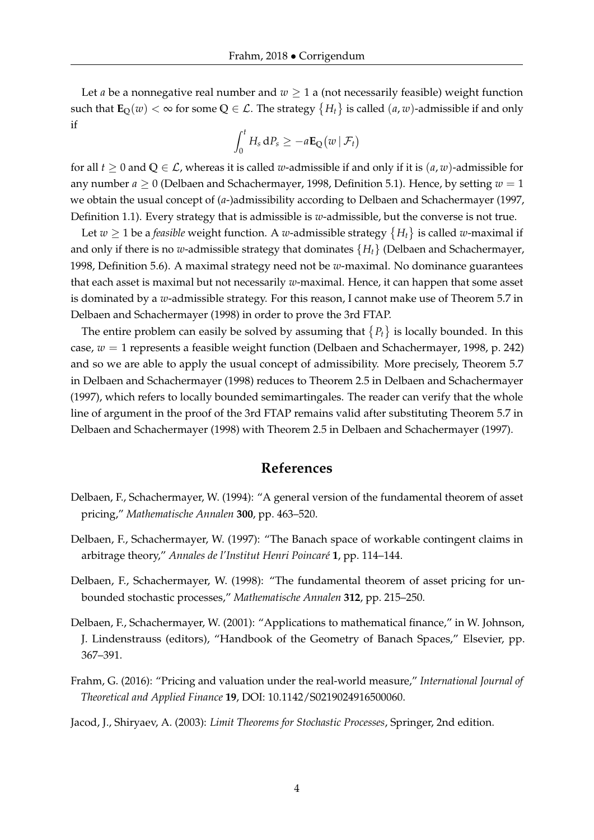Let *a* be a nonnegative real number and  $w \geq 1$  a (not necessarily feasible) weight function such that  $\textbf{E}_{\text{Q}}(w)<\infty$  for some  $\text{Q}\in\mathcal{L}.$  The strategy  $\big\{H_t\big\}$  is called  $(a,w)$ -admissible if and only if

$$
\int_0^t H_s \, dP_s \geq -a \mathbf{E}_{\mathbf{Q}}(w \,|\, \mathcal{F}_t)
$$

for all  $t \geq 0$  and  $Q \in \mathcal{L}$ , whereas it is called *w*-admissible if and only if it is  $(a, w)$ -admissible for any number  $a \geq 0$  (Delbaen and Schachermayer, 1998, Definition 5.1). Hence, by setting  $w = 1$ we obtain the usual concept of (*a*-)admissibility according to Delbaen and Schachermayer (1997, Definition 1.1). Every strategy that is admissible is *w*-admissible, but the converse is not true.

Let  $w \geq 1$  be a *feasible* weight function. A  $w$ -admissible strategy  $\{H_t\}$  is called  $w$ -maximal if and only if there is no *w*-admissible strategy that dominates {*Ht*} (Delbaen and Schachermayer, 1998, Definition 5.6). A maximal strategy need not be *w*-maximal. No dominance guarantees that each asset is maximal but not necessarily *w*-maximal. Hence, it can happen that some asset is dominated by a *w*-admissible strategy. For this reason, I cannot make use of Theorem 5.7 in Delbaen and Schachermayer (1998) in order to prove the 3rd FTAP.

The entire problem can easily be solved by assuming that  $\{P_t\}$  is locally bounded. In this case, *w* = 1 represents a feasible weight function (Delbaen and Schachermayer, 1998, p. 242) and so we are able to apply the usual concept of admissibility. More precisely, Theorem 5.7 in Delbaen and Schachermayer (1998) reduces to Theorem 2.5 in Delbaen and Schachermayer (1997), which refers to locally bounded semimartingales. The reader can verify that the whole line of argument in the proof of the 3rd FTAP remains valid after substituting Theorem 5.7 in Delbaen and Schachermayer (1998) with Theorem 2.5 in Delbaen and Schachermayer (1997).

## **References**

- Delbaen, F., Schachermayer, W. (1994): "A general version of the fundamental theorem of asset pricing," *Mathematische Annalen* **300**, pp. 463–520.
- Delbaen, F., Schachermayer, W. (1997): "The Banach space of workable contingent claims in arbitrage theory," *Annales de l'Institut Henri Poincaré* **1**, pp. 114–144.
- Delbaen, F., Schachermayer, W. (1998): "The fundamental theorem of asset pricing for unbounded stochastic processes," *Mathematische Annalen* **312**, pp. 215–250.
- Delbaen, F., Schachermayer, W. (2001): "Applications to mathematical finance," in W. Johnson, J. Lindenstrauss (editors), "Handbook of the Geometry of Banach Spaces," Elsevier, pp. 367–391.
- Frahm, G. (2016): "Pricing and valuation under the real-world measure," *International Journal of Theoretical and Applied Finance* **19**, DOI: 10.1142/S0219024916500060.

Jacod, J., Shiryaev, A. (2003): *Limit Theorems for Stochastic Processes*, Springer, 2nd edition.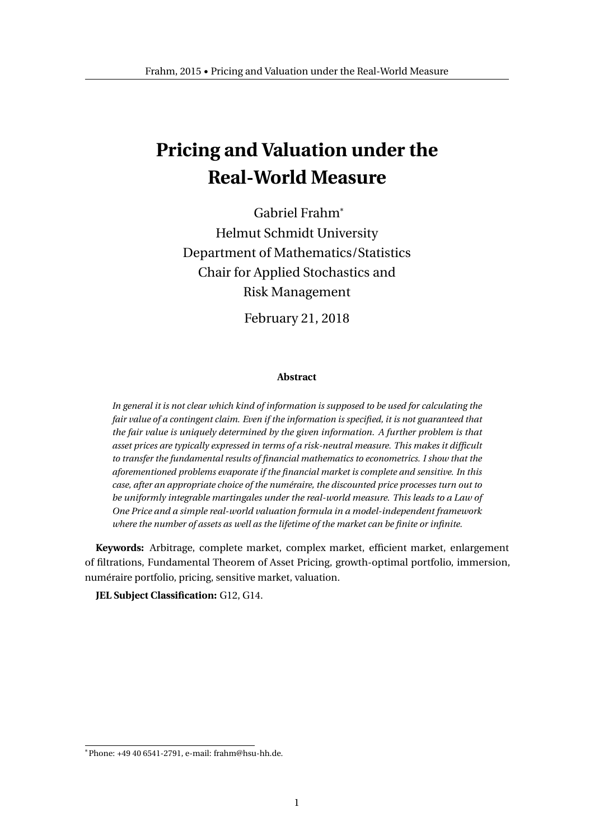## **Pricing and Valuation under the Real-World Measure**

Gabriel Frahm\* Helmut Schmidt University Department of Mathematics/Statistics Chair for Applied Stochastics and Risk Management

February 21, 2018

#### **Abstract**

*In general it is not clear which kind of information is supposed to be used for calculating the fair value of a contingent claim. Even if the information is specified, it is not guaranteed that the fair value is uniquely determined by the given information. A further problem is that asset prices are typically expressed in terms of a risk-neutral measure. This makes it difficult to transfer the fundamental results of financial mathematics to econometrics. I show that the aforementioned problems evaporate if the financial market is complete and sensitive. In this case, after an appropriate choice of the numéraire, the discounted price processes turn out to be uniformly integrable martingales under the real-world measure. This leads to a Law of One Price and a simple real-world valuation formula in a model-independent framework where the number of assets as well as the lifetime of the market can be finite or infinite.*

**Keywords:** Arbitrage, complete market, complex market, efficient market, enlargement of filtrations, Fundamental Theorem of Asset Pricing, growth-optimal portfolio, immersion, numéraire portfolio, pricing, sensitive market, valuation.

**JEL Subject Classification:** G12, G14.

<sup>\*</sup>Phone: +49 40 6541-2791, e-mail: frahm@hsu-hh.de.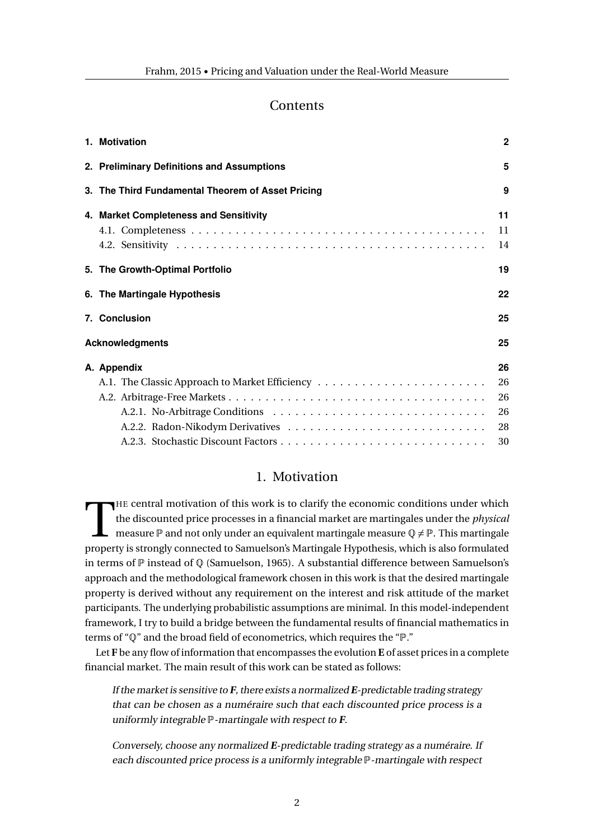## **Contents**

| 1. Motivation                                     | $\mathbf{2}$ |
|---------------------------------------------------|--------------|
| 2. Preliminary Definitions and Assumptions        | 5            |
| 3. The Third Fundamental Theorem of Asset Pricing | 9            |
| 4. Market Completeness and Sensitivity            | 11           |
|                                                   | 11<br>14     |
| 5. The Growth-Optimal Portfolio                   | 19           |
| 6. The Martingale Hypothesis                      | 22           |
| 7. Conclusion                                     | 25           |
| <b>Acknowledgments</b>                            |              |
| A. Appendix                                       | 26           |
|                                                   | 26           |
|                                                   | 26           |
|                                                   | 26           |
|                                                   | 28           |
|                                                   | 30           |

## 1. Motivation

THE central motivation of this work is to clarify the economic conditions under which<br>the discounted price processes in a financial market are martingales under the *physical*<br>measure  $\mathbb P$  and not only under an equivale HE central motivation of this work is to clarify the economic conditions under which the discounted price processes in a financial market are martingales under the *physical* measure  $\mathbb P$  and not only under an equivalent martingale measure  $\mathbb Q \neq \mathbb P$ . This martingale in terms of P instead of Q (Samuelson, 1965). A substantial difference between Samuelson's approach and the methodological framework chosen in this work is that the desired martingale property is derived without any requirement on the interest and risk attitude of the market participants. The underlying probabilistic assumptions are minimal. In this model-independent framework, I try to build a bridge between the fundamental results of financial mathematics in terms of "Q" and the broad field of econometrics, which requires the "P."

Let **F** be any flow of information that encompasses the evolution **E** of asset prices in a complete financial market. The main result of this work can be stated as follows:

If the market is sensitive to **F**, there exists a normalized **E**-predictable trading strategy that can be chosen as a numéraire such that each discounted price process is a uniformly integrable P-martingale with respect to **F**.

Conversely, choose any normalized **E**-predictable trading strategy as a numéraire. If each discounted price process is a uniformly integrable P-martingale with respect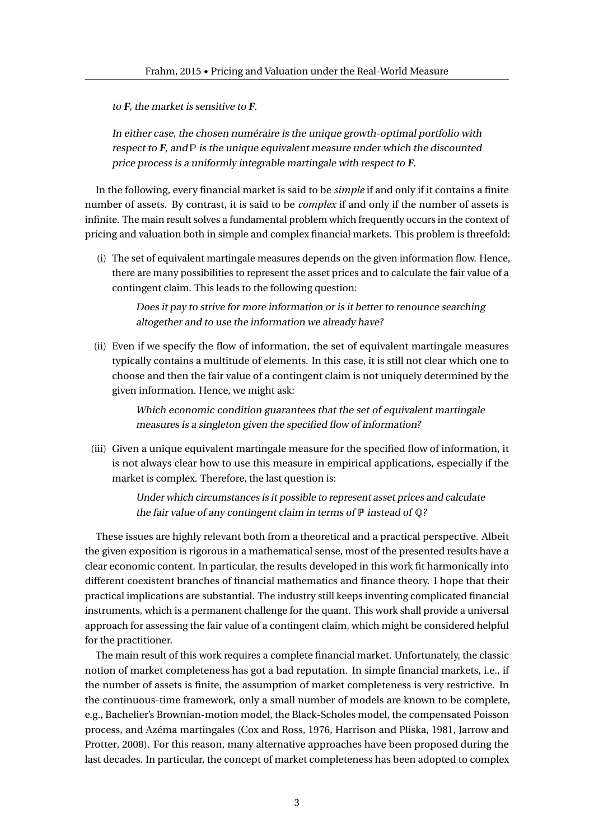to **F**, the market is sensitive to **F**.

In either case, the chosen numéraire is the unique growth-optimal portfolio with respect to  $\bf{F}$ , and  $\bf{P}$  is the unique equivalent measure under which the discounted price process is a uniformly integrable martingale with respect to **F**.

In the following, every financial market is said to be *simple* if and only if it contains a finite number of assets. By contrast, it is said to be *complex* if and only if the number of assets is infinite. The main result solves a fundamental problem which frequently occurs in the context of pricing and valuation both in simple and complex financial markets. This problem is threefold:

(i) The set of equivalent martingale measures depends on the given information flow. Hence, there are many possibilities to represent the asset prices and to calculate the fair value of a contingent claim. This leads to the following question:

Does it pay to strive for more information or is it better to renounce searching altogether and to use the information we already have?

(ii) Even if we specify the flow of information, the set of equivalent martingale measures typically contains a multitude of elements. In this case, it is still not clear which one to choose and then the fair value of a contingent claim is not uniquely determined by the given information. Hence, we might ask:

> Which economic condition guarantees that the set of equivalent martingale measures is a singleton given the specified flow of information?

(iii) Given a unique equivalent martingale measure for the specified flow of information, it is not always clear how to use this measure in empirical applications, especially if the market is complex. Therefore, the last question is:

> Under which circumstances is it possible to represent asset prices and calculate the fair value of any contingent claim in terms of  $P$  instead of  $Q$ ?

These issues are highly relevant both from a theoretical and a practical perspective. Albeit the given exposition is rigorous in a mathematical sense, most of the presented results have a clear economic content. In particular, the results developed in this work fit harmonically into different coexistent branches of financial mathematics and finance theory. I hope that their practical implications are substantial. The industry still keeps inventing complicated financial instruments, which is a permanent challenge for the quant. This work shall provide a universal approach for assessing the fair value of a contingent claim, which might be considered helpful for the practitioner.

The main result of this work requires a complete financial market. Unfortunately, the classic notion of market completeness has got a bad reputation. In simple financial markets, i.e., if the number of assets is finite, the assumption of market completeness is very restrictive. In the continuous-time framework, only a small number of models are known to be complete, e.g., Bachelier's Brownian-motion model, the Black-Scholes model, the compensated Poisson process, and Azéma martingales (Cox and Ross, 1976, Harrison and Pliska, 1981, Jarrow and Protter, 2008). For this reason, many alternative approaches have been proposed during the last decades. In particular, the concept of market completeness has been adopted to complex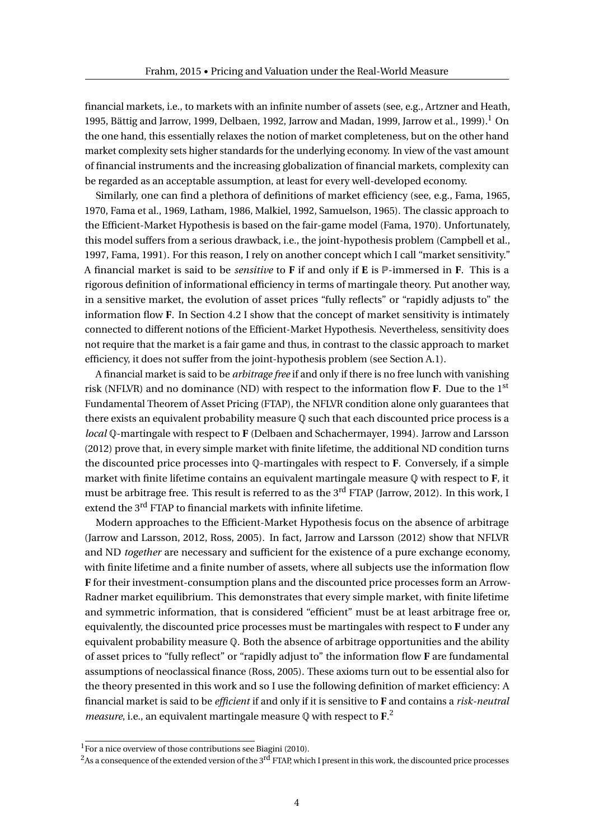financial markets, i.e., to markets with an infinite number of assets (see, e.g., Artzner and Heath, 1995, Bättig and Jarrow, 1999, Delbaen, 1992, Jarrow and Madan, 1999, Jarrow et al., 1999).<sup>1</sup> On the one hand, this essentially relaxes the notion of market completeness, but on the other hand market complexity sets higher standards for the underlying economy. In view of the vast amount of financial instruments and the increasing globalization of financial markets, complexity can be regarded as an acceptable assumption, at least for every well-developed economy.

Similarly, one can find a plethora of definitions of market efficiency (see, e.g., Fama, 1965, 1970, Fama et al., 1969, Latham, 1986, Malkiel, 1992, Samuelson, 1965). The classic approach to the Efficient-Market Hypothesis is based on the fair-game model (Fama, 1970). Unfortunately, this model suffers from a serious drawback, i.e., the joint-hypothesis problem (Campbell et al., 1997, Fama, 1991). For this reason, I rely on another concept which I call "market sensitivity." A financial market is said to be *sensitive* to **F** if and only if **E** is P-immersed in **F**. This is a rigorous definition of informational efficiency in terms of martingale theory. Put another way, in a sensitive market, the evolution of asset prices "fully reflects" or "rapidly adjusts to" the information flow **F**. In Section 4.2 I show that the concept of market sensitivity is intimately connected to different notions of the Efficient-Market Hypothesis. Nevertheless, sensitivity does not require that the market is a fair game and thus, in contrast to the classic approach to market efficiency, it does not suffer from the joint-hypothesis problem (see Section A.1).

A financial market is said to be *arbitrage free* if and only if there is no free lunch with vanishing risk (NFLVR) and no dominance (ND) with respect to the information flow **F**. Due to the 1st Fundamental Theorem of Asset Pricing (FTAP), the NFLVR condition alone only guarantees that there exists an equivalent probability measure  $\mathbb Q$  such that each discounted price process is a *local* Q-martingale with respect to **F** (Delbaen and Schachermayer, 1994). Jarrow and Larsson (2012) prove that, in every simple market with finite lifetime, the additional ND condition turns the discounted price processes into Q-martingales with respect to **F**. Conversely, if a simple market with finite lifetime contains an equivalent martingale measure Q with respect to **F**, it must be arbitrage free. This result is referred to as the 3<sup>rd</sup> FTAP (Jarrow, 2012). In this work, I extend the 3<sup>rd</sup> FTAP to financial markets with infinite lifetime.

Modern approaches to the Efficient-Market Hypothesis focus on the absence of arbitrage (Jarrow and Larsson, 2012, Ross, 2005). In fact, Jarrow and Larsson (2012) show that NFLVR and ND *together* are necessary and sufficient for the existence of a pure exchange economy, with finite lifetime and a finite number of assets, where all subjects use the information flow **F** for their investment-consumption plans and the discounted price processes form an Arrow-Radner market equilibrium. This demonstrates that every simple market, with finite lifetime and symmetric information, that is considered "efficient" must be at least arbitrage free or, equivalently, the discounted price processes must be martingales with respect to **F** under any equivalent probability measure Q. Both the absence of arbitrage opportunities and the ability of asset prices to "fully reflect" or "rapidly adjust to" the information flow **F** are fundamental assumptions of neoclassical finance (Ross, 2005). These axioms turn out to be essential also for the theory presented in this work and so I use the following definition of market efficiency: A financial market is said to be *efficient* if and only if it is sensitive to **F** and contains a *risk-neutral measure*, i.e., an equivalent martingale measure Q with respect to **F**. 2

 $1$ For a nice overview of those contributions see Biagini (2010).

 $2$ As a consequence of the extended version of the 3<sup>rd</sup> FTAP, which I present in this work, the discounted price processes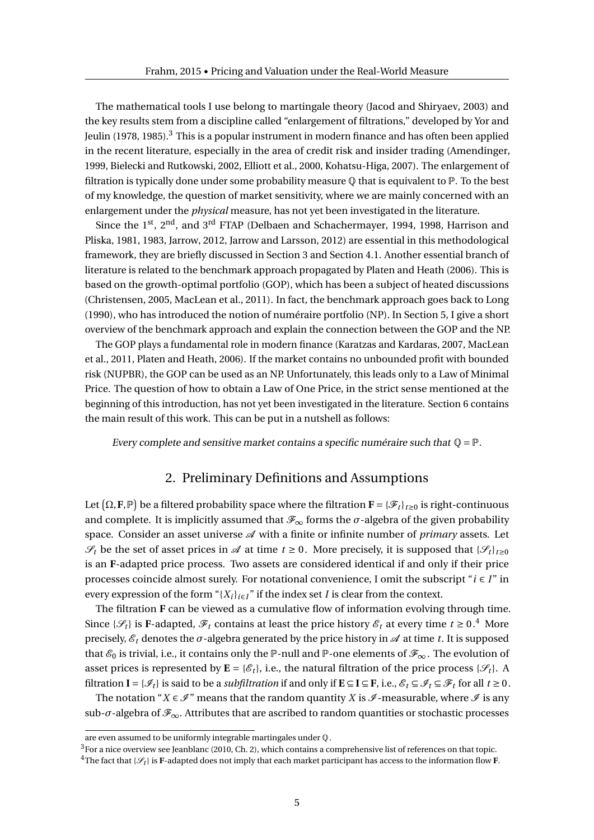The mathematical tools I use belong to martingale theory (Jacod and Shiryaev, 2003) and the key results stem from a discipline called "enlargement of filtrations," developed by Yor and Jeulin (1978, 1985).<sup>3</sup> This is a popular instrument in modern finance and has often been applied in the recent literature, especially in the area of credit risk and insider trading (Amendinger, 1999, Bielecki and Rutkowski, 2002, Elliott et al., 2000, Kohatsu-Higa, 2007). The enlargement of filtration is typically done under some probability measure  $\mathbb O$  that is equivalent to  $\mathbb P$ . To the best of my knowledge, the question of market sensitivity, where we are mainly concerned with an enlargement under the *physical* measure, has not yet been investigated in the literature.

Since the  $1^{st}$ ,  $2^{nd}$ , and  $3^{rd}$  FTAP (Delbaen and Schachermayer, 1994, 1998, Harrison and Pliska, 1981, 1983, Jarrow, 2012, Jarrow and Larsson, 2012) are essential in this methodological framework, they are briefly discussed in Section 3 and Section 4.1. Another essential branch of literature is related to the benchmark approach propagated by Platen and Heath (2006). This is based on the growth-optimal portfolio (GOP), which has been a subject of heated discussions (Christensen, 2005, MacLean et al., 2011). In fact, the benchmark approach goes back to Long (1990), who has introduced the notion of numéraire portfolio (NP). In Section 5, I give a short overview of the benchmark approach and explain the connection between the GOP and the NP.

The GOP plays a fundamental role in modern finance (Karatzas and Kardaras, 2007, MacLean et al., 2011, Platen and Heath, 2006). If the market contains no unbounded profit with bounded risk (NUPBR), the GOP can be used as an NP. Unfortunately, this leads only to a Law of Minimal Price. The question of how to obtain a Law of One Price, in the strict sense mentioned at the beginning of this introduction, has not yet been investigated in the literature. Section 6 contains the main result of this work. This can be put in a nutshell as follows:

Every complete and sensitive market contains a specific numéraire such that  $\mathbb{Q} = \mathbb{P}$ .

## 2. Preliminary Definitions and Assumptions

Let  $(\Omega, \mathbf{F}, \mathbb{P})$  be a filtered probability space where the filtration  $\mathbf{F} = {\{\mathscr{F}_t\}}_{t\geq0}$  is right-continuous and complete. It is implicitly assumed that  $\mathcal{F}_{\infty}$  forms the *σ*-algebra of the given probability space. Consider an asset universe  $\mathscr A$  with a finite or infinite number of *primary* assets. Let  $\mathscr{S}_t$  be the set of asset prices in  $\mathscr{A}$  at time  $t \geq 0$ . More precisely, it is supposed that  $\{\mathscr{S}_t\}_{t \geq 0}$ is an **F**-adapted price process. Two assets are considered identical if and only if their price processes coincide almost surely. For notational convenience, I omit the subscript "*i* ∈ *I* " in every expression of the form " ${X_i}_{i \in I}$ " if the index set *I* is clear from the context.

The filtration **F** can be viewed as a cumulative flow of information evolving through time. Since { $\mathscr{S}_t$ } is **F**-adapted,  $\mathscr{F}_t$  contains at least the price history  $\mathscr{E}_t$  at every time  $t \geq 0$ .<sup>4</sup> More precisely,  $\mathcal{E}_t$  denotes the  $\sigma$ -algebra generated by the price history in  $\mathcal A$  at time *t*. It is supposed that  $\mathcal{E}_0$  is trivial, i.e., it contains only the P-null and P-one elements of  $\mathcal{F}_{\infty}$ . The evolution of asset prices is represented by  $\mathbf{E} = \{\mathcal{E}_t\}$ , i.e., the natural filtration of the price process  $\{\mathcal{S}_t\}$ . A filtration  $I = \{\mathcal{I}_t\}$  is said to be a *subfiltration* if and only if  $E \subseteq I \subseteq F$ , i.e.,  $\mathcal{E}_t \subseteq \mathcal{F}_t \subseteq \mathcal{F}_t$  for all  $t \ge 0$ .

The notation "*X*  $\in \mathcal{I}$ " means that the random quantity *X* is  $\mathcal{I}$ -measurable, where  $\mathcal{I}$  is any sub- $\sigma$ -algebra of  $\mathscr{F}_{\infty}$ . Attributes that are ascribed to random quantities or stochastic processes

 $3$ For a nice overview see Jeanblanc (2010, Ch. 2), which contains a comprehensive list of references on that topic.

are even assumed to be uniformly integrable martingales under Q.

<sup>&</sup>lt;sup>4</sup>The fact that { $\mathcal{S}_t$ } is **F**-adapted does not imply that each market participant has access to the information flow **F**.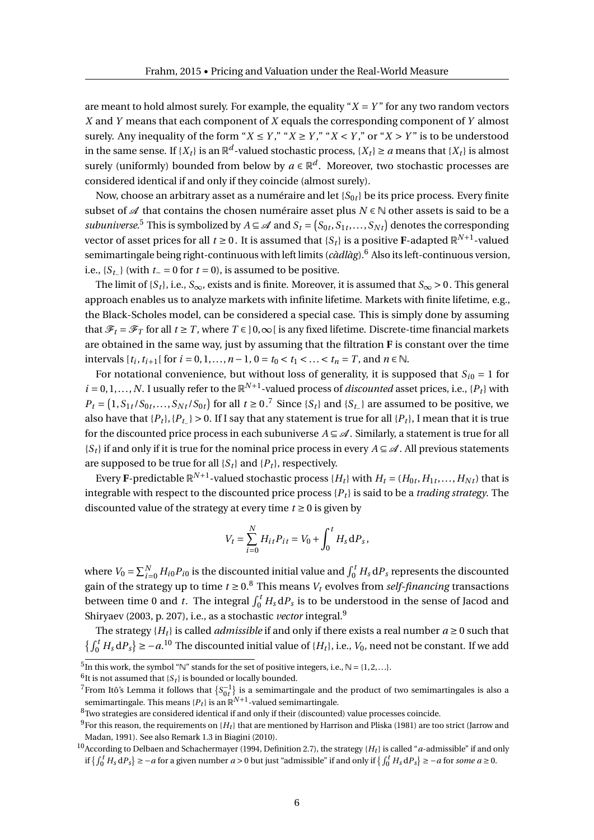are meant to hold almost surely. For example, the equality " $X = Y$ " for any two random vectors *X* and *Y* means that each component of *X* equals the corresponding component of *Y* almost surely. Any inequality of the form " $X \leq Y$ ," " $X \geq Y$ ," " $X \leq Y$ ," or " $X > Y$ " is to be understood in the same sense. If  $\{X_t\}$  is an  $\mathbb{R}^d$ -valued stochastic process,  $\{X_t\} \ge a$  means that  $\{X_t\}$  is almost surely (uniformly) bounded from below by  $a \in \mathbb{R}^d$ . Moreover, two stochastic processes are considered identical if and only if they coincide (almost surely).

Now, choose an arbitrary asset as a numéraire and let  $\{S_{0t}\}$  be its price process. Every finite subset of  $\mathcal A$  that contains the chosen numéraire asset plus  $N \in \mathbb N$  other assets is said to be a *subuniverse*.<sup>5</sup> This is symbolized by  $A \subseteq \mathscr{A}$  and  $S_t = (S_{0t}, S_{1t}, \ldots, S_{Nt})$  denotes the corresponding vector of asset prices for all  $t \ge 0$  . It is assumed that  $\{S_t\}$  is a positive **F**-adapted  $\mathbb{R}^{N+1}$ -valued semimartingale being right-continuous with left limits (*càdlàg*).<sup>6</sup> Also its left-continuous version, i.e.,  ${S_{t-}}$  (with  $t = 0$  for  $t = 0$ ), is assumed to be positive.

The limit of {*S*<sub>t</sub>}, i.e., *S*<sub>∞</sub>, exists and is finite. Moreover, it is assumed that *S*<sub>∞</sub> > 0. This general approach enables us to analyze markets with infinite lifetime. Markets with finite lifetime, e.g., the Black-Scholes model, can be considered a special case. This is simply done by assuming that  $\mathcal{F}_t = \mathcal{F}_T$  for all  $t \geq T$ , where  $T \in ]0,\infty[$  is any fixed lifetime. Discrete-time financial markets are obtained in the same way, just by assuming that the filtration **F** is constant over the time intervals  $[t_i, t_{i+1}]$  for  $i = 0, 1, ..., n - 1, 0 = t_0 < t_1 < ... < t_n = T$ , and  $n \in \mathbb{N}$ .

For notational convenience, but without loss of generality, it is supposed that  $S_{i0} = 1$  for  $i = 0, 1, \ldots, N$ . I usually refer to the  $\mathbb{R}^{N+1}$ -valued process of *discounted* asset prices, i.e., { $P_t$ } with  $P_t = (1, S_{1t}/S_{0t}, \ldots, S_{Nt}/S_{0t})$  for all  $t \ge 0$ .<sup>7</sup> Since {*S*<sub>t</sub>} and {*S*<sub>*t*</sub>\_} are assumed to be positive, we also have that  ${P_t}$ ,  ${P_t} > 0$ . If I say that any statement is true for all  ${P_t}$ , I mean that it is true for the discounted price process in each subuniverse  $A \subseteq \mathcal{A}$ . Similarly, a statement is true for all  ${S_t}$  if and only if it is true for the nominal price process in every  $A \subseteq \mathcal{A}$ . All previous statements are supposed to be true for all  $\{S_t\}$  and  $\{P_t\}$ , respectively.

Every **F**-predictable  $\mathbb{R}^{N+1}$ -valued stochastic process  $\{H_t\}$  with  $H_t$  =  $(H_{0t}, H_{1t}, \ldots, H_{Nt})$  that is integrable with respect to the discounted price process {*P<sup>t</sup>* } is said to be a *trading strategy*. The discounted value of the strategy at every time  $t \geq 0$  is given by

$$
V_t = \sum_{i=0}^{N} H_{it} P_{it} = V_0 + \int_0^t H_s \, dP_s,
$$

where  $V_0 = \sum_{i=0}^{N} H_{i0} P_{i0}$  is the discounted initial value and  $\int_0^t H_s \, dP_s$  represents the discounted gain of the strategy up to time  $t \ge 0.8$  This means  $V_t$  evolves from *self-financing* transactions between time 0 and *t*. The integral  $\int_0^t H_s \, \mathrm{d} P_s$  is to be understood in the sense of Jacod and Shiryaev (2003, p. 207), i.e., as a stochastic *vector* integral.<sup>9</sup>

The strategy  ${H_t}$  is called *admissible* if and only if there exists a real number  $a \ge 0$  such that  $\left\{\int_0^t H_s \, dP_s\right\} \ge -a$ .<sup>10</sup> The discounted initial value of  $\{H_t\}$ , i.e.,  $V_0$ , need not be constant. If we add

 $^6$ It is not assumed that  $\{S_t\}$  is bounded or locally bounded.

<sup>&</sup>lt;sup>5</sup>In this work, the symbol "N" stands for the set of positive integers, i.e.,  $\mathbb{N} = \{1, 2, ...\}$ .

<sup>&</sup>lt;sup>7</sup>From Itô's Lemma it follows that  $\{S_{0t}^{-1}\}$  is a semimartingale and the product of two semimartingales is also a semimartingale. This means  ${P_t}$  is an  $\mathbb{R}^{N+1}$ -valued semimartingale.

 $8$ Two strategies are considered identical if and only if their (discounted) value processes coincide.

<sup>&</sup>lt;sup>9</sup>For this reason, the requirements on  ${H_t}$  that are mentioned by Harrison and Pliska (1981) are too strict (Jarrow and Madan, 1991). See also Remark 1.3 in Biagini (2010).

<sup>10</sup>According to Delbaen and Schachermayer (1994, Definition 2.7), the strategy {*H<sup>t</sup>* } is called "*a*-admissible" if and only if  $\left\{\int_0^t H_s \, dP_s\right\} \ge -a$  for a given number *a* > 0 but just "admissible" if and only if  $\left\{\int_0^t H_s \, dP_s\right\} \ge -a$  for *some a* ≥ 0.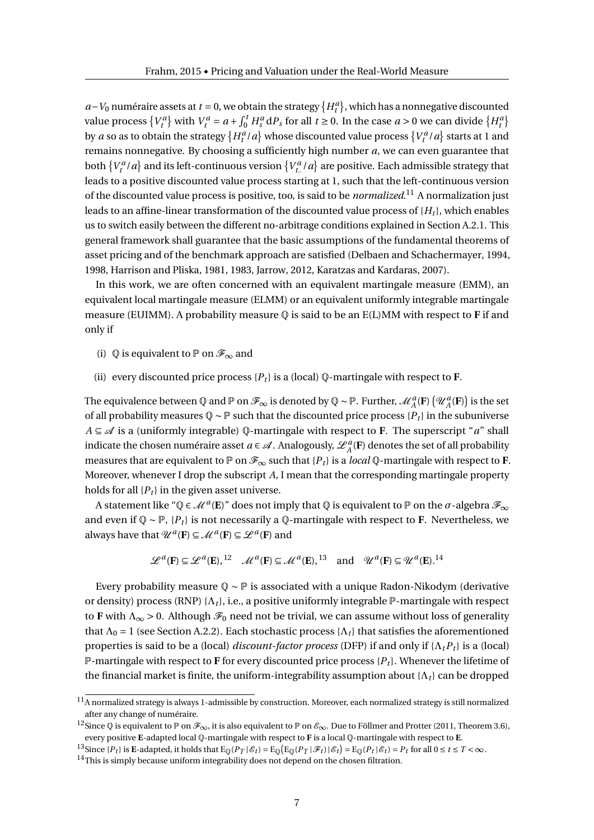*a*−*V*<sub>0</sub> numéraire assets at *t* = 0, we obtain the strategy  $\{H_t^a\}$ , which has a nonnegative discounted value process  $\{V_t^a\}$  with  $V_t^a = a + \int_0^t H_s^a dP_s$  for all  $t \ge 0$ . In the case  $a > 0$  we can divide  $\{H_t^a\}$ by  $a$  so as to obtain the strategy  $\{H^a_t/a\}$  whose discounted value process  $\{V^a_t/a\}$  starts at 1 and remains nonnegative. By choosing a sufficiently high number *a*, we can even guarantee that both  $\{V_t^a/a\}$  and its left-continuous version  $\{V_{t_-}^a/a\}$  are positive. Each admissible strategy that leads to a positive discounted value process starting at 1, such that the left-continuous version of the discounted value process is positive, too, is said to be *normalized*. <sup>11</sup> A normalization just leads to an affine-linear transformation of the discounted value process of  $\{H_t\}$ , which enables us to switch easily between the different no-arbitrage conditions explained in Section A.2.1. This general framework shall guarantee that the basic assumptions of the fundamental theorems of asset pricing and of the benchmark approach are satisfied (Delbaen and Schachermayer, 1994, 1998, Harrison and Pliska, 1981, 1983, Jarrow, 2012, Karatzas and Kardaras, 2007).

In this work, we are often concerned with an equivalent martingale measure (EMM), an equivalent local martingale measure (ELMM) or an equivalent uniformly integrable martingale measure (EUIMM). A probability measure  $\Phi$  is said to be an  $E(L)$  MM with respect to **F** if and only if

- (i)  $\mathbb Q$  is equivalent to  $\mathbb P$  on  $\mathscr F_\infty$  and
- (ii) every discounted price process  $\{P_t\}$  is a (local)  $\mathbb{Q}$ -martingale with respect to **F**.

The equivalence between  $\mathbb Q$  and  $\mathbb P$  on  $\mathscr F_\infty$  is denoted by  $\mathbb Q \sim \mathbb P$ . Further,  $\mathscr M_A^a(\mathbf F)\left(\mathscr U_A^a(\mathbf F)\right)$  is the set of all probability measures Q ∼ P such that the discounted price process {*P<sup>t</sup>* } in the subuniverse *A* ⊆ A is a (uniformly integrable) Q-martingale with respect to **F**. The superscript "*a*" shall indicate the chosen numéraire asset  $a \in \mathscr{A}$  . Analogously,  $\mathscr{L}_A^a(\mathbf{F})$  denotes the set of all probability measures that are equivalent to  $\mathbb{P}$  on  $\mathscr{F}_{\infty}$  such that {P<sub>t</sub>} is a *local* Q-martingale with respect to **F**. Moreover, whenever I drop the subscript *A*, I mean that the corresponding martingale property holds for all  ${P_t}$  in the given asset universe.

A statement like "Q  $\in \mathcal{M}^a(\mathbf{E})$ " does not imply that Q is equivalent to  $\mathbb P$  on the  $\sigma$ -algebra  $\mathscr{F}_\infty$ and even if  $\mathbb{Q} \sim \mathbb{P}$ ,  $\{P_t\}$  is not necessarily a  $\mathbb{Q}$ -martingale with respect to **F**. Nevertheless, we always have that  $\mathcal{U}^a$  (**F**)  $\subseteq \mathcal{M}^a$  (**F**)  $\subseteq \mathcal{L}^a$  (**F**) and

$$
\mathscr{L}^a(\mathbf{F}) \subseteq \mathscr{L}^a(\mathbf{E}),^{12} \quad \mathscr{M}^a(\mathbf{F}) \subseteq \mathscr{M}^a(\mathbf{E}),^{13} \quad \text{and} \quad \mathscr{U}^a(\mathbf{F}) \subseteq \mathscr{U}^a(\mathbf{E}).^{14}
$$

Every probability measure  $\mathbb{Q} \sim \mathbb{P}$  is associated with a unique Radon-Nikodym (derivative or density) process (RNP)  $\{\Lambda_t\}$ , i.e., a positive uniformly integrable  $\mathbb P$ -martingale with respect to **F** with  $\Lambda_{\infty} > 0$ . Although  $\mathcal{F}_0$  need not be trivial, we can assume without loss of generality that  $\Lambda_0 = 1$  (see Section A.2.2). Each stochastic process  $\{\Lambda_t\}$  that satisfies the aforementioned properties is said to be a (local) *discount-factor process* (DFP) if and only if {Λ*tP<sup>t</sup>* } is a (local) P-martingale with respect to **F** for every discounted price process {*P<sup>t</sup>* }. Whenever the lifetime of the financial market is finite, the uniform-integrability assumption about  $\{\Lambda_t\}$  can be dropped

 $^{11}\!$  A normalized strategy is always 1-admissible by construction. Moreover, each normalized strategy is still normalized after any change of numéraire.

<sup>&</sup>lt;sup>12</sup>Since ℚ is equivalent to ℙ on ℱ<sub>∞</sub>, it is also equivalent to ℙ on ℰ<sub>∞</sub>. Due to Föllmer and Protter (2011, Theorem 3.6), every positive **E**-adapted local Q-martingale with respect to **F** is a local Q-martingale with respect to **E**.

<sup>&</sup>lt;sup>13</sup>Since { $P_t$ } is E-adapted, it holds that  $E_{\mathbb{Q}}(P_T | \mathscr{E}_t) = E_{\mathbb{Q}}(E_{\mathbb{Q}}(P_T | \mathscr{F}_t) | \mathscr{E}_t) = E_{\mathbb{Q}}(P_t | \mathscr{E}_t) = P_t$  for all  $0 \le t \le T < \infty$ .

 $^{14}\mathrm{This}$  is simply because uniform integrability does not depend on the chosen filtration.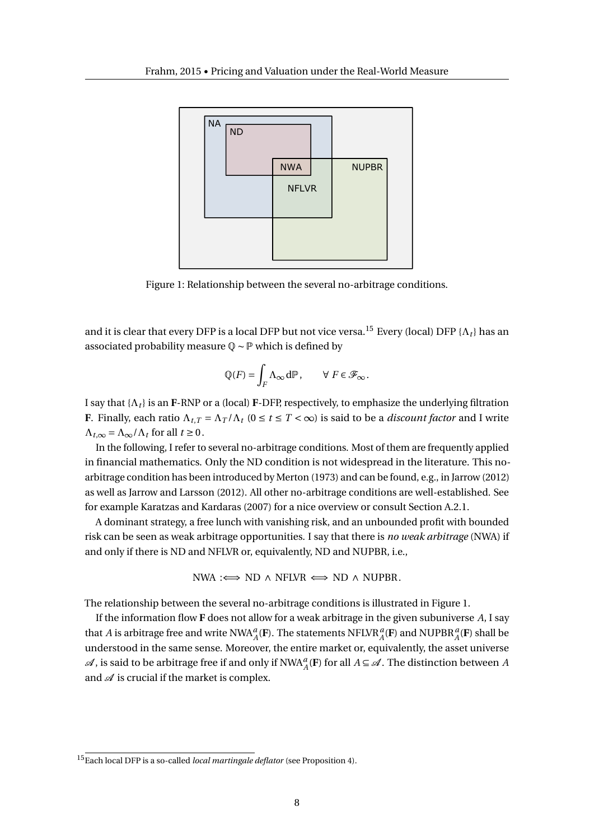

Figure 1: Relationship between the several no-arbitrage conditions.

and it is clear that every DFP is a local DFP but not vice versa.<sup>15</sup> Every (local) DFP { $\Lambda_t$ } has an associated probability measure Q ∼ P which is defined by

$$
\mathbb{Q}(F) = \int_F \Lambda_\infty \, d\mathbb{P}, \qquad \forall \ F \in \mathcal{F}_\infty.
$$

I say that {Λ*<sup>t</sup>* } is an **F**-RNP or a (local) **F**-DFP, respectively, to emphasize the underlying filtration **F**. Finally, each ratio  $\Lambda_{t,T} = \Lambda_T / \Lambda_t$  ( $0 \le t \le T < \infty$ ) is said to be a *discount factor* and I write  $\Lambda_{t,\infty} = \Lambda_{\infty} / \Lambda_t$  for all  $t \ge 0$ .

In the following, I refer to several no-arbitrage conditions. Most of them are frequently applied in financial mathematics. Only the ND condition is not widespread in the literature. This noarbitrage condition has been introduced by Merton (1973) and can be found, e.g., in Jarrow (2012) as well as Jarrow and Larsson (2012). All other no-arbitrage conditions are well-established. See for example Karatzas and Kardaras (2007) for a nice overview or consult Section A.2.1.

A dominant strategy, a free lunch with vanishing risk, and an unbounded profit with bounded risk can be seen as weak arbitrage opportunities. I say that there is *no weak arbitrage* (NWA) if and only if there is ND and NFLVR or, equivalently, ND and NUPBR, i.e.,

$$
NWA : \iff ND \land NFLVR \iff ND \land NUPBR.
$$

The relationship between the several no-arbitrage conditions is illustrated in Figure 1.

If the information flow **F** does not allow for a weak arbitrage in the given subuniverse *A*, I say that *A* is arbitrage free and write NWA $^a_A$ (**F**). The statements NFLVR $^a_A$ (**F**) and NUPBR $^a_A$ (**F**) shall be understood in the same sense. Moreover, the entire market or, equivalently, the asset universe  $\mathcal{A}$ , is said to be arbitrage free if and only if  $NWA_A^a$ (**F**) for all  $A \subseteq \mathcal{A}$ . The distinction between  $A$ and  $\mathcal A$  is crucial if the market is complex.

<sup>15</sup>Each local DFP is a so-called *local martingale deflator* (see Proposition 4).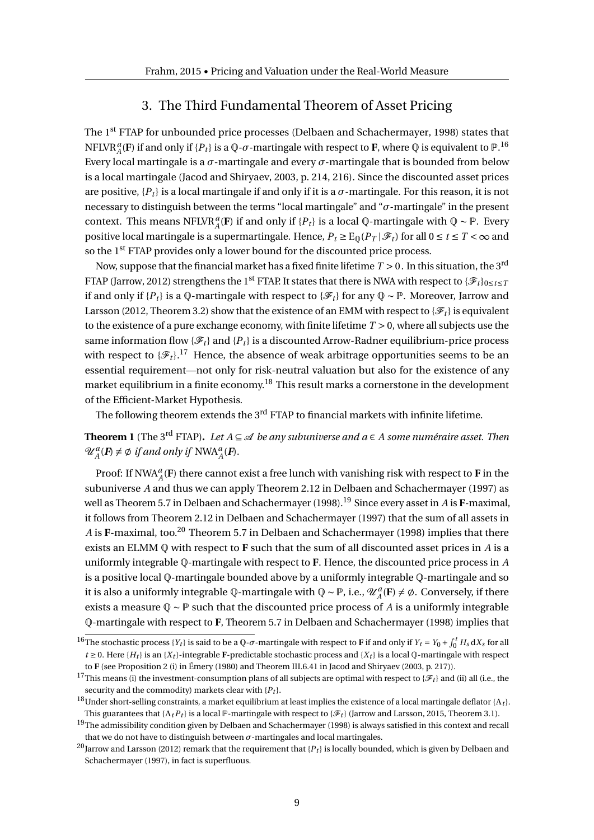## 3. The Third Fundamental Theorem of Asset Pricing

The 1st FTAP for unbounded price processes (Delbaen and Schachermayer, 1998) states that NFLVR $^a_A$ (**F**) if and only if { $P_t$ } is a Q- $\sigma$ -martingale with respect to **F**, where Q is equivalent to  $\mathbb{P}.^{16}$ Every local martingale is a *σ*-martingale and every *σ*-martingale that is bounded from below is a local martingale (Jacod and Shiryaev, 2003, p. 214, 216). Since the discounted asset prices are positive,  $\{P_t\}$  is a local martingale if and only if it is a  $\sigma$ -martingale. For this reason, it is not necessary to distinguish between the terms "local martingale" and "*σ*-martingale" in the present context. This means NFLVR<sup>*a*</sup><sub>*A*</sub>(**F**) if and only if {*P<sub>t</sub>*} is a local Q-martingale with Q ~ P. Every positive local martingale is a supermartingale. Hence,  $P_t \geq E_0(P_T | \mathcal{F}_t)$  for all  $0 \leq t \leq T < \infty$  and so the 1<sup>st</sup> FTAP provides only a lower bound for the discounted price process.

Now, suppose that the financial market has a fixed finite lifetime  $T > 0$ . In this situation, the 3<sup>rd</sup> FTAP (Jarrow, 2012) strengthens the 1<sup>st</sup> FTAP. It states that there is NWA with respect to  $\{\mathscr{F}_t\}_{0\leq t\leq T}$ if and only if  ${P_t}$  is a  $\mathbb{Q}$ -martingale with respect to  ${\mathscr{F}_t}$  for any  $\mathbb{Q} \sim \mathbb{P}$ . Moreover, Jarrow and Larsson (2012, Theorem 3.2) show that the existence of an EMM with respect to  $\{\mathscr{F}_t\}$  is equivalent to the existence of a pure exchange economy, with finite lifetime *T* > 0, where all subjects use the same information flow  $\{\mathcal{F}_t\}$  and  $\{P_t\}$  is a discounted Arrow-Radner equilibrium-price process with respect to  $\{\mathscr{F}_t\}$ .<sup>17</sup> Hence, the absence of weak arbitrage opportunities seems to be an essential requirement—not only for risk-neutral valuation but also for the existence of any market equilibrium in a finite economy.<sup>18</sup> This result marks a cornerstone in the development of the Efficient-Market Hypothesis.

The following theorem extends the 3<sup>rd</sup> FTAP to financial markets with infinite lifetime.

**Theorem 1** (The 3<sup>rd</sup> FTAP). Let  $A \subseteq \mathcal{A}$  be any subuniverse and  $a \in A$  some numéraire asset. Then  $\mathcal{U}_{A}^{a}(\mathbf{F}) \neq \emptyset$  if and only if  $NWA_{A}^{a}(\mathbf{F})$ .

Proof: If  $NWA_A^a$ (**F**) there cannot exist a free lunch with vanishing risk with respect to **F** in the subuniverse *A* and thus we can apply Theorem 2.12 in Delbaen and Schachermayer (1997) as well as Theorem 5.7 in Delbaen and Schachermayer (1998).<sup>19</sup> Since every asset in *A* is **F**-maximal, it follows from Theorem 2.12 in Delbaen and Schachermayer (1997) that the sum of all assets in A is **F**-maximal, too.<sup>20</sup> Theorem 5.7 in Delbaen and Schachermayer (1998) implies that there exists an ELMM Q with respect to **F** such that the sum of all discounted asset prices in *A* is a uniformly integrable Q-martingale with respect to **F**. Hence, the discounted price process in *A* is a positive local Q-martingale bounded above by a uniformly integrable Q-martingale and so it is also a uniformly integrable  $\mathbb{Q}$ -martingale with  $\mathbb{Q} \sim \mathbb{P}$ , i.e.,  $\mathscr{U}_A^a(\mathbf{F}) \neq \emptyset$ . Conversely, if there exists a measure Q ∼ P such that the discounted price process of *A* is a uniformly integrable Q-martingale with respect to **F**, Theorem 5.7 in Delbaen and Schachermayer (1998) implies that

<sup>&</sup>lt;sup>16</sup>The stochastic process {*Y<sub>t</sub>*} is said to be a Q- $\sigma$ -martingale with respect to **F** if and only if *Y<sub>t</sub>* = *Y*<sub>0</sub> +  $\int_0^t H_s dX_s$  for all  $t \geq 0$ . Here {*H*<sub>t</sub>} is an {*X*<sub>t</sub>}-integrable **F**-predictable stochastic process and {*X*<sub>t</sub>} is a local Q-martingale with respect to **F** (see Proposition 2 (i) in Émery (1980) and Theorem III.6.41 in Jacod and Shiryaev (2003, p. 217)).

<sup>&</sup>lt;sup>17</sup>This means (i) the investment-consumption plans of all subjects are optimal with respect to { $\mathcal{F}_t$ } and (ii) all (i.e., the security and the commodity) markets clear with  ${P_t}$ .

<sup>&</sup>lt;sup>18</sup>Under short-selling constraints, a market equilibrium at least implies the existence of a local martingale deflator {Λ*t*}. This guarantees that  $\{\Lambda_t P_t\}$  is a local P-martingale with respect to { $\mathcal{F}_t$ } (Jarrow and Larsson, 2015, Theorem 3.1).

 $19$ The admissibility condition given by Delbaen and Schachermayer (1998) is always satisfied in this context and recall that we do not have to distinguish between  $\sigma$ -martingales and local martingales.

<sup>20</sup>Jarrow and Larsson (2012) remark that the requirement that {*P<sup>t</sup>* } is locally bounded, which is given by Delbaen and Schachermayer (1997), in fact is superfluous.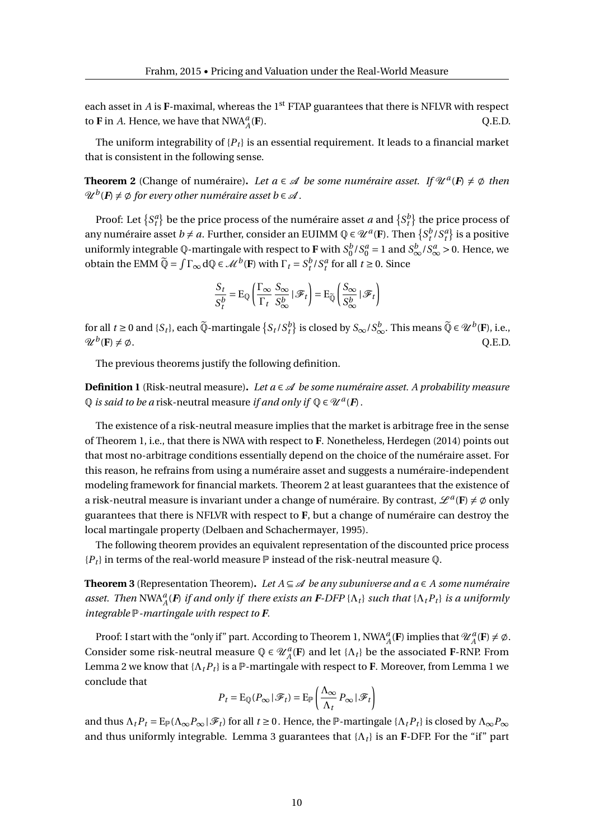each asset in *A* is **F**-maximal, whereas the  $1<sup>st</sup>$  FTAP guarantees that there is NFLVR with respect to **F** in *A*. Hence, we have that  $NWA_A^a$ (**F**). Q.E.D.

The uniform integrability of  ${P_t}$  is an essential requirement. It leads to a financial market that is consistent in the following sense.

**Theorem 2** (Change of numéraire). Let  $a \in \mathcal{A}$  be some numéraire asset. If  $\mathcal{U}^a(F) \neq \emptyset$  then  $\operatorname{\mathscr{U}}^b(\mathbf{F})\neq\varnothing$  for every other numéraire asset  $b\in\mathscr{A}$  .

Proof: Let  $\{S_t^a\}$  be the price process of the numéraire asset *a* and  $\{S_t^b\}$  the price process of any numéraire asset  $b \neq a$ . Further, consider an EUIMM  $Q \in \mathcal{U}^a(F)$ . Then  $\{S_t^b / S_t^a\}$  is a positive uniformly integrable  $\mathbb Q$ -martingale with respect to **F** with  $S_0^b/S_0^a = 1$  and  $S_\infty^b/S_\infty^a > 0$ . Hence, we obtain the EMM  $\widetilde{Q} = \int \Gamma_{\infty} dQ \in \mathcal{M}^b(F)$  with  $\Gamma_t = S_t^b / S_t^a$  for all  $t \ge 0$ . Since

$$
\frac{S_t}{S_t^b} = \mathrm{E}_{\mathbb{Q}} \left( \frac{\Gamma_{\infty}}{\Gamma_t} \frac{S_{\infty}}{S_{\infty}^b} \mid \mathcal{F}_t \right) = \mathrm{E}_{\widetilde{\mathbb{Q}}} \left( \frac{S_{\infty}}{S_{\infty}^b} \mid \mathcal{F}_t \right)
$$

for all  $t \ge 0$  and  $\{S_t\}$ , each  $\widetilde{Q}$ -martingale  $\{S_t/S_t^b\}$  is closed by  $S_\infty/S_\infty^b$ . This means  $\widetilde{Q} \in \mathcal{U}^b(\mathbf{F})$ , i.e.,  $\mathcal{U}^b(\mathbf{F}) \neq \emptyset$ .  $(\mathbf{F}) \neq \emptyset$ . Q.E.D.

The previous theorems justify the following definition.

**Definition 1** (Risk-neutral measure). Let  $a \in \mathcal{A}$  be some numéraire asset. A probability measure  $\mathbb Q$  *is said to be a* risk-neutral measure *if and only if*  $\mathbb Q \in \mathscr U^a(F)$ .

The existence of a risk-neutral measure implies that the market is arbitrage free in the sense of Theorem 1, i.e., that there is NWA with respect to **F**. Nonetheless, Herdegen (2014) points out that most no-arbitrage conditions essentially depend on the choice of the numéraire asset. For this reason, he refrains from using a numéraire asset and suggests a numéraire-independent modeling framework for financial markets. Theorem 2 at least guarantees that the existence of a risk-neutral measure is invariant under a change of numéraire. By contrast,  $\mathscr{L}^a(\mathbf{F}) \neq \emptyset$  only guarantees that there is NFLVR with respect to **F**, but a change of numéraire can destroy the local martingale property (Delbaen and Schachermayer, 1995).

The following theorem provides an equivalent representation of the discounted price process  ${P_t}$  in terms of the real-world measure  $\mathbb P$  instead of the risk-neutral measure  $\mathbb Q$ .

**Theorem 3** (Representation Theorem). Let  $A \subseteq \mathcal{A}$  be any subuniverse and  $a \in A$  some numéraire  $a$ sset. Then  $NWA_A^a(P)$  *if and only if there exists an F-DFP* { $\Lambda_t$ } *such that* { $\Lambda_tP_t$ } *is a uniformly integrable* P*-martingale with respect to F.*

Proof: I start with the "only if" part. According to Theorem 1,  $NWA_A^a$ (**F**) implies that  $\mathcal{U}_A^a$ (**F**)  $\neq \emptyset$ . Consider some risk-neutral measure  $\mathbb{Q} \in \mathcal{U}_A^a(F)$  and let  $\{\Lambda_t\}$  be the associated **F**-RNP. From Lemma 2 we know that  $\{\Lambda_t P_t\}$  is a  $\mathbb{P}$ -martingale with respect to **F**. Moreover, from Lemma 1 we conclude that

$$
P_t = \mathrm{E}_{\mathbb{Q}}(P_{\infty} | \mathcal{F}_t) = \mathrm{E}_{\mathbb{P}}\left(\frac{\Lambda_{\infty}}{\Lambda_t} P_{\infty} | \mathcal{F}_t\right)
$$

and thus  $\Lambda_t P_t = \mathbb{E}_{\mathbb{P}}(\Lambda_\infty P_\infty | \mathcal{F}_t)$  for all  $t \geq 0$ . Hence, the  $\mathbb{P}$ -martingale  $\{\Lambda_t P_t\}$  is closed by  $\Lambda_\infty P_\infty$ and thus uniformly integrable. Lemma 3 guarantees that  $\{\Lambda_t\}$  is an F-DFP. For the "if" part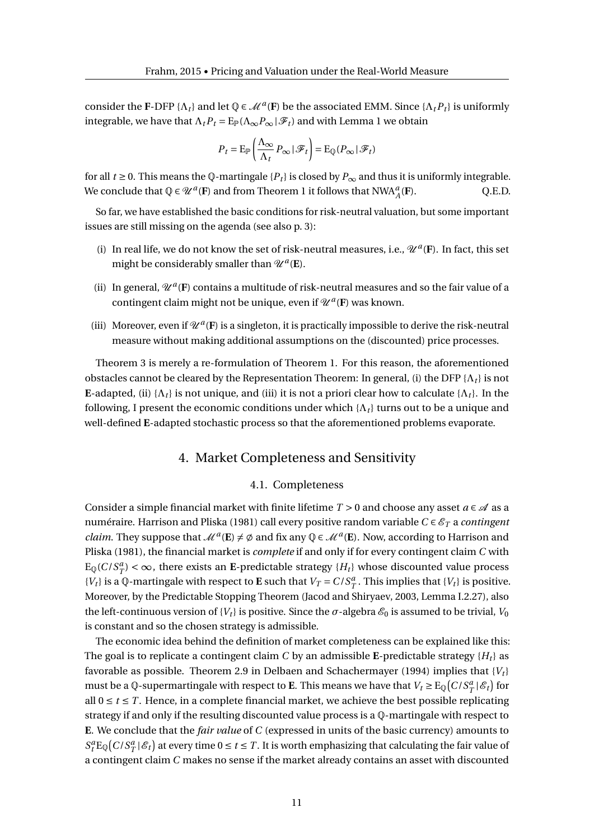consider the F-DFP { $\Lambda_t$ } and let  $\mathbb{Q} \in \mathcal{M}^a(F)$  be the associated EMM. Since { $\Lambda_t P_t$ } is uniformly integrable, we have that  $\Lambda_t P_t = \mathbb{E}_{\mathbb{P}}(\Lambda_\infty P_\infty | \mathscr{F}_t)$  and with Lemma 1 we obtain

$$
P_t = \mathrm{E}_{\mathbb{P}}\left(\frac{\Lambda_{\infty}}{\Lambda_t} P_{\infty} | \mathcal{F}_t\right) = \mathrm{E}_{\mathbb{Q}}(P_{\infty} | \mathcal{F}_t)
$$

for all *t* ≥ 0. This means the Q-martingale { $P$ <sup>*t*}</sup> is closed by  $P$ <sub>∞</sub> and thus it is uniformly integrable. We conclude that  $\mathbb{Q} \in \mathscr{U}^a(\mathbf{F})$  and from Theorem 1 it follows that  $\text{NWA}_{A}^a$ (**F**). Q.E.D.

So far, we have established the basic conditions for risk-neutral valuation, but some important issues are still missing on the agenda (see also p. 3):

- (i) In real life, we do not know the set of risk-neutral measures, i.e.,  $\mathcal{U}^a(F)$ . In fact, this set might be considerably smaller than  $\mathscr{U}^a(\mathbf{E})$ .
- (ii) In general,  $\mathcal{U}^a$ (F) contains a multitude of risk-neutral measures and so the fair value of a contingent claim might not be unique, even if  $\mathscr{U}^a(F)$  was known.
- (iii) Moreover, even if  $\mathcal{U}^a$ (F) is a singleton, it is practically impossible to derive the risk-neutral measure without making additional assumptions on the (discounted) price processes.

Theorem 3 is merely a re-formulation of Theorem 1. For this reason, the aforementioned obstacles cannot be cleared by the Representation Theorem: In general, (i) the DFP  $\{\Lambda_t\}$  is not **E**-adapted, (ii)  $\{\Lambda_t\}$  is not unique, and (iii) it is not a priori clear how to calculate  $\{\Lambda_t\}$ . In the following, I present the economic conditions under which  $\{\Lambda_t\}$  turns out to be a unique and well-defined **E**-adapted stochastic process so that the aforementioned problems evaporate.

## 4. Market Completeness and Sensitivity

#### 4.1. Completeness

Consider a simple financial market with finite lifetime  $T > 0$  and choose any asset  $a \in \mathcal{A}$  as a numéraire. Harrison and Pliska (1981) call every positive random variable *C* ∈  $\mathscr{E}_T$  a *contingent claim*. They suppose that  $\mathcal{M}^a(\mathbf{E}) \neq \emptyset$  and fix any  $\mathbb{Q} \in \mathcal{M}^a(\mathbf{E})$ . Now, according to Harrison and Pliska (1981), the financial market is *complete* if and only if for every contingent claim *C* with  $E_{\mathbb{Q}}(C/S_T^a) < \infty$ , there exists an **E**-predictable strategy  $\{H_t\}$  whose discounted value process  ${V_t}$  is a Q-martingale with respect to **E** such that  $V_T = C/S_T^a$ . This implies that  ${V_t}$  is positive. Moreover, by the Predictable Stopping Theorem (Jacod and Shiryaev, 2003, Lemma I.2.27), also the left-continuous version of {*V*<sub>*t*</sub>} is positive. Since the  $\sigma$ -algebra  $\mathcal{E}_0$  is assumed to be trivial, *V*<sub>0</sub> is constant and so the chosen strategy is admissible.

The economic idea behind the definition of market completeness can be explained like this: The goal is to replicate a contingent claim *C* by an admissible **E**-predictable strategy  ${H_t}$  as favorable as possible. Theorem 2.9 in Delbaen and Schachermayer (1994) implies that {*V<sup>t</sup>* } must be a Q-supermartingale with respect to **E**. This means we have that  $V_t \geq \text{E}_{\mathbb{Q}}(C/S_T^a | \mathscr{E}_t)$  for all  $0 \le t \le T$ . Hence, in a complete financial market, we achieve the best possible replicating strategy if and only if the resulting discounted value process is a Q-martingale with respect to **E**. We conclude that the *fair value* of *C* (expressed in units of the basic currency) amounts to  $S_t^a E_{\mathbb{Q}}(C/S_T^a | \mathscr{E}_t)$  at every time  $0 \le t \le T$ . It is worth emphasizing that calculating the fair value of a contingent claim *C* makes no sense if the market already contains an asset with discounted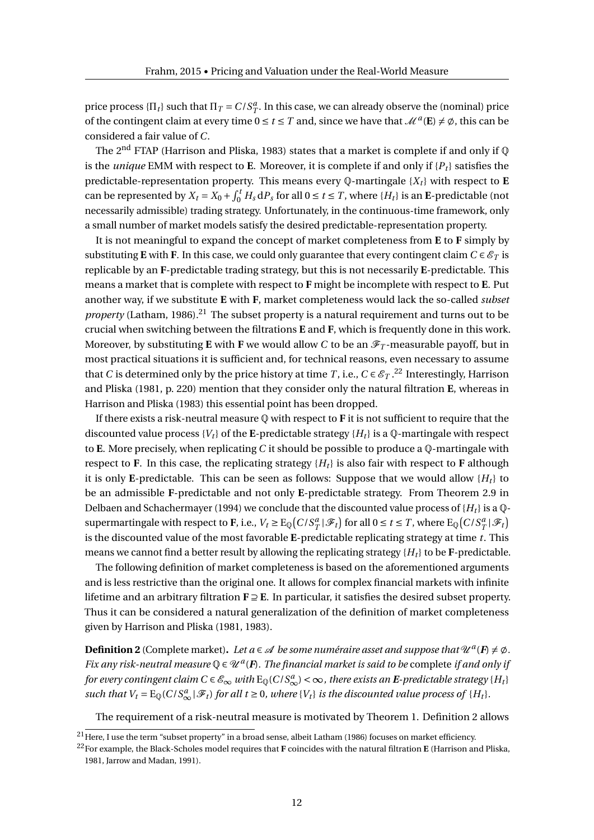price process  $\{\Pi_t\}$  such that  $\Pi_T = C/S_T^a$ . In this case, we can already observe the (nominal) price of the contingent claim at every time  $0 \le t \le T$  and, since we have that  $\mathcal{M}^a(\mathbf{E}) \neq \emptyset$ , this can be considered a fair value of *C*.

The 2<sup>nd</sup> FTAP (Harrison and Pliska, 1983) states that a market is complete if and only if  $\mathbb Q$ is the *unique* EMM with respect to **E**. Moreover, it is complete if and only if  ${P_t}$  satisfies the predictable-representation property. This means every  $\mathbb{Q}$ -martingale  $\{X_t\}$  with respect to **E** can be represented by  $X_t = X_0 + \int_0^t H_s \, dP_s$  for all  $0 \le t \le T$ , where  $\{H_t\}$  is an **E**-predictable (not necessarily admissible) trading strategy. Unfortunately, in the continuous-time framework, only a small number of market models satisfy the desired predictable-representation property.

It is not meaningful to expand the concept of market completeness from **E** to **F** simply by substituting **E** with **F**. In this case, we could only guarantee that every contingent claim  $C \in \mathcal{E}_T$  is replicable by an **F**-predictable trading strategy, but this is not necessarily **E**-predictable. This means a market that is complete with respect to **F** might be incomplete with respect to **E**. Put another way, if we substitute **E** with **F**, market completeness would lack the so-called *subset property* (Latham, 1986).<sup>21</sup> The subset property is a natural requirement and turns out to be crucial when switching between the filtrations **E** and **F**, which is frequently done in this work. Moreover, by substituting **E** with **F** we would allow *C* to be an  $\mathscr{F}_T$ -measurable payoff, but in most practical situations it is sufficient and, for technical reasons, even necessary to assume that *C* is determined only by the price history at time *T* , i.e.,  $C \in \mathscr{E}_T$  . $^{22}$  Interestingly, Harrison and Pliska (1981, p. 220) mention that they consider only the natural filtration **E**, whereas in Harrison and Pliska (1983) this essential point has been dropped.

If there exists a risk-neutral measure Q with respect to **F** it is not sufficient to require that the discounted value process  ${V_t}$  of the E-predictable strategy  ${H_t}$  is a Q-martingale with respect to **E**. More precisely, when replicating *C* it should be possible to produce a Q-martingale with respect to **F**. In this case, the replicating strategy  ${H_t}$  is also fair with respect to **F** although it is only **E**-predictable. This can be seen as follows: Suppose that we would allow  ${H_t}$  to be an admissible **F**-predictable and not only **E**-predictable strategy. From Theorem 2.9 in Delbaen and Schachermayer (1994) we conclude that the discounted value process of  ${H_t}$  is a  $\mathbb{Q}$ supermartingale with respect to **F**, i.e.,  $V_t \geq E_{\mathbb{Q}}(C/S_T^a | \mathcal{F}_t)$  for all  $0 \leq t \leq T$ , where  $E_{\mathbb{Q}}(C/S_T^a | \mathcal{F}_t)$ is the discounted value of the most favorable **E**-predictable replicating strategy at time *t*. This means we cannot find a better result by allowing the replicating strategy  ${H_t}$  to be **F**-predictable.

The following definition of market completeness is based on the aforementioned arguments and is less restrictive than the original one. It allows for complex financial markets with infinite lifetime and an arbitrary filtration **F** ⊇ **E**. In particular, it satisfies the desired subset property. Thus it can be considered a natural generalization of the definition of market completeness given by Harrison and Pliska (1981, 1983).

**Definition 2** (Complete market). Let  $a \in \mathcal{A}$  be some numéraire asset and suppose that  $\mathcal{U}^a(F) \neq \emptyset$ . *Fix any risk-neutral measure*  $Q \in \mathcal{U}^a(F)$ . The financial market is said to be complete if and only if *for every contingent claim C*  $\in \mathscr{E}_{\infty}$  *with* E<sub>Q</sub>(C/S $_{\infty}^a$ ) <  $\infty$  , there exists an **E**-predictable strategy {H<sub>t</sub>} such that  $V_t = E_{\mathbb{Q}}(C/S_{\infty}^a | \mathcal{F}_t)$  for all  $t \ge 0$ , where  $\{V_t\}$  is the discounted value process of  $\{H_t\}$ .

The requirement of a risk-neutral measure is motivated by Theorem 1. Definition 2 allows

<sup>&</sup>lt;sup>21</sup> Here, I use the term "subset property" in a broad sense, albeit Latham (1986) focuses on market efficiency.

<sup>22</sup>For example, the Black-Scholes model requires that **F** coincides with the natural filtration **E** (Harrison and Pliska, 1981, Jarrow and Madan, 1991).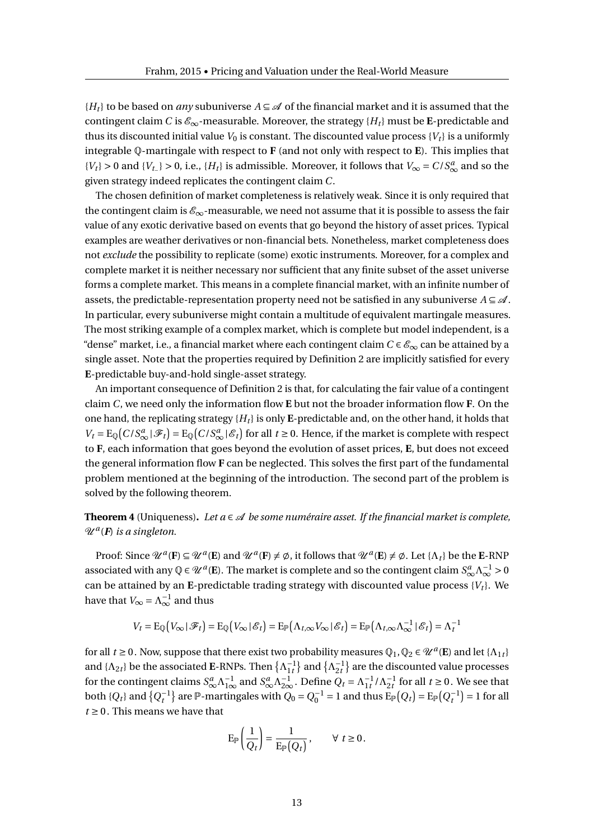${H_t}$  to be based on *any* subuniverse  $A \subseteq \mathcal{A}$  of the financial market and it is assumed that the contingent claim *C* is  $\mathcal{E}_{\infty}$ -measurable. Moreover, the strategy { $H_t$ } must be **E**-predictable and thus its discounted initial value  $V_0$  is constant. The discounted value process  $\{V_t\}$  is a uniformly integrable Q-martingale with respect to **F** (and not only with respect to **E**). This implies that  ${V_t}$  > 0 and  ${V_t}$  > 0, i.e.,  ${H_t}$  is admissible. Moreover, it follows that  $V_\infty = C/S^a_\infty$  and so the given strategy indeed replicates the contingent claim *C*.

The chosen definition of market completeness is relatively weak. Since it is only required that the contingent claim is  $\mathscr{E}_{\infty}$ -measurable, we need not assume that it is possible to assess the fair value of any exotic derivative based on events that go beyond the history of asset prices. Typical examples are weather derivatives or non-financial bets. Nonetheless, market completeness does not *exclude* the possibility to replicate (some) exotic instruments. Moreover, for a complex and complete market it is neither necessary nor sufficient that any finite subset of the asset universe forms a complete market. This means in a complete financial market, with an infinite number of assets, the predictable-representation property need not be satisfied in any subuniverse  $A \subseteq \mathcal{A}$ . In particular, every subuniverse might contain a multitude of equivalent martingale measures. The most striking example of a complex market, which is complete but model independent, is a "dense" market, i.e., a financial market where each contingent claim  $C \in \mathcal{E}_{\infty}$  can be attained by a single asset. Note that the properties required by Definition 2 are implicitly satisfied for every **E**-predictable buy-and-hold single-asset strategy.

An important consequence of Definition 2 is that, for calculating the fair value of a contingent claim *C*, we need only the information flow **E** but not the broader information flow **F**. On the one hand, the replicating strategy  ${H_t}$  is only **E**-predictable and, on the other hand, it holds that  $V_t = E_{\mathbb{Q}}(C/S_{\infty}^a | \mathcal{F}_t) = E_{\mathbb{Q}}(C/S_{\infty}^a | \mathcal{E}_t)$  for all  $t \ge 0$ . Hence, if the market is complete with respect to **F**, each information that goes beyond the evolution of asset prices, **E**, but does not exceed the general information flow **F** can be neglected. This solves the first part of the fundamental problem mentioned at the beginning of the introduction. The second part of the problem is solved by the following theorem.

**Theorem 4** (Uniqueness). Let  $a \in \mathcal{A}$  be some numéraire asset. If the financial market is complete, U *<sup>a</sup>* (*F*) *is a singleton.*

Proof: Since  $\mathcal{U}^a$ (**F**)  $\subseteq \mathcal{U}^a$ (**E**) and  $\mathcal{U}^a$ (**F**)  $\neq \emptyset$ , it follows that  $\mathcal{U}^a$ (**E**)  $\neq \emptyset$ . Let  $\{\Lambda_t\}$  be the **E**-RNP associated with any  $\mathbb{Q} \in \mathcal{U}^a(\mathbf{E})$ . The market is complete and so the contingent claim  $S^a_\infty \Lambda_\infty^{-1} > 0$ can be attained by an E-predictable trading strategy with discounted value process  $\{V_t\}$ . We have that  $V_{\infty} = \Lambda_{\infty}^{-1}$  and thus

$$
V_t = \mathrm{E}_{\mathbb{Q}}(V_{\infty} | \mathscr{F}_t) = \mathrm{E}_{\mathbb{Q}}(V_{\infty} | \mathscr{E}_t) = \mathrm{E}_{\mathbb{P}}(\Lambda_{t,\infty} V_{\infty} | \mathscr{E}_t) = \mathrm{E}_{\mathbb{P}}(\Lambda_{t,\infty} \Lambda_{\infty}^{-1} | \mathscr{E}_t) = \Lambda_t^{-1}
$$

for all  $t \ge 0$ . Now, suppose that there exist two probability measures  $\mathbb{Q}_1, \mathbb{Q}_2 \in \mathcal{U}^a(\mathbf{E})$  and let  $\{\Lambda_{1t}\}$ and  $\{\Lambda_{2t}\}$  be the associated **E**-RNPs. Then  $\{\Lambda_{1t}^{-1}\}$  and  $\{\Lambda_{2t}^{-1}\}$  are the discounted value processes for the contingent claims  $S^a_\infty \Lambda^{-1}_{1\infty}$  and  $S^a_\infty \Lambda^{-1}_{2\infty}$ . Define  $Q_t = \Lambda^{-1}_{1t} / \Lambda^{-1}_{2t}$  for all  $t \ge 0$ . We see that both  $\{Q_t\}$  and  $\{Q_t^{-1}\}\$  are  $\mathbb{P}$ -martingales with  $Q_0 = Q_0^{-1} = 1$  and thus  $E_{\mathbb{P}}(Q_t) = E_{\mathbb{P}}(Q_t^{-1}) = 1$  for all  $t \geq 0$ . This means we have that

$$
\mathrm{E}_{\mathbb{P}}\left(\frac{1}{Q_t}\right) = \frac{1}{\mathrm{E}_{\mathbb{P}}(Q_t)}, \qquad \forall \ t \geq 0.
$$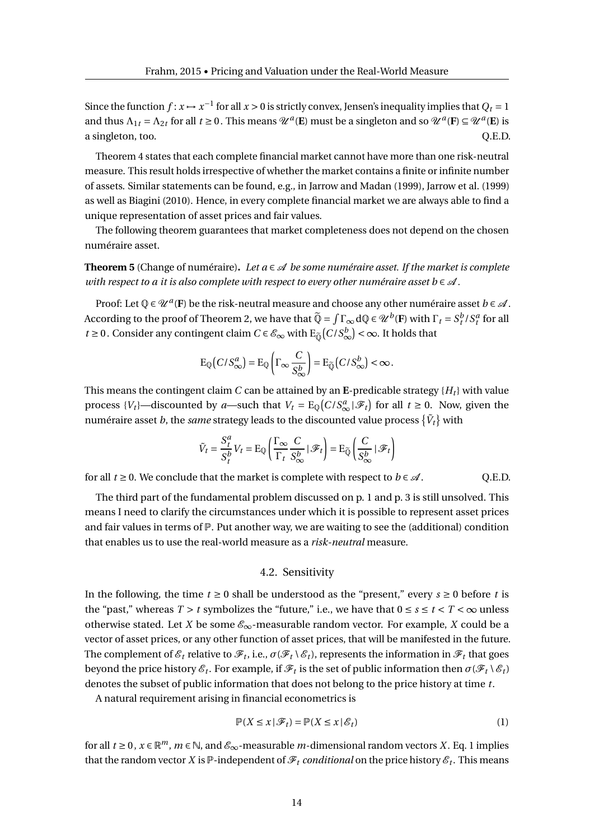Since the function  $f: x \mapsto x^{-1}$  for all  $x > 0$  is strictly convex, Jensen's inequality implies that  $Q_t = 1$ and thus  $\Lambda_{1t} = \Lambda_{2t}$  for all  $t \ge 0$ . This means  $\mathcal{U}^a(\mathbf{E})$  must be a singleton and so  $\mathcal{U}^a(\mathbf{F}) \subseteq \mathcal{U}^a(\mathbf{E})$  is a singleton, too.  $Q.E.D.$ 

Theorem 4 states that each complete financial market cannot have more than one risk-neutral measure. This result holds irrespective of whether the market contains a finite or infinite number of assets. Similar statements can be found, e.g., in Jarrow and Madan (1999), Jarrow et al. (1999) as well as Biagini (2010). Hence, in every complete financial market we are always able to find a unique representation of asset prices and fair values.

The following theorem guarantees that market completeness does not depend on the chosen numéraire asset.

**Theorem 5** (Change of numéraire). Let  $a \in \mathcal{A}$  be some numéraire asset. If the market is complete *with respect to a it is also complete with respect to every other numéraire asset b*  $\in \mathcal{A}$ .

Proof: Let  $\mathbb{Q} \in \mathcal{U}^a(\mathbf{F})$  be the risk-neutral measure and choose any other numéraire asset  $b \in \mathcal{A}$ . According to the proof of Theorem 2, we have that  $\widetilde{Q} = \int \Gamma_{\infty} dQ \in \mathcal{U}^b(\mathbf{F})$  with  $\Gamma_t = S_t^b / S_t^a$  for all *t* ≥ 0. Consider any contingent claim  $C \in \mathscr{E}_{\infty}$  with  $E_{\widetilde{\mathbb{Q}}}(C/S_{\infty}^{b}) < \infty$ . It holds that

$$
E_{\mathbb{Q}}\big(C/S_{\infty}^a\big) = E_{\mathbb{Q}}\bigg(\Gamma_{\infty}\frac{C}{S_{\infty}^b}\bigg) = E_{\widetilde{\mathbb{Q}}}\big(C/S_{\infty}^b\big) < \infty.
$$

This means the contingent claim *C* can be attained by an **E**-predicable strategy  ${H_t}$  with value process  $\{V_t\}$ —discounted by *a*—such that  $V_t = E_{\mathbb{Q}}(C/S_{\infty}^a | \mathcal{F}_t)$  for all  $t \ge 0$ . Now, given the numéraire asset  $b$ , the *same* strategy leads to the discounted value process  $\{\tilde{V}_t\}$  with

$$
\tilde{V}_t = \frac{S_t^a}{S_t^b} V_t = \mathrm{E}_{\mathbb{Q}} \left( \frac{\Gamma_{\infty}}{\Gamma_t} \frac{C}{S_{\infty}^b} \, | \, \mathcal{F}_t \right) = \mathrm{E}_{\widetilde{\mathbb{Q}}} \left( \frac{C}{S_{\infty}^b} \, | \, \mathcal{F}_t \right)
$$

for all  $t \ge 0$ . We conclude that the market is complete with respect to  $b \in \mathcal{A}$ . Q.E.D.

The third part of the fundamental problem discussed on p. 1 and p. 3 is still unsolved. This means I need to clarify the circumstances under which it is possible to represent asset prices and fair values in terms of  $\mathbb{P}$ . Put another way, we are waiting to see the (additional) condition that enables us to use the real-world measure as a *risk-neutral* measure.

#### 4.2. Sensitivity

In the following, the time *t* ≥ 0 shall be understood as the "present," every *s* ≥ 0 before *t* is the "past," whereas  $T > t$  symbolizes the "future," i.e., we have that  $0 \le s \le t < T < \infty$  unless otherwise stated. Let *X* be some  $\mathcal{E}_{\infty}$ -measurable random vector. For example, *X* could be a vector of asset prices, or any other function of asset prices, that will be manifested in the future. The complement of  $\mathscr{E}_t$  relative to  $\mathscr{F}_t$ , i.e.,  $\sigma(\mathscr{F}_t\setminus\mathscr{E}_t)$ , represents the information in  $\mathscr{F}_t$  that goes beyond the price history  $\mathscr{E}_t.$  For example, if  $\mathscr{F}_t$  is the set of public information then  $\sigma(\mathscr{F}_t \setminus \mathscr{E}_t)$ denotes the subset of public information that does not belong to the price history at time *t*.

A natural requirement arising in financial econometrics is

$$
\mathbb{P}(X \le x \,|\, \mathcal{F}_t) = \mathbb{P}(X \le x \,|\, \mathcal{E}_t) \tag{1}
$$

for all  $t \ge 0$ ,  $x \in \mathbb{R}^m$ ,  $m \in \mathbb{N}$ , and  $\mathscr{E}_{\infty}$ -measurable  $m$ -dimensional random vectors *X*. Eq. 1 implies that the random vector  $X$  is  $\mathbb P$ -independent of  $\mathscr F_t$  *conditional* on the price history  $\mathscr E_t.$  This means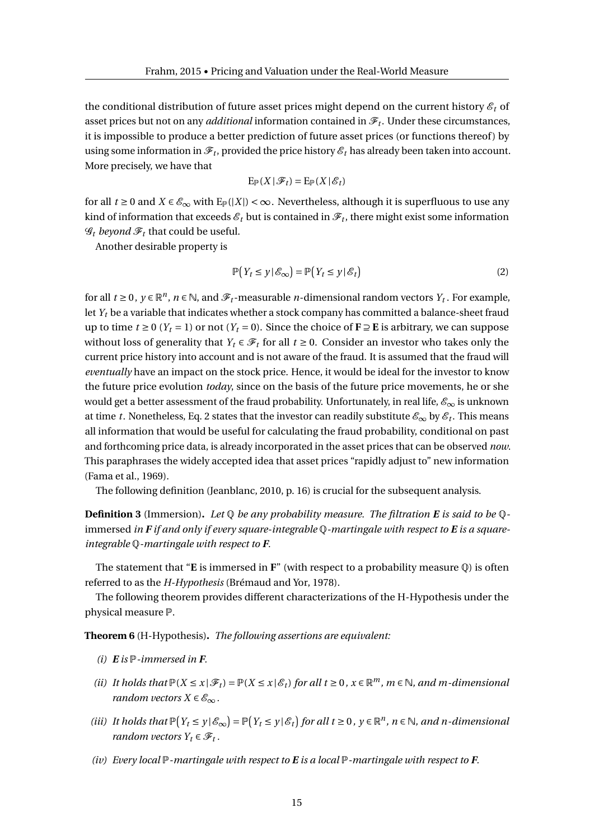the conditional distribution of future asset prices might depend on the current history  $\mathcal{E}_t$  of asset prices but not on any *additional* information contained in  $\mathscr{F}_t.$  Under these circumstances, it is impossible to produce a better prediction of future asset prices (or functions thereof) by using some information in  $\mathscr{F}_t$ , provided the price history  $\mathscr{E}_t$  has already been taken into account. More precisely, we have that

$$
\mathrm{E}_{\mathbb{P}}(X\,|\,\mathscr{F}_t)=\mathrm{E}_{\mathbb{P}}(X\,|\,\mathscr{E}_t)
$$

for all  $t \ge 0$  and  $X \in \mathcal{E}_{\infty}$  with  $E_{\mathbb{P}}(|X|) < \infty$ . Nevertheless, although it is superfluous to use any kind of information that exceeds  ${\mathscr E}_t$  but is contained in  ${\mathscr F}_t$ , there might exist some information  $\mathcal{G}_t$  *beyond*  $\mathcal{F}_t$  that could be useful.

Another desirable property is

$$
\mathbb{P}\big(Y_t \le y \,|\, \mathcal{E}_\infty\big) = \mathbb{P}\big(Y_t \le y \,|\, \mathcal{E}_t\big) \tag{2}
$$

for all  $t \ge 0$  ,  $y \in \mathbb{R}^n$ ,  $n \in \mathbb{N}$ , and  $\mathscr{F}_t$ -measurable *n*-dimensional random vectors  $Y_t$ . For example, let *Y<sup>t</sup>* be a variable that indicates whether a stock company has committed a balance-sheet fraud up to time  $t \ge 0$  ( $Y_t = 1$ ) or not ( $Y_t = 0$ ). Since the choice of **F** ⊇ **E** is arbitrary, we can suppose without loss of generality that  $Y_t \in \mathcal{F}_t$  for all  $t \geq 0$ . Consider an investor who takes only the current price history into account and is not aware of the fraud. It is assumed that the fraud will *eventually* have an impact on the stock price. Hence, it would be ideal for the investor to know the future price evolution *today*, since on the basis of the future price movements, he or she would get a better assessment of the fraud probability. Unfortunately, in real life,  $\mathscr{E}_{\infty}$  is unknown at time *t*. Nonetheless, Eq. 2 states that the investor can readily substitute  $\mathscr{E}_\infty$  by  $\mathscr{E}_t$ . This means all information that would be useful for calculating the fraud probability, conditional on past and forthcoming price data, is already incorporated in the asset prices that can be observed *now*. This paraphrases the widely accepted idea that asset prices "rapidly adjust to" new information (Fama et al., 1969).

The following definition (Jeanblanc, 2010, p. 16) is crucial for the subsequent analysis.

**Definition 3** (Immersion)**.** *Let* Q *be any probability measure. The filtration E is said to be* Qimmersed *in F if and only if every square-integrable* Q*-martingale with respect to E is a squareintegrable* Q*-martingale with respect to F.*

The statement that "**E** is immersed in **F**" (with respect to a probability measure Q) is often referred to as the *H-Hypothesis* (Brémaud and Yor, 1978).

The following theorem provides different characterizations of the H-Hypothesis under the physical measure P.

**Theorem 6** (H-Hypothesis)**.** *The following assertions are equivalent:*

- *(i)*  $E$  *is*  $P$ *-immersed in*  $F$ .
- *(ii) It holds that*  $\mathbb{P}(X \leq x | \mathcal{F}_t) = \mathbb{P}(X \leq x | \mathcal{E}_t)$  *for all*  $t \geq 0$ ,  $x \in \mathbb{R}^m$ ,  $m \in \mathbb{N}$ , and m-dimensional *random vectors*  $X \in \mathscr{E}_{\infty}$ .
- (iii) It holds that  $\mathbb{P}(Y_t \leq y | \mathcal{E}_{\infty}) = \mathbb{P}(Y_t \leq y | \mathcal{E}_t)$  for all  $t \geq 0$ ,  $y \in \mathbb{R}^n$ ,  $n \in \mathbb{N}$ , and n-dimensional *random vectors*  $Y_t \in \mathcal{F}_t$ .
- *(iv) Every local* P*-martingale with respect to E is a local* P*-martingale with respect to F.*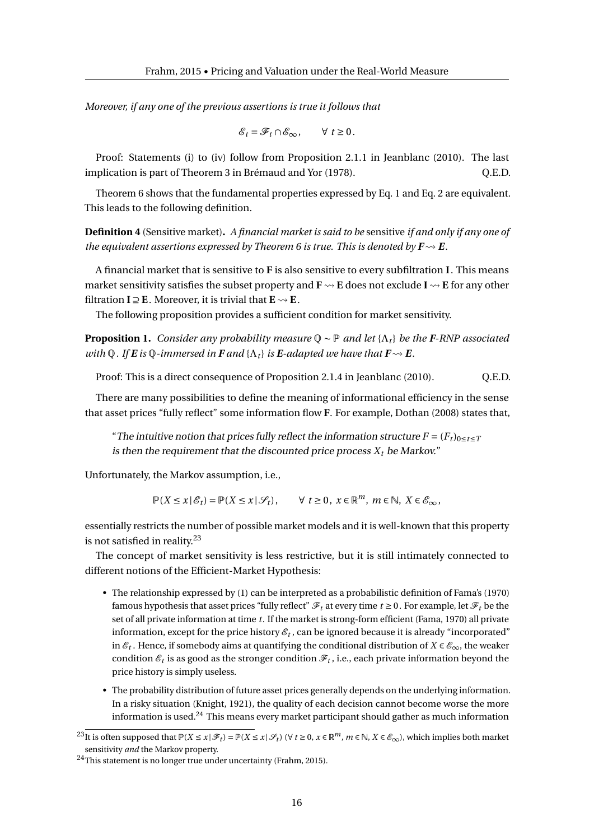*Moreover, if any one of the previous assertions is true it follows that*

$$
\mathscr{E}_t = \mathscr{F}_t \cap \mathscr{E}_{\infty}, \qquad \forall \ t \geq 0.
$$

Proof: Statements (i) to (iv) follow from Proposition 2.1.1 in Jeanblanc (2010). The last implication is part of Theorem 3 in Brémaud and Yor (1978).  $\qquad \qquad$  O.E.D.

Theorem 6 shows that the fundamental properties expressed by Eq. 1 and Eq. 2 are equivalent. This leads to the following definition.

**Definition 4** (Sensitive market)**.** *A financial market is said to be* sensitive *if and only if any one of the equivalent assertions expressed by Theorem 6 is true. This is denoted by*  $\mathbf{F} \rightarrow \mathbf{E}$ *.* 

A financial market that is sensitive to **F** is also sensitive to every subfiltration **I**. This means market sensitivity satisfies the subset property and  $\mathbf{F} \rightsquigarrow \mathbf{E}$  does not exclude  $\mathbf{I} \rightsquigarrow \mathbf{E}$  for any other filtration  $I \supseteq E$ . Moreover, it is trivial that  $E \rightarrow E$ .

The following proposition provides a sufficient condition for market sensitivity.

**Proposition 1.** *Consider any probability measure* Q ∼ P *and let* {Λ*<sup>t</sup>* } *be the F-RNP associated with*  $\mathbb{Q}$ *. If*  $\mathbf{E}$  *is*  $\mathbb{Q}$ *-immersed in*  $\mathbf{F}$  *and*  $\{\Lambda_t\}$  *is*  $\mathbf{E}$ *-adapted we have that*  $\mathbf{F} \rightarrow \mathbf{E}$ *.* 

Proof: This is a direct consequence of Proposition 2.1.4 in Jeanblanc (2010). Q.E.D.

There are many possibilities to define the meaning of informational efficiency in the sense that asset prices "fully reflect" some information flow **F**. For example, Dothan (2008) states that,

"The intuitive notion that prices fully reflect the information structure  $F = (F_t)_{0 \le t \le T}$ is then the requirement that the discounted price process  $X_t$  be Markov."

Unfortunately, the Markov assumption, i.e.,

 $\mathbb{P}(X \leq x \mid \mathscr{E}_t) = \mathbb{P}(X \leq x \mid \mathscr{S}_t), \quad \forall t \geq 0, x \in \mathbb{R}^m, m \in \mathbb{N}, X \in \mathscr{E}_{\infty},$ 

essentially restricts the number of possible market models and it is well-known that this property is not satisfied in reality. $^{23}$ 

The concept of market sensitivity is less restrictive, but it is still intimately connected to different notions of the Efficient-Market Hypothesis:

- The relationship expressed by (1) can be interpreted as a probabilistic definition of Fama's (1970) famous hypothesis that asset prices "fully reflect"  $\mathcal{F}_t$  at every time  $t \ge 0$ . For example, let  $\mathcal{F}_t$  be the set of all private information at time *t*. If the market is strong-form efficient (Fama, 1970) all private information, except for the price history  $\varepsilon_t$  , can be ignored because it is already "incorporated" in  $\mathscr{E}_t$  . Hence, if somebody aims at quantifying the conditional distribution of  $X \in \mathscr{E}_{\infty}$ , the weaker condition  $\mathscr{E}_t$  is as good as the stronger condition  $\mathscr{F}_t$  , i.e., each private information beyond the price history is simply useless.
- The probability distribution of future asset prices generally depends on the underlying information. In a risky situation (Knight, 1921), the quality of each decision cannot become worse the more information is used.<sup>24</sup> This means every market participant should gather as much information

<sup>&</sup>lt;sup>23</sup>It is often supposed that  $\mathbb{P}(X \le x \mid \mathscr{F}_t) = \mathbb{P}(X \le x \mid \mathscr{S}_t)$  ( $\forall t \ge 0, x \in \mathbb{R}^m$ ,  $m \in \mathbb{N}, X \in \mathscr{E}_{\infty}$ ), which implies both market sensitivity *and* the Markov property.

<sup>24</sup>This statement is no longer true under uncertainty (Frahm, 2015).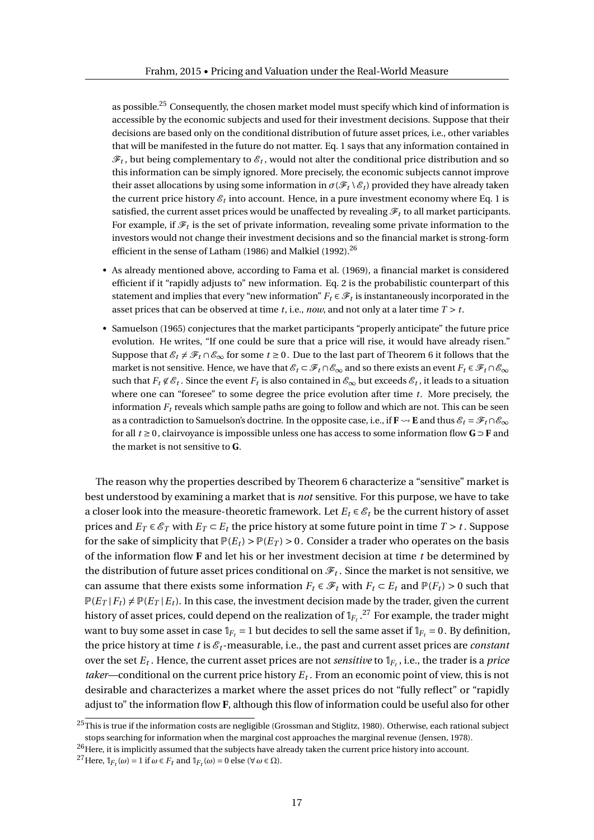as possible.<sup>25</sup> Consequently, the chosen market model must specify which kind of information is accessible by the economic subjects and used for their investment decisions. Suppose that their decisions are based only on the conditional distribution of future asset prices, i.e., other variables that will be manifested in the future do not matter. Eq. 1 says that any information contained in  $\mathscr{F}_t$  , but being complementary to  $\mathscr{E}_t$  , would not alter the conditional price distribution and so this information can be simply ignored. More precisely, the economic subjects cannot improve their asset allocations by using some information in  $\sigma(\mathcal{F}_t \setminus \mathcal{E}_t)$  provided they have already taken the current price history  $\varepsilon_t$  into account. Hence, in a pure investment economy where Eq. 1 is satisfied, the current asset prices would be unaffected by revealing  $\mathcal{F}_t$  to all market participants. For example, if  $\mathscr{F}_t$  is the set of private information, revealing some private information to the investors would not change their investment decisions and so the financial market is strong-form efficient in the sense of Latham (1986) and Malkiel (1992).<sup>26</sup>

- As already mentioned above, according to Fama et al. (1969), a financial market is considered efficient if it "rapidly adjusts to" new information. Eq. 2 is the probabilistic counterpart of this statement and implies that every "new information"  $F_t \in \mathscr{F}_t$  is instantaneously incorporated in the asset prices that can be observed at time *t*, i.e., *now*, and not only at a later time *T* > *t*.
- Samuelson (1965) conjectures that the market participants "properly anticipate" the future price evolution. He writes, "If one could be sure that a price will rise, it would have already risen." Suppose that  $\mathscr{E}_t \neq \mathscr{F}_t \cap \mathscr{E}_{\infty}$  for some  $t \geq 0$ . Due to the last part of Theorem 6 it follows that the market is not sensitive. Hence, we have that  $\mathscr{E}_t \subset \mathscr{F}_t \cap \mathscr{E}_{\infty}$  and so there exists an event  $F_t \in \mathscr{F}_t \cap \mathscr{E}_{\infty}$ such that  $F_t \not\in \mathscr{E}_t$  . Since the event  $F_t$  is also contained in  $\mathscr{E}_\infty$  but exceeds  $\mathscr{E}_t$  , it leads to a situation where one can "foresee" to some degree the price evolution after time *t*. More precisely, the information  $F_t$  reveals which sample paths are going to follow and which are not. This can be seen as a contradiction to Samuelson's doctrine. In the opposite case, i.e., if  $\mathbf{F} \leadsto \mathbf{E}$  and thus  $\mathcal{E}_t = \mathcal{F}_t \cap \mathcal{E}_{\infty}$ for all *t* ≥ 0, clairvoyance is impossible unless one has access to some information flow **G** ⊃ **F** and the market is not sensitive to **G**.

The reason why the properties described by Theorem 6 characterize a "sensitive" market is best understood by examining a market that is *not* sensitive. For this purpose, we have to take a closer look into the measure-theoretic framework. Let  $E_t \in \mathcal{E}_t$  be the current history of asset prices and  $E_T \in \mathscr{E}_T$  with  $E_T \subset E_t$  the price history at some future point in time  $T > t$ . Suppose for the sake of simplicity that  $P(E_t) > P(E_T) > 0$ . Consider a trader who operates on the basis of the information flow **F** and let his or her investment decision at time *t* be determined by the distribution of future asset prices conditional on  $\mathscr{F}_t.$  Since the market is not sensitive, we can assume that there exists some information  $F_t \in \mathcal{F}_t$  with  $F_t \subset E_t$  and  $\mathbb{P}(F_t) > 0$  such that  $\mathbb{P}(E_T | F_t) \neq \mathbb{P}(E_T | E_t)$ . In this case, the investment decision made by the trader, given the current history of asset prices, could depend on the realization of  $\mathbb{1}_{F_t}$  .<sup>27</sup> For example, the trader might want to buy some asset in case  $\mathbb{1}_{F_t} = 1$  but decides to sell the same asset if  $\mathbb{1}_{F_t} = 0$ . By definition, the price history at time  $t$  is  $\mathcal{E}_t$ -measurable, i.e., the past and current asset prices are *constant* over the set  $E_t$  . Hence, the current asset prices are not *sensitive* to  $\mathbb{1}_{F_t}$ , i.e., the trader is a *price taker*—conditional on the current price history *E<sup>t</sup>* . From an economic point of view, this is not desirable and characterizes a market where the asset prices do not "fully reflect" or "rapidly adjust to" the information flow **F**, although this flow of information could be useful also for other

 $25$ This is true if the information costs are negligible (Grossman and Stiglitz, 1980). Otherwise, each rational subject stops searching for information when the marginal cost approaches the marginal revenue (Jensen, 1978).

<sup>&</sup>lt;sup>26</sup>Here, it is implicitly assumed that the subjects have already taken the current price history into account.

 $^{27}$  Here,  $\mathbb{I}_{F_t}(\omega) = 1$  if  $\omega \in F_t$  and  $\mathbb{I}_{F_t}(\omega) = 0$  else ( $\forall \omega \in \Omega$ ).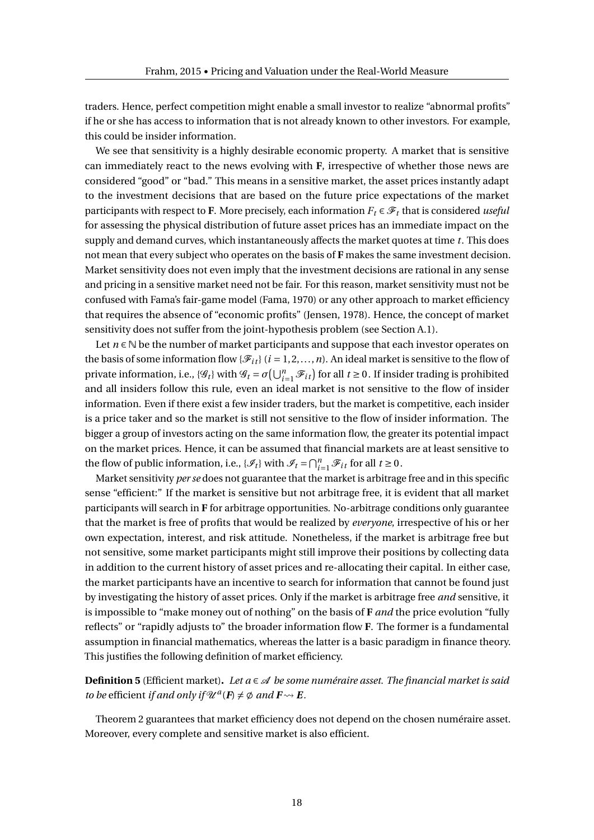traders. Hence, perfect competition might enable a small investor to realize "abnormal profits" if he or she has access to information that is not already known to other investors. For example, this could be insider information.

We see that sensitivity is a highly desirable economic property. A market that is sensitive can immediately react to the news evolving with **F**, irrespective of whether those news are considered "good" or "bad." This means in a sensitive market, the asset prices instantly adapt to the investment decisions that are based on the future price expectations of the market participants with respect to **F**. More precisely, each information  $F_t \in \mathcal{F}_t$  that is considered *useful* for assessing the physical distribution of future asset prices has an immediate impact on the supply and demand curves, which instantaneously affects the market quotes at time *t*. This does not mean that every subject who operates on the basis of **F** makes the same investment decision. Market sensitivity does not even imply that the investment decisions are rational in any sense and pricing in a sensitive market need not be fair. For this reason, market sensitivity must not be confused with Fama's fair-game model (Fama, 1970) or any other approach to market efficiency that requires the absence of "economic profits" (Jensen, 1978). Hence, the concept of market sensitivity does not suffer from the joint-hypothesis problem (see Section A.1).

Let  $n \in \mathbb{N}$  be the number of market participants and suppose that each investor operates on the basis of some information flow { $\mathcal{F}_{it}$ } ( $i = 1, 2, ..., n$ ). An ideal market is sensitive to the flow of private information, i.e.,  $\{\mathscr{G}_t\}$  with  $\mathscr{G}_t = \sigma\left(\bigcup_{i=1}^n \mathscr{F}_{it}\right)$  for all  $t \ge 0$ . If insider trading is prohibited and all insiders follow this rule, even an ideal market is not sensitive to the flow of insider information. Even if there exist a few insider traders, but the market is competitive, each insider is a price taker and so the market is still not sensitive to the flow of insider information. The bigger a group of investors acting on the same information flow, the greater its potential impact on the market prices. Hence, it can be assumed that financial markets are at least sensitive to the flow of public information, i.e.,  $\{\mathcal{I}_t\}$  with  $\mathcal{I}_t = \bigcap_{i=1}^n \mathcal{F}_{it}$  for all  $t \ge 0$ .

Market sensitivity *per se* does not guarantee that the market is arbitrage free and in this specific sense "efficient:" If the market is sensitive but not arbitrage free, it is evident that all market participants will search in **F** for arbitrage opportunities. No-arbitrage conditions only guarantee that the market is free of profits that would be realized by *everyone*, irrespective of his or her own expectation, interest, and risk attitude. Nonetheless, if the market is arbitrage free but not sensitive, some market participants might still improve their positions by collecting data in addition to the current history of asset prices and re-allocating their capital. In either case, the market participants have an incentive to search for information that cannot be found just by investigating the history of asset prices. Only if the market is arbitrage free *and* sensitive, it is impossible to "make money out of nothing" on the basis of **F** *and* the price evolution "fully reflects" or "rapidly adjusts to" the broader information flow **F**. The former is a fundamental assumption in financial mathematics, whereas the latter is a basic paradigm in finance theory. This justifies the following definition of market efficiency.

**Definition 5** (Efficient market)**.** *Let a* ∈ A *be some numéraire asset. The financial market is said to be* efficient *if and only if*  $\mathcal{U}^a$  ( $F$ )  $\neq \emptyset$  *and*  $F \rightsquigarrow E$ *.* 

Theorem 2 guarantees that market efficiency does not depend on the chosen numéraire asset. Moreover, every complete and sensitive market is also efficient.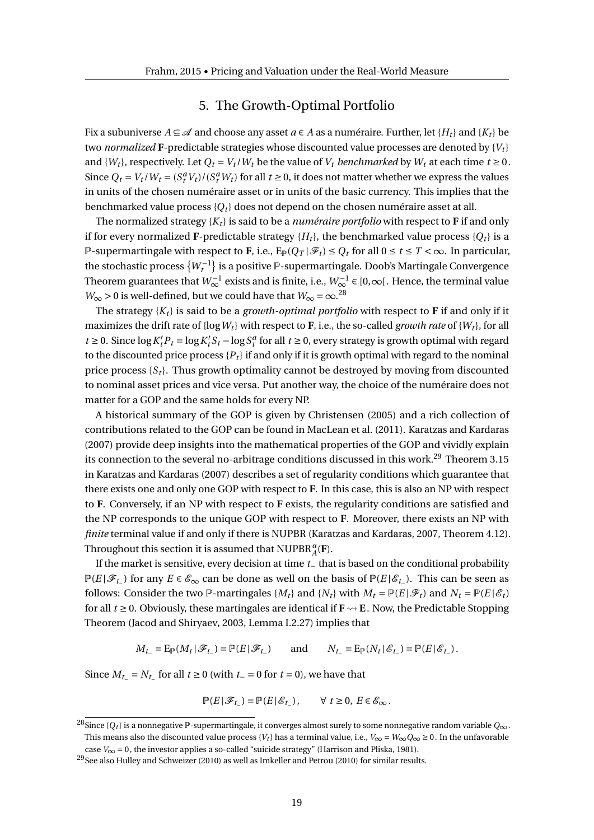## 5. The Growth-Optimal Portfolio

Fix a subuniverse  $A \subseteq \mathcal{A}$  and choose any asset  $a \in A$  as a numéraire. Further, let  $\{H_t\}$  and  $\{K_t\}$  be two *normalized* **F**-predictable strategies whose discounted value processes are denoted by {*V<sup>t</sup>* } and  $\{W_t\}$ , respectively. Let  $Q_t = V_t / W_t$  be the value of  $V_t$  *benchmarked* by  $W_t$  at each time  $t \ge 0$ . Since  $Q_t = V_t/W_t = (S_t^a V_t) / (S_t^a W_t)$  for all  $t \ge 0$ , it does not matter whether we express the values in units of the chosen numéraire asset or in units of the basic currency. This implies that the benchmarked value process {*Q<sup>t</sup>* } does not depend on the chosen numéraire asset at all.

The normalized strategy {*K<sup>t</sup>* } is said to be a *numéraire portfolio* with respect to **F** if and only if for every normalized **F**-predictable strategy  $\{H_t\}$ , the benchmarked value process  $\{O_t\}$  is a P-supermartingale with respect to F, i.e.,  $E_{\mathbb{P}}(Q_T | \mathscr{F}_t) \leq Q_t$  for all  $0 \leq t \leq T < \infty$ . In particular, the stochastic process  $\{W_t^{-1}\}$  is a positive  ${\mathbb P}$ -supermartingale. Doob's Martingale Convergence Theorem guarantees that  $W^{-1}_\infty$  exists and is finite, i.e.,  $W^{-1}_\infty$  ∈ [0,∞[. Hence, the terminal value  $W_{\infty} > 0$  is well-defined, but we could have that  $W_{\infty} = \infty$ .<sup>28</sup>

The strategy  ${K_t}$  is said to be a *growth-optimal portfolio* with respect to **F** if and only if it maximizes the drift rate of  $\{ \log W_t \}$  with respect to **F**, i.e., the so-called *growth rate* of  $\{W_t\}$ , for all  $t \geq 0$ . Since  $\log K_t^l P_t = \log K_t^l$  $t$ <sup>*t*</sup><sub>*s*</sub>  $t$  − log *S*<sup>*a*</sup><sub>*f*</sub> for all *t* ≥ 0, every strategy is growth optimal with regard to the discounted price process  $\{P_t\}$  if and only if it is growth optimal with regard to the nominal price process  $\{S_t\}$ . Thus growth optimality cannot be destroyed by moving from discounted to nominal asset prices and vice versa. Put another way, the choice of the numéraire does not matter for a GOP and the same holds for every NP.

A historical summary of the GOP is given by Christensen (2005) and a rich collection of contributions related to the GOP can be found in MacLean et al. (2011). Karatzas and Kardaras (2007) provide deep insights into the mathematical properties of the GOP and vividly explain its connection to the several no-arbitrage conditions discussed in this work.<sup>29</sup> Theorem 3.15 in Karatzas and Kardaras (2007) describes a set of regularity conditions which guarantee that there exists one and only one GOP with respect to **F**. In this case, this is also an NP with respect to **F**. Conversely, if an NP with respect to **F** exists, the regularity conditions are satisfied and the NP corresponds to the unique GOP with respect to **F**. Moreover, there exists an NP with *finite* terminal value if and only if there is NUPBR (Karatzas and Kardaras, 2007, Theorem 4.12). Throughout this section it is assumed that  $\text{NUPBR}_{A}^{a}(\mathbf{F})$ .

If the market is sensitive, every decision at time *t*− that is based on the conditional probability P(*E*| $\mathscr{F}_t$ ) for any *E* ∈  $\mathscr{E}_{\infty}$  can be done as well on the basis of  $\mathbb{P}(E|\mathscr{E}_{t-})$ . This can be seen as follows: Consider the two  $\mathbb{P}$ -martingales { $M_t$ } and { $N_t$ } with  $M_t = \mathbb{P}(E|\mathcal{F}_t)$  and  $N_t = \mathbb{P}(E|\mathcal{E}_t)$ for all  $t \ge 0$ . Obviously, these martingales are identical if  $\mathbf{F} \rightsquigarrow \mathbf{E}$ . Now, the Predictable Stopping Theorem (Jacod and Shiryaev, 2003, Lemma I.2.27) implies that

 $M_t = \mathbb{E}_{\mathbb{P}}(M_t | \mathcal{F}_{t-}) = \mathbb{P}(E | \mathcal{F}_{t-})$  and  $N_t = \mathbb{E}_{\mathbb{P}}(N_t | \mathcal{E}_{t-}) = \mathbb{P}(E | \mathcal{E}_{t-})$ .

Since  $M_{t-} = N_{t-}$  for all  $t \ge 0$  (with  $t-$  = 0 for  $t = 0$ ), we have that

$$
\mathbb{P}(E|\mathscr{F}_{t-}) = \mathbb{P}(E|\mathscr{E}_{t-}), \qquad \forall \ t \ge 0, \ E \in \mathscr{E}_{\infty}.
$$

<sup>28</sup>Since {*Q<sup>t</sup>* } is a nonnegative P-supermartingale, it converges almost surely to some nonnegative random variable *Q*<sup>∞</sup> . This means also the discounted value process  $\{V_t\}$  has a terminal value, i.e.,  $V_\infty = W_\infty Q_\infty \ge 0$ . In the unfavorable

case  $V_{\infty} = 0$ , the investor applies a so-called "suicide strategy" (Harrison and Pliska, 1981).

 $^{29}\rm{See}$  also Hulley and Schweizer (2010) as well as Imkeller and Petrou (2010) for similar results.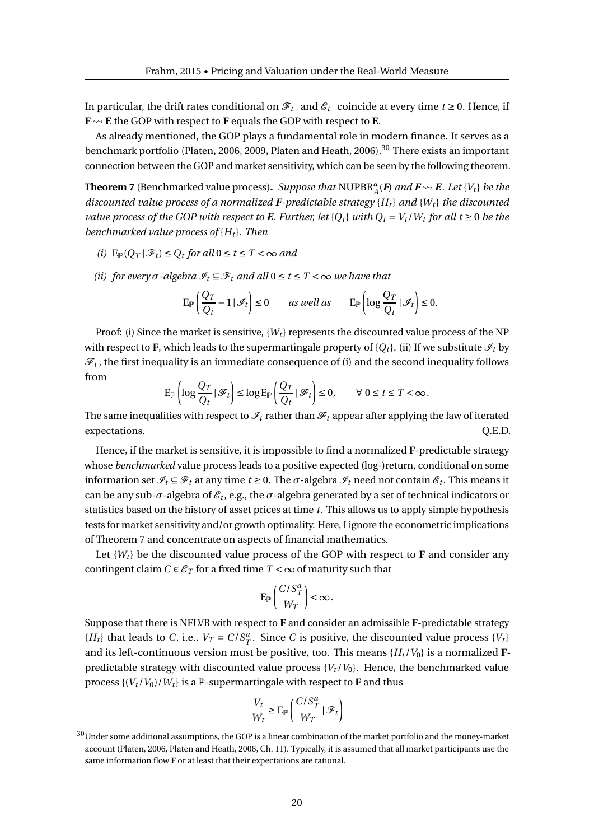In particular, the drift rates conditional on F*t*<sup>−</sup> and E*t*<sup>−</sup> coincide at every time *t* ≥ 0. Hence, if  $\mathbf{F} \rightarrow \mathbf{E}$  the GOP with respect to **F** equals the GOP with respect to **E**.

As already mentioned, the GOP plays a fundamental role in modern finance. It serves as a benchmark portfolio (Platen, 2006, 2009, Platen and Heath, 2006).<sup>30</sup> There exists an important connection between the GOP and market sensitivity, which can be seen by the following theorem.

**Theorem 7** (Benchmarked value process). Suppose that  $\text{NUPBR}_{A}^{a}(F)$  and  $F \rightsquigarrow E$ . Let  $\{V_t\}$  be the *discounted value process of a normalized F-predictable strategy*  ${H_t}$  *and*  ${W_t}$  *the discounted value process of the GOP with respect to E. Further, let*  $\{Q_t\}$  *with*  $Q_t = V_t / W_t$  *for all*  $t \ge 0$  *be the benchmarked value process of* {*H<sup>t</sup>* }*. Then*

- *(i)*  $E_{\mathbb{P}}(Q_T | \mathcal{F}_t) \leq Q_t$  for all  $0 \leq t \leq T < \infty$  and
- *(ii)* for every  $\sigma$ -algebra  $\mathcal{I}_t \subseteq \mathcal{F}_t$  and all  $0 \le t \le T < \infty$  we have that

$$
\operatorname{E}_{\mathbb{P}}\left(\frac{Q_T}{Q_t} - 1\,|\,\mathscr{I}_t\right) \le 0 \qquad \text{as well as} \qquad \operatorname{E}_{\mathbb{P}}\left(\log\frac{Q_T}{Q_t}\,|\,\mathscr{I}_t\right) \le 0.
$$

Proof: (i) Since the market is sensitive, {*W<sup>t</sup>* } represents the discounted value process of the NP with respect to **F**, which leads to the supermartingale property of  ${Q_t}$ . (ii) If we substitute  $\mathcal{I}_t$  by  $\mathscr{F}_t$  , the first inequality is an immediate consequence of (i) and the second inequality follows from

$$
\mathrm{E}_{\mathbb{P}}\left(\log\frac{Q_T}{Q_t}\,|\,\mathscr{F}_t\right)\leq\log\mathrm{E}_{\mathbb{P}}\left(\frac{Q_T}{Q_t}\,|\,\mathscr{F}_t\right)\leq 0,\qquad\forall\;0\leq t\leq T<\infty.
$$

The same inequalities with respect to  $\mathcal{I}_t$  rather than  $\mathcal{F}_t$  appear after applying the law of iterated expectations.  $Q.E.D.$ 

Hence, if the market is sensitive, it is impossible to find a normalized **F**-predictable strategy whose *benchmarked* value process leads to a positive expected (log-)return, conditional on some information set  $\mathscr{I}_t \subseteq \mathscr{F}_t$  at any time  $t \ge 0$ . The  $\sigma$ -algebra  $\mathscr{I}_t$  need not contain  $\mathscr{E}_t$ . This means it can be any sub- $\sigma$ -algebra of  $\mathscr{E}_t$ , e.g., the  $\sigma$ -algebra generated by a set of technical indicators or statistics based on the history of asset prices at time *t*. This allows us to apply simple hypothesis tests for market sensitivity and/or growth optimality. Here, I ignore the econometric implications of Theorem 7 and concentrate on aspects of financial mathematics.

Let  $\{W_t\}$  be the discounted value process of the GOP with respect to **F** and consider any contingent claim  $C \in \mathcal{E}_T$  for a fixed time  $T < \infty$  of maturity such that

$$
\mathbf{E}_{\mathbb{P}}\left(\frac{C/S_T^a}{W_T}\right)<\infty.
$$

Suppose that there is NFLVR with respect to **F** and consider an admissible **F**-predictable strategy  ${H_t}$  that leads to *C*, i.e.,  $V_T = C/S_T^a$ . Since *C* is positive, the discounted value process  ${V_t}$ and its left-continuous version must be positive, too. This means {*H<sup>t</sup>* /*V*0} is a normalized **F**predictable strategy with discounted value process  ${V_t / V_0}$ . Hence, the benchmarked value process  $\{(V_t / V_0) / W_t\}$  is a P-supermartingale with respect to **F** and thus

$$
\frac{V_t}{W_t} \ge \mathcal{E}_{\mathbb{P}}\left(\frac{C/S_T^a}{W_T} \,|\, \mathcal{F}_t\right)
$$

 $^{30}\overline{\rm Under}$  some additional assumptions, the GOP is a linear combination of the market portfolio and the money-market account (Platen, 2006, Platen and Heath, 2006, Ch. 11). Typically, it is assumed that all market participants use the same information flow **F** or at least that their expectations are rational.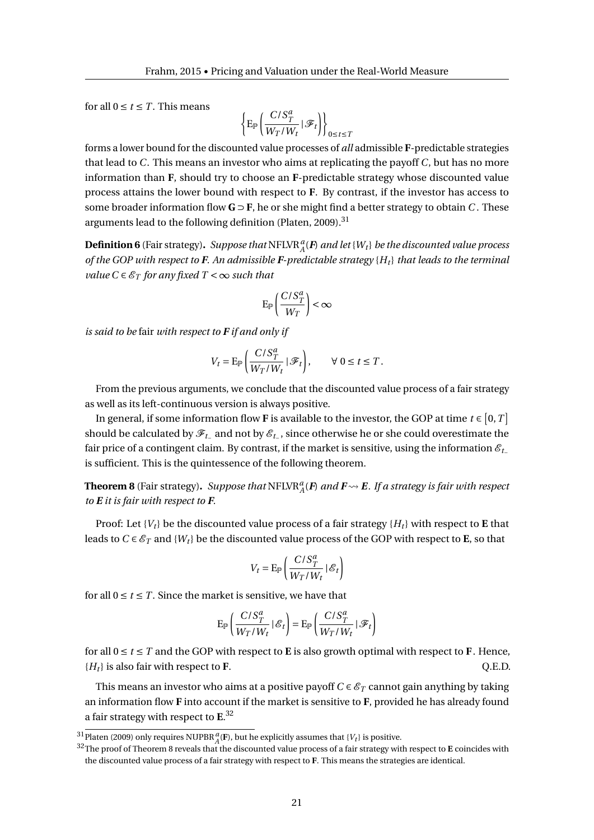for all  $0 \le t \le T$ . This means

$$
\left\{\operatorname{E}_\mathbb{P}\left(\frac{C/S_T^a}{W_T/W_t}\,|\,\mathcal{F}_t\right)\right\}_{0\leq t\leq T}
$$

forms a lower bound for the discounted value processes of *all* admissible **F**-predictable strategies that lead to *C*. This means an investor who aims at replicating the payoff *C*, but has no more information than **F**, should try to choose an **F**-predictable strategy whose discounted value process attains the lower bound with respect to **F**. By contrast, if the investor has access to some broader information flow  $\mathbf{G} \supset \mathbf{F}$ , he or she might find a better strategy to obtain *C*. These arguments lead to the following definition (Platen, 2009).<sup>31</sup>

**Definition 6** (Fair strategy). *Suppose that*  $\text{NFLVR}_{A}^{a}(F)$  *and let* { $W_t$ } *be the discounted value process of the GOP with respect to F. An admissible F-predictable strategy* {*H<sup>t</sup>* } *that leads to the terminal value*  $C \in \mathcal{E}_T$  *for any fixed*  $T < \infty$  *such that* 

$$
\mathrm{E}_{\mathbb{P}}\left(\frac{C/S_T^a}{W_T}\right)<\infty
$$

*is said to be* fair *with respect to F if and only if*

$$
V_t = \mathbf{E}_{\mathbb{P}} \left( \frac{C/S_T^a}{W_T/W_t} \, | \, \mathcal{F}_t \right), \qquad \forall \; 0 \leq t \leq T \, .
$$

From the previous arguments, we conclude that the discounted value process of a fair strategy as well as its left-continuous version is always positive.

In general, if some information flow **F** is available to the investor, the GOP at time  $t \in [0, T]$ should be calculated by  $\mathscr{F}_{t_-}$  and not by  $\mathscr{E}_{t_-}$ , since otherwise he or she could overestimate the fair price of a contingent claim. By contrast, if the market is sensitive, using the information  $\mathcal{E}_t$ is sufficient. This is the quintessence of the following theorem.

**Theorem 8** (Fair strategy). Suppose that  $\text{NFLVR}_{A}^{a}(F)$  and  $F \rightsquigarrow E$  . If a strategy is fair with respect *to E it is fair with respect to F.*

Proof: Let  $\{V_t\}$  be the discounted value process of a fair strategy  $\{H_t\}$  with respect to **E** that leads to  $C \in \mathcal{E}_T$  and  $\{W_t\}$  be the discounted value process of the GOP with respect to **E**, so that

$$
V_t = \mathrm{E}_{\mathbb{P}}\left(\frac{C/S_T^a}{W_T/W_t}\,|\,\mathcal{E}_t\right)
$$

for all  $0 \le t \le T$ . Since the market is sensitive, we have that

$$
\mathrm{E}_{\mathbb{P}}\left(\frac{C/S_T^a}{W_T/W_t}\,|\,\mathcal{E}_t\right)=\mathrm{E}_{\mathbb{P}}\left(\frac{C/S_T^a}{W_T/W_t}\,|\,\mathcal{F}_t\right)
$$

for all  $0 \le t \le T$  and the GOP with respect to **E** is also growth optimal with respect to **F**. Hence,  ${H_t}$  is also fair with respect to **F**.  ${Q.E.D.}$ 

This means an investor who aims at a positive payoff  $C \in \mathcal{E}_T$  cannot gain anything by taking an information flow **F** into account if the market is sensitive to **F**, provided he has already found a fair strategy with respect to **E**. 32

 $^{31}$ Platen (2009) only requires NUPBR $_{A}^{a}$ (**F**), but he explicitly assumes that {*V<sub>t</sub>*} is positive.

 $\frac{32}{2}$ The proof of Theorem 8 reveals that the discounted value process of a fair strategy with respect to **E** coincides with the discounted value process of a fair strategy with respect to **F**. This means the strategies are identical.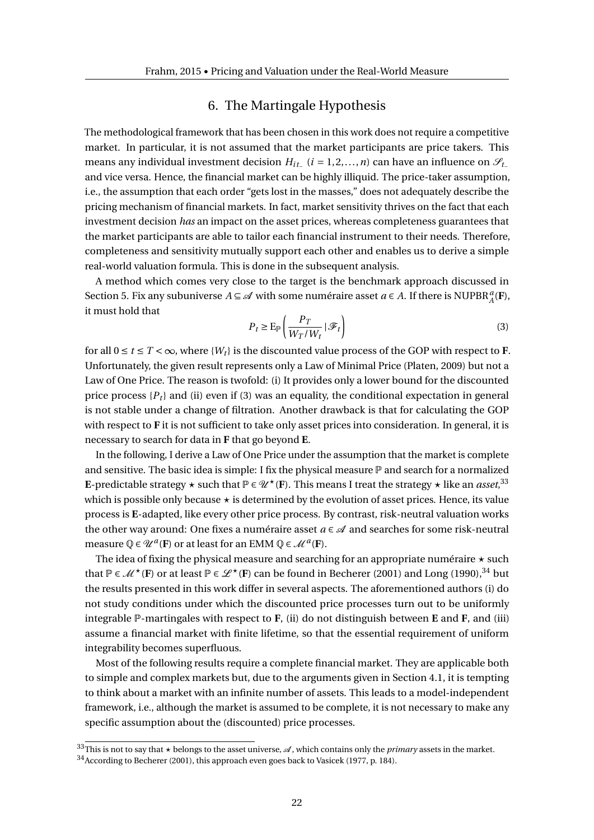## 6. The Martingale Hypothesis

The methodological framework that has been chosen in this work does not require a competitive market. In particular, it is not assumed that the market participants are price takers. This means any individual investment decision  $H_{it-}$  ( $i = 1, 2, ..., n$ ) can have an influence on  $\mathscr{S}_{t-}$ and vice versa. Hence, the financial market can be highly illiquid. The price-taker assumption, i.e., the assumption that each order "gets lost in the masses," does not adequately describe the pricing mechanism of financial markets. In fact, market sensitivity thrives on the fact that each investment decision *has* an impact on the asset prices, whereas completeness guarantees that the market participants are able to tailor each financial instrument to their needs. Therefore, completeness and sensitivity mutually support each other and enables us to derive a simple real-world valuation formula. This is done in the subsequent analysis.

A method which comes very close to the target is the benchmark approach discussed in Section 5. Fix any subuniverse  $A \subseteq \mathcal{A}$  with some numéraire asset  $a \in A$ . If there is NUPBR<sup>*a*</sup><sub>*A*</sub>(**F**), it must hold that

$$
P_t \ge \mathcal{E}_{\mathbb{P}}\left(\frac{P_T}{W_T/W_t} \,|\,\mathcal{F}_t\right) \tag{3}
$$

for all  $0 \le t \le T < \infty$ , where  $\{W_t\}$  is the discounted value process of the GOP with respect to **F**. Unfortunately, the given result represents only a Law of Minimal Price (Platen, 2009) but not a Law of One Price. The reason is twofold: (i) It provides only a lower bound for the discounted price process  ${P_t}$  and (ii) even if (3) was an equality, the conditional expectation in general is not stable under a change of filtration. Another drawback is that for calculating the GOP with respect to **F** it is not sufficient to take only asset prices into consideration. In general, it is necessary to search for data in **F** that go beyond **E**.

In the following, I derive a Law of One Price under the assumption that the market is complete and sensitive. The basic idea is simple: I fix the physical measure  $\mathbb P$  and search for a normalized **E**-predictable strategy  $\star$  such that  $\mathbb{P} \in \mathscr{U}^{\star}(\mathbf{F})$ . This means I treat the strategy  $\star$  like an *asset*,  $^{33}$ which is possible only because  $\star$  is determined by the evolution of asset prices. Hence, its value process is **E**-adapted, like every other price process. By contrast, risk-neutral valuation works the other way around: One fixes a numéraire asset  $a \in \mathcal{A}$  and searches for some risk-neutral measure  $\mathbb{Q} \in \mathcal{U}^a(F)$  or at least for an EMM  $\mathbb{Q} \in \mathcal{M}^a(F)$ .

The idea of fixing the physical measure and searching for an appropriate numéraire  $\star$  such that  $\mathbb{P} \in \mathcal{M}^{\star}(\mathbf{F})$  or at least  $\mathbb{P} \in \mathcal{L}^{\star}(\mathbf{F})$  can be found in Becherer (2001) and Long (1990),<sup>34</sup> but the results presented in this work differ in several aspects. The aforementioned authors (i) do not study conditions under which the discounted price processes turn out to be uniformly integrable P-martingales with respect to **F**, (ii) do not distinguish between **E** and **F**, and (iii) assume a financial market with finite lifetime, so that the essential requirement of uniform integrability becomes superfluous.

Most of the following results require a complete financial market. They are applicable both to simple and complex markets but, due to the arguments given in Section 4.1, it is tempting to think about a market with an infinite number of assets. This leads to a model-independent framework, i.e., although the market is assumed to be complete, it is not necessary to make any specific assumption about the (discounted) price processes.

 $33$ This is not to say that  $\star$  belongs to the asset universe,  $\mathcal A$ , which contains only the *primary* assets in the market.

<sup>34</sup>According to Becherer (2001), this approach even goes back to Vasicek (1977, p. 184).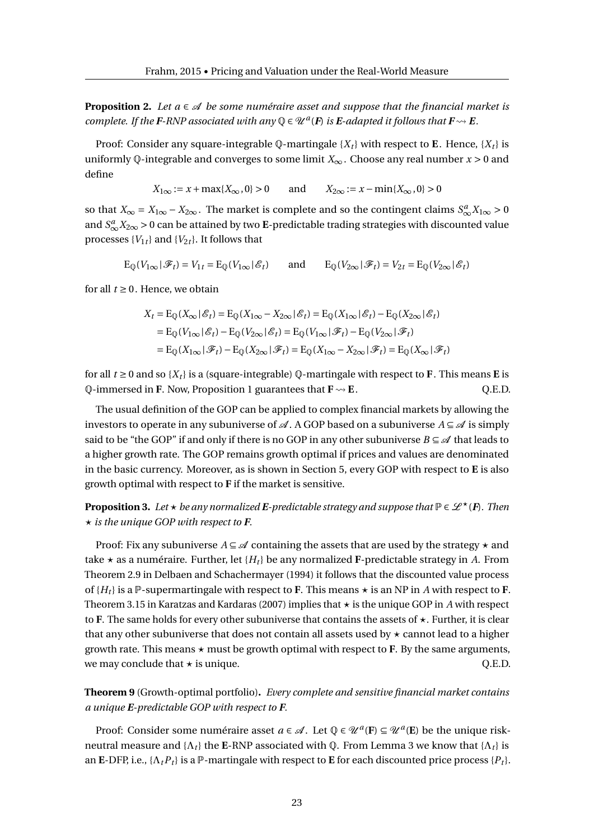**Proposition 2.** Let  $a \in \mathcal{A}$  be some numéraire asset and suppose that the financial market is *complete. If the F-RNP associated with any*  $\mathbb{Q} \in \mathcal{U}^a(F)$  *is E-adapted it follows that*  $F \rightsquigarrow E$ *.* 

Proof: Consider any square-integrable Q-martingale  $\{X_t\}$  with respect to **E**. Hence,  $\{X_t\}$  is uniformly Q-integrable and converges to some limit  $X_\infty$ . Choose any real number  $x > 0$  and define

 $X_{1\infty} := x + \max\{X_{\infty}, 0\} > 0$  and  $X_{2\infty} := x - \min\{X_{\infty}, 0\} > 0$ 

so that  $X_\infty = X_{1\infty} - X_{2\infty}$ . The market is complete and so the contingent claims  $S_\infty^a X_{1\infty} > 0$ and  $S_{\infty}^{a}X_{2\infty}$  > 0 can be attained by two **E**-predictable trading strategies with discounted value processes  ${V_1}_t$  and  ${V_2}_t$ . It follows that

 $E_0(V_{1\infty}|\mathscr{F}_t) = V_{1t} = E_0(V_{1\infty}|\mathscr{E}_t)$  and  $E_0(V_{2\infty}|\mathscr{F}_t) = V_{2t} = E_0(V_{2\infty}|\mathscr{E}_t)$ 

for all  $t \geq 0$ . Hence, we obtain

$$
X_t = \mathcal{E}_{\mathbb{Q}}(X_{\infty} | \mathcal{E}_t) = \mathcal{E}_{\mathbb{Q}}(X_{1\infty} - X_{2\infty} | \mathcal{E}_t) = \mathcal{E}_{\mathbb{Q}}(X_{1\infty} | \mathcal{E}_t) - \mathcal{E}_{\mathbb{Q}}(X_{2\infty} | \mathcal{E}_t)
$$
  
\n
$$
= \mathcal{E}_{\mathbb{Q}}(V_{1\infty} | \mathcal{E}_t) - \mathcal{E}_{\mathbb{Q}}(V_{2\infty} | \mathcal{E}_t) = \mathcal{E}_{\mathbb{Q}}(V_{1\infty} | \mathcal{F}_t) - \mathcal{E}_{\mathbb{Q}}(V_{2\infty} | \mathcal{F}_t)
$$
  
\n
$$
= \mathcal{E}_{\mathbb{Q}}(X_{1\infty} | \mathcal{F}_t) - \mathcal{E}_{\mathbb{Q}}(X_{2\infty} | \mathcal{F}_t) = \mathcal{E}_{\mathbb{Q}}(X_{1\infty} - X_{2\infty} | \mathcal{F}_t) = \mathcal{E}_{\mathbb{Q}}(X_{\infty} | \mathcal{F}_t)
$$

for all  $t \geq 0$  and so  $\{X_t\}$  is a (square-integrable) Q-martingale with respect to **F**. This means **E** is  $\Phi$ -immersed in **F**. Now, Proposition 1 guarantees that  $\mathbf{F} \rightsquigarrow \mathbf{E}$ . Q.E.D.

The usual definition of the GOP can be applied to complex financial markets by allowing the investors to operate in any subuniverse of  $\mathcal A$ . A GOP based on a subuniverse  $A \subseteq \mathcal A$  is simply said to be "the GOP" if and only if there is no GOP in any other subuniverse  $B \subseteq \mathscr{A}$  that leads to a higher growth rate. The GOP remains growth optimal if prices and values are denominated in the basic currency. Moreover, as is shown in Section 5, every GOP with respect to **E** is also growth optimal with respect to **F** if the market is sensitive.

**Proposition 3.** *Let*  $\star$  *be any normalized E-predictable strategy and suppose that*  $\mathbb{P} \in \mathcal{L}^{\star}(\mathbf{F})$ *. Then*  $\star$  *is the unique GOP with respect to F.* 

Proof: Fix any subuniverse  $A \subseteq \mathcal{A}$  containing the assets that are used by the strategy  $\star$  and take  $\star$  as a numéraire. Further, let  $\{H_t\}$  be any normalized **F**-predictable strategy in *A*. From Theorem 2.9 in Delbaen and Schachermayer (1994) it follows that the discounted value process of  ${H_t}$  is a P-supermartingale with respect to F. This means  $\star$  is an NP in *A* with respect to F. Theorem 3.15 in Karatzas and Kardaras (2007) implies that  $\star$  is the unique GOP in *A* with respect to **F**. The same holds for every other subuniverse that contains the assets of  $\star$ . Further, it is clear that any other subuniverse that does not contain all assets used by  $\star$  cannot lead to a higher growth rate. This means  $\star$  must be growth optimal with respect to  $F$ . By the same arguments, we may conclude that  $\star$  is unique.  $Q.E.D.$ 

**Theorem 9** (Growth-optimal portfolio)**.** *Every complete and sensitive financial market contains a unique E-predictable GOP with respect to F.*

Proof: Consider some numéraire asset  $a \in \mathcal{A}$ . Let  $\mathbb{Q} \in \mathcal{U}^a(F) \subseteq \mathcal{U}^a(E)$  be the unique riskneutral measure and  $\{\Lambda_t\}$  the **E**-RNP associated with  $\varphi$ . From Lemma 3 we know that  $\{\Lambda_t\}$  is an **E**-DFP, i.e.,  $\{\Lambda_t P_t\}$  is a P-martingale with respect to **E** for each discounted price process  $\{P_t\}$ .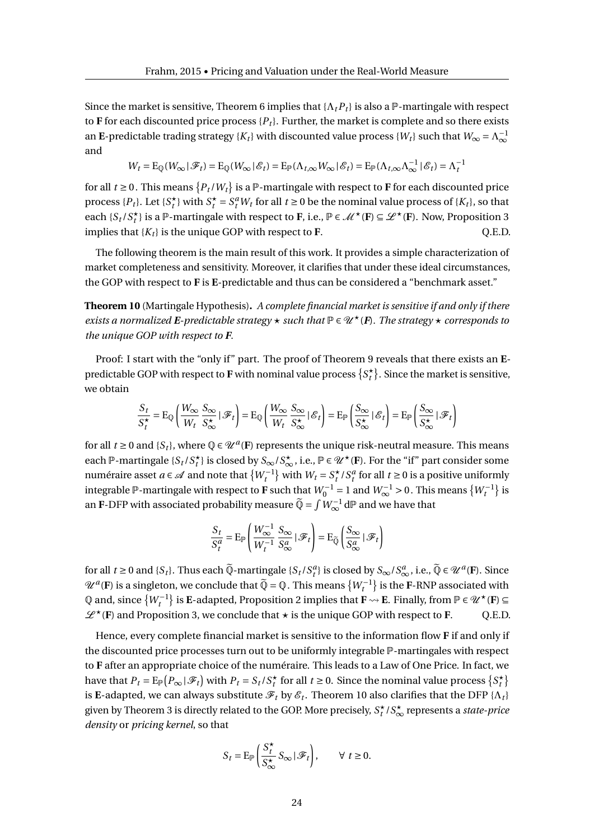Since the market is sensitive, Theorem 6 implies that  $\{\Lambda_t P_t\}$  is also a P-martingale with respect to **F** for each discounted price process  $\{P_t\}$ . Further, the market is complete and so there exists an **E**-predictable trading strategy { $K_t$ } with discounted value process { $W_t$ } such that  $W_\infty = \Lambda_\infty^{-1}$ and

$$
W_t = \operatorname{E}_{\mathbb{Q}}(W_\infty \,|\, \mathscr{F}_t) = \operatorname{E}_{\mathbb{Q}}(W_\infty \,|\, \mathscr{E}_t) = \operatorname{E}_{\mathbb{P}}(\Lambda_{t,\infty}W_\infty \,|\, \mathscr{E}_t) = \operatorname{E}_{\mathbb{P}}(\Lambda_{t,\infty}\Lambda_\infty^{-1} \,|\, \mathscr{E}_t) = \Lambda_t^{-1}
$$

for all  $t \ge 0$  . This means  $\{P_t/W_t\}$  is a  $\mathbb P$ -martingale with respect to **F** for each discounted price process  $\{P_t\}$ . Let  $\{S_t^{\star}\}\$  with  $S_t^{\star} = S_t^a W_t$  for all  $t \ge 0$  be the nominal value process of  $\{K_t\}$ , so that each  $\{S_t/S_t^{\star}\}\$ is a P-martingale with respect to **F**, i.e.,  $P \in \mathcal{M}^{\star}(\mathbf{F}) \subseteq \mathcal{L}^{\star}(\mathbf{F})$ . Now, Proposition 3 implies that  ${K_t}$  is the unique GOP with respect to **F**.  $Q.E.D.$ 

The following theorem is the main result of this work. It provides a simple characterization of market completeness and sensitivity. Moreover, it clarifies that under these ideal circumstances, the GOP with respect to **F** is **E**-predictable and thus can be considered a "benchmark asset."

**Theorem 10** (Martingale Hypothesis)**.** *A complete financial market is sensitive if and only if there exists a normalized* E-predictable strategy  $\star$  such that  $\mathbb{P} \in \mathcal{U}^{\star}(\mathbf{F})$ . The strategy  $\star$  corresponds to *the unique GOP with respect to F.*

Proof: I start with the "only if" part. The proof of Theorem 9 reveals that there exists an **E**predictable GOP with respect to **F** with nominal value process  $\{S^\star_t\}.$  Since the market is sensitive, we obtain

$$
\frac{S_t}{S_t^{\star}} = \mathrm{E}_{\mathbb{Q}}\left(\frac{W_{\infty}}{W_t} \frac{S_{\infty}}{S_{\infty}^{\star}} | \mathcal{F}_t\right) = \mathrm{E}_{\mathbb{Q}}\left(\frac{W_{\infty}}{W_t} \frac{S_{\infty}}{S_{\infty}^{\star}} | \mathcal{E}_t\right) = \mathrm{E}_{\mathbb{P}}\left(\frac{S_{\infty}}{S_{\infty}^{\star}} | \mathcal{E}_t\right) = \mathrm{E}_{\mathbb{P}}\left(\frac{S_{\infty}}{S_{\infty}^{\star}} | \mathcal{F}_t\right)
$$

for all  $t \ge 0$  and  $\{S_t\}$ , where  $\mathbb{Q} \in \mathcal{U}^a(\mathbf{F})$  represents the unique risk-neutral measure. This means each  $\mathbb{P}$ -martingale  $\{S_t/S_t^{\star}\}\$ is closed by  $S_{\infty}/S_{\infty}^{\star}$ , i.e.,  $\mathbb{P}\in\mathscr{U}^{\star}(\mathbf{F})$ . For the "if" part consider some numéraire asset *a* ∈ ⊿ and note that  $\{W_t^{-1}\}$  with  $W_t = S_t^{\star}/S_t^a$  for all *t* ≥ 0 is a positive uniformly integrable  $\mathbb P$ -martingale with respect to **F** such that  $W_0^{-1} = 1$  and  $W_\infty^{-1} > 0$  . This means  $\{W_t^{-1}\}$  is an **F**-DFP with associated probability measure  $\widetilde{Q} = \int W_{\infty}^{-1} dP$  and we have that

$$
\frac{S_t}{S_t^a} = \mathrm{E}_{\mathbb{P}} \left( \frac{W_\infty^{-1}}{W_t^{-1}} \frac{S_\infty}{S_\infty^a} \, | \, \mathcal{F}_t \right) = \mathrm{E}_{\widetilde{\mathbb{Q}}} \left( \frac{S_\infty}{S_\infty^a} \, | \, \mathcal{F}_t \right)
$$

for all  $t \ge 0$  and  $\{S_t\}$ . Thus each  $\widetilde{Q}$ -martingale  $\{S_t/S_t^a\}$  is closed by  $S_\infty/S_\infty^a$ , i.e.,  $\widetilde{Q} \in \mathscr{U}^a(F)$ . Since  $\mathcal{U}^a(\mathbf{F})$  is a singleton, we conclude that  $\widetilde{\mathbb{Q}} = \mathbb{Q}$ . This means  $\{W_t^{-1}\}$  is the **F**-RNP associated with  $\mathbb{Q}$  and, since  $\{W_t^{-1}\}$  is **E**-adapted, Proposition 2 implies that  $\mathbf{F} \leadsto \mathbf{E}$ . Finally, from  $\mathbb{P} \in \mathscr{U}^\star(\mathbf{F}) \subseteq \mathbb{P}$  $L^*(F)$  and Proposition 3, we conclude that  $\star$  is the unique GOP with respect to F. Q.E.D.

Hence, every complete financial market is sensitive to the information flow **F** if and only if the discounted price processes turn out to be uniformly integrable P-martingales with respect to **F** after an appropriate choice of the numéraire. This leads to a Law of One Price. In fact, we have that  $P_t = \text{E}_{\mathbb{P}}(P_{\infty} | \mathscr{F}_t)$  with  $P_t = S_t / S_t^{\star}$  for all  $t \ge 0$ . Since the nominal value process  $\{S_t^{\star}\}$ is **E**-adapted, we can always substitute  $\mathscr{F}_t$  by  $\mathscr{E}_t$ . Theorem 10 also clarifies that the DFP { $\Lambda_t$ } given by Theorem 3 is directly related to the GOP. More precisely,  $S_t^{\star}/S_\infty^{\star}$  represents a *state-price density* or *pricing kernel*, so that

$$
S_t = \mathcal{E}_{\mathbb{P}} \left( \frac{S_t^{\star}}{S_{\infty}^{\star}} S_{\infty} | \mathcal{F}_t \right), \qquad \forall \ t \ge 0.
$$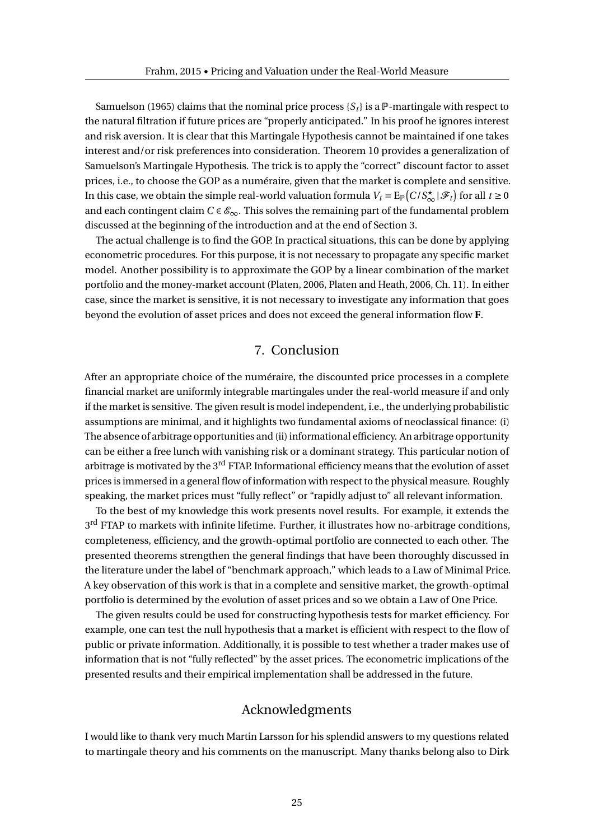Samuelson (1965) claims that the nominal price process  ${S_t}$  is a  $\mathbb{P}$ -martingale with respect to the natural filtration if future prices are "properly anticipated." In his proof he ignores interest and risk aversion. It is clear that this Martingale Hypothesis cannot be maintained if one takes interest and/or risk preferences into consideration. Theorem 10 provides a generalization of Samuelson's Martingale Hypothesis. The trick is to apply the "correct" discount factor to asset prices, i.e., to choose the GOP as a numéraire, given that the market is complete and sensitive. In this case, we obtain the simple real-world valuation formula  $V_t = \mathrm{E}_{\mathbb{P}}\big(C/S^\star_\infty|\mathscr{F}_t\big)$  for all  $t \geq 0$ and each contingent claim  $C \in \mathcal{E}_{\infty}$ . This solves the remaining part of the fundamental problem discussed at the beginning of the introduction and at the end of Section 3.

The actual challenge is to find the GOP. In practical situations, this can be done by applying econometric procedures. For this purpose, it is not necessary to propagate any specific market model. Another possibility is to approximate the GOP by a linear combination of the market portfolio and the money-market account (Platen, 2006, Platen and Heath, 2006, Ch. 11). In either case, since the market is sensitive, it is not necessary to investigate any information that goes beyond the evolution of asset prices and does not exceed the general information flow **F**.

## 7. Conclusion

After an appropriate choice of the numéraire, the discounted price processes in a complete financial market are uniformly integrable martingales under the real-world measure if and only if the market is sensitive. The given result is model independent, i.e., the underlying probabilistic assumptions are minimal, and it highlights two fundamental axioms of neoclassical finance: (i) The absence of arbitrage opportunities and (ii) informational efficiency. An arbitrage opportunity can be either a free lunch with vanishing risk or a dominant strategy. This particular notion of arbitrage is motivated by the 3<sup>rd</sup> FTAP. Informational efficiency means that the evolution of asset prices is immersed in a general flow of information with respect to the physical measure. Roughly speaking, the market prices must "fully reflect" or "rapidly adjust to" all relevant information.

To the best of my knowledge this work presents novel results. For example, it extends the 3<sup>rd</sup> FTAP to markets with infinite lifetime. Further, it illustrates how no-arbitrage conditions, completeness, efficiency, and the growth-optimal portfolio are connected to each other. The presented theorems strengthen the general findings that have been thoroughly discussed in the literature under the label of "benchmark approach," which leads to a Law of Minimal Price. A key observation of this work is that in a complete and sensitive market, the growth-optimal portfolio is determined by the evolution of asset prices and so we obtain a Law of One Price.

The given results could be used for constructing hypothesis tests for market efficiency. For example, one can test the null hypothesis that a market is efficient with respect to the flow of public or private information. Additionally, it is possible to test whether a trader makes use of information that is not "fully reflected" by the asset prices. The econometric implications of the presented results and their empirical implementation shall be addressed in the future.

## Acknowledgments

I would like to thank very much Martin Larsson for his splendid answers to my questions related to martingale theory and his comments on the manuscript. Many thanks belong also to Dirk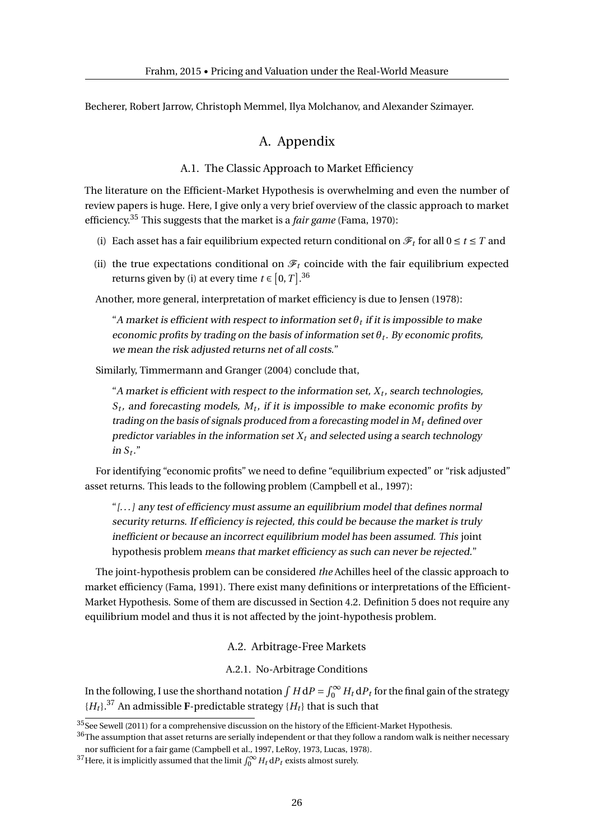Becherer, Robert Jarrow, Christoph Memmel, Ilya Molchanov, and Alexander Szimayer.

## A. Appendix

#### A.1. The Classic Approach to Market Efficiency

The literature on the Efficient-Market Hypothesis is overwhelming and even the number of review papers is huge. Here, I give only a very brief overview of the classic approach to market efficiency.<sup>35</sup> This suggests that the market is a *fair game* (Fama, 1970):

- (i) Each asset has a fair equilibrium expected return conditional on  $\mathcal{F}_t$  for all  $0 \le t \le T$  and
- (ii) the true expectations conditional on  $\mathcal{F}_t$  coincide with the fair equilibrium expected returns given by (i) at every time  $t \in [0, T]$ .<sup>36</sup>

Another, more general, interpretation of market efficiency is due to Jensen (1978):

"A market is efficient with respect to information set  $\theta_t$  if it is impossible to make economic profits by trading on the basis of information set *θ<sup>t</sup>* . By economic profits, we mean the risk adjusted returns net of all costs."

Similarly, Timmermann and Granger (2004) conclude that,

 $\lq$  market is efficient with respect to the information set,  $X_t$ , search technologies, *St* , and forecasting models, *M<sup>t</sup>* , if it is impossible to make economic profits by trading on the basis of signals produced from a forecasting model in *M<sup>t</sup>* defined over predictor variables in the information set  $X_t$  and selected using a search technology in  $S_t$ ."

For identifying "economic profits" we need to define "equilibrium expected" or "risk adjusted" asset returns. This leads to the following problem (Campbell et al., 1997):

"[. . . ] any test of efficiency must assume an equilibrium model that defines normal security returns. If efficiency is rejected, this could be because the market is truly inefficient or because an incorrect equilibrium model has been assumed. This joint hypothesis problem means that market efficiency as such can never be rejected."

The joint-hypothesis problem can be considered *the* Achilles heel of the classic approach to market efficiency (Fama, 1991). There exist many definitions or interpretations of the Efficient-Market Hypothesis. Some of them are discussed in Section 4.2. Definition 5 does not require any equilibrium model and thus it is not affected by the joint-hypothesis problem.

#### A.2. Arbitrage-Free Markets

#### A.2.1. No-Arbitrage Conditions

In the following, I use the shorthand notation  $\int H\, \mathrm{d}P = \int_0^\infty H_t\, \mathrm{d}P_t$  for the final gain of the strategy  ${H_t}$ <sup>37</sup> An admissible **F**-predictable strategy  ${H_t}$  that is such that

<sup>&</sup>lt;sup>35</sup>See Sewell (2011) for a comprehensive discussion on the history of the Efficient-Market Hypothesis.

 $36$ The assumption that asset returns are serially independent or that they follow a random walk is neither necessary nor sufficient for a fair game (Campbell et al., 1997, LeRoy, 1973, Lucas, 1978).

<sup>&</sup>lt;sup>37</sup> Here, it is implicitly assumed that the limit  $\int_0^\infty H_t \, dP_t$  exists almost surely.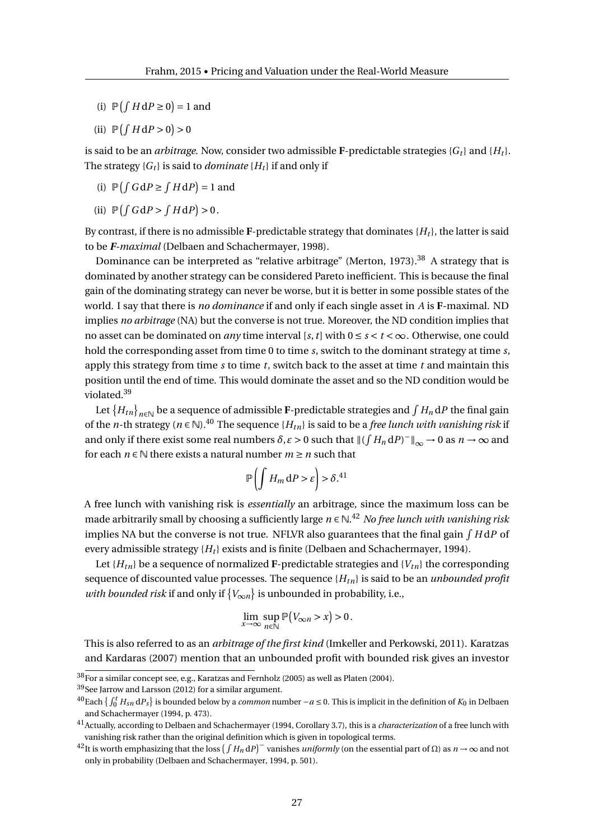- (i)  $\mathbb{P}(\int H dP \ge 0) = 1$  and
- (ii)  $\mathbb{P}(\int H \, \mathrm{d}P > 0) > 0$

is said to be an *arbitrage*. Now, consider two admissible **F**-predictable strategies  ${G_t}$  and  ${H_t}$ . The strategy  ${G_t}$  is said to *dominate*  ${H_t}$  if and only if

- (i)  $\mathbb{P}(\int G dP \geq \int H dP) = 1$  and
- (ii)  $\mathbb{P}(\int G dP > \int H dP) > 0$ .

By contrast, if there is no admissible  $\mathbf{F}\text{-predictable strategy that dominates } \{H_t\}$ , the latter is said to be *F-maximal* (Delbaen and Schachermayer, 1998).

Dominance can be interpreted as "relative arbitrage" (Merton, 1973).<sup>38</sup> A strategy that is dominated by another strategy can be considered Pareto inefficient. This is because the final gain of the dominating strategy can never be worse, but it is better in some possible states of the world. I say that there is *no dominance* if and only if each single asset in *A* is **F**-maximal. ND implies *no arbitrage* (NA) but the converse is not true. Moreover, the ND condition implies that no asset can be dominated on *any* time interval [s, t] with  $0 \le s \le t \le \infty$ . Otherwise, one could hold the corresponding asset from time 0 to time *s*, switch to the dominant strategy at time *s*, apply this strategy from time *s* to time *t*, switch back to the asset at time *t* and maintain this position until the end of time. This would dominate the asset and so the ND condition would be violated.<sup>39</sup>

Let  $\{H_{tn}\}_{n\in\mathbb{N}}$  be a sequence of admissible **F**-predictable strategies and  $\int H_n\,\mathrm{d}P$  the final gain of the *n*-th strategy ( $n \in \mathbb{N}$ ).<sup>40</sup> The sequence { $H_{tn}$ } is said to be a *free lunch with vanishing risk* if and only if there exist some real numbers  $\delta$ ,  $\varepsilon > 0$  such that  $\| (\int H_n \, \mathrm{d}P)^-\|_\infty \to 0$  as  $n \to \infty$  and for each  $n \in \mathbb{N}$  there exists a natural number  $m \geq n$  such that

$$
\mathbb{P}\left(\int H_m \, \mathrm{d}P > \varepsilon\right) > \delta^{41}
$$

A free lunch with vanishing risk is *essentially* an arbitrage, since the maximum loss can be made arbitrarily small by choosing a sufficiently large *n* ∈ N. <sup>42</sup> *No free lunch with vanishing risk* implies NA but the converse is not true. NFLVR also guarantees that the final gain  $\int H{\rm d}P$  of every admissible strategy  ${H_t}$  exists and is finite (Delbaen and Schachermayer, 1994).

Let  ${H_{tn}}$  be a sequence of normalized **F**-predictable strategies and  ${V_{tn}}$  the corresponding sequence of discounted value processes. The sequence {*Htn*} is said to be an *unbounded profit with bounded risk* if and only if  $\{V_{\infty n}\}\$ is unbounded in probability, i.e.,

$$
\lim_{x \to \infty} \sup_{n \in \mathbb{N}} \mathbb{P}(V_{\infty n} > x) > 0.
$$

This is also referred to as an *arbitrage of the first kind* (Imkeller and Perkowski, 2011). Karatzas and Kardaras (2007) mention that an unbounded profit with bounded risk gives an investor

<sup>39</sup>See Jarrow and Larsson (2012) for a similar argument.

 $^{38}\rm{For}$  a similar concept see, e.g., Karatzas and Fernholz (2005) as well as Platen (2004).

<sup>&</sup>lt;sup>40</sup>Each {  $\int_0^t H_{sn} dP_s$ } is bounded below by a *common* number −*a* ≤ 0. This is implicit in the definition of  $K_0$  in Delbaen and Schachermayer (1994, p. 473).

<sup>41</sup>Actually, according to Delbaen and Schachermayer (1994, Corollary 3.7), this is a *characterization* of a free lunch with vanishing risk rather than the original definition which is given in topological terms.

 $^{42}$ It is worth emphasizing that the loss  $(\int H_n dP)^-$  vanishes *uniformly* (on the essential part of  $\Omega$ ) as  $n \to \infty$  and not only in probability (Delbaen and Schachermayer, 1994, p. 501).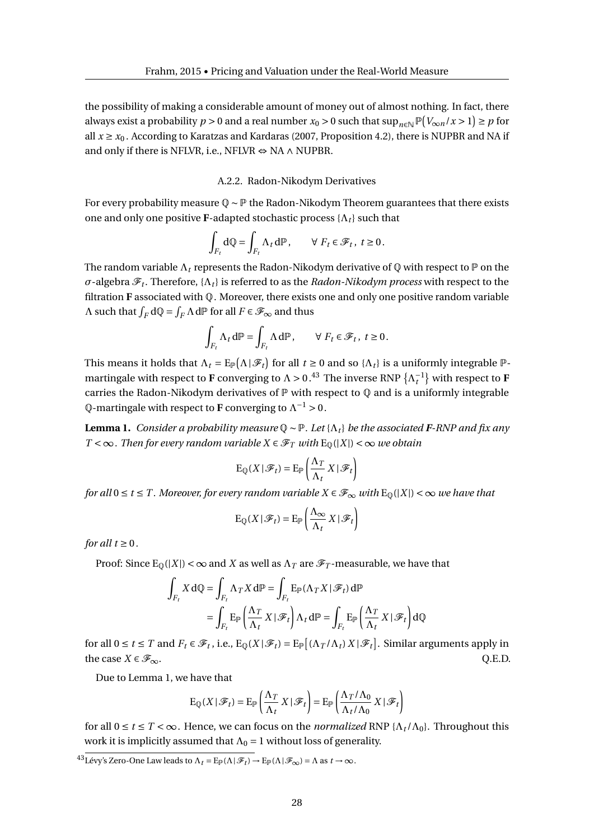the possibility of making a considerable amount of money out of almost nothing. In fact, there always exist a probability  $p > 0$  and a real number  $x_0 > 0$  such that  $\sup_{n \in \mathbb{N}} \mathbb{P}(\frac{V_{\infty n}}{x} > 1) \geq p$  for all  $x \ge x_0$ . According to Karatzas and Kardaras (2007, Proposition 4.2), there is NUPBR and NA if and only if there is NFLVR, i.e., NFLVR  $\Leftrightarrow$  NA  $\land$  NUPBR.

#### A.2.2. Radon-Nikodym Derivatives

For every probability measure Q ∼ P the Radon-Nikodym Theorem guarantees that there exists one and only one positive **F**-adapted stochastic process  $\{\Lambda_t\}$  such that

$$
\int_{F_t} \mathrm{d} \mathbb{Q} = \int_{F_t} \Lambda_t \, \mathrm{d} \mathbb{P} \,, \qquad \forall \; F_t \in \mathscr{F}_t \,, \; t \geq 0 \,.
$$

The random variable  $\Lambda_t$  represents the Radon-Nikodym derivative of  $\mathbb Q$  with respect to  $\mathbb P$  on the *σ*-algebra  $\mathscr{F}_t$ . Therefore, { $\Lambda_t$ } is referred to as the *Radon-Nikodym process* with respect to the filtration **F** associated with  $\mathbb{Q}$ . Moreover, there exists one and only one positive random variable *Λ* such that  $\int_F dQ = \int_F Λ dP$  for all  $F \in \mathcal{F}_\infty$  and thus

$$
\int_{F_t} \Lambda_t d\mathbb{P} = \int_{F_t} \Lambda d\mathbb{P}, \qquad \forall \ F_t \in \mathcal{F}_t, \ t \ge 0.
$$

This means it holds that  $\Lambda_t = E_{\mathbb{P}}(\Lambda | \mathcal{F}_t)$  for all  $t \ge 0$  and so  $\{\Lambda_t\}$  is a uniformly integrable  $\mathbb{P}$ martingale with respect to **F** converging to  $\Lambda > 0.^{43}$  The inverse RNP  $\{\Lambda_t^{-1}\}$  with respect to **F** carries the Radon-Nikodym derivatives of  $P$  with respect to  $Q$  and is a uniformly integrable  $\mathbb Q$ -martingale with respect to **F** converging to  $\Lambda^{-1} > 0$  .

**Lemma 1.** *Consider a probability measure*  $\mathbb{Q} \sim \mathbb{P}$ *. Let* { $\Lambda_t$ } *be the associated F-RNP and fix any T* < ∞ *. Then for every random variable X*  $\in \mathcal{F}_T$  *with* E<sub>0</sub>(|*X*|) < ∞ *we obtain* 

$$
\mathrm{E}_{\mathbb{Q}}(X | \mathcal{F}_t) = \mathrm{E}_{\mathbb{P}}\left(\frac{\Lambda_T}{\Lambda_t} X | \mathcal{F}_t\right)
$$

*for all*  $0 \le t \le T$ . Moreover, for every random variable  $X \in \mathcal{F}_{\infty}$  with  $E_0(|X|) < \infty$  we have that

$$
\mathrm{E}_{\mathbb{Q}}(X | \mathcal{F}_t) = \mathrm{E}_{\mathbb{P}}\left(\frac{\Lambda_{\infty}}{\Lambda_t} X | \mathcal{F}_t\right)
$$

*for all*  $t \geq 0$ *.* 

Proof: Since  $E_0(|X|) < \infty$  and *X* as well as  $\Lambda_T$  are  $\mathscr{F}_T$ -measurable, we have that

$$
\int_{F_t} X \, d\mathbb{Q} = \int_{F_t} \Lambda_T X \, d\mathbb{P} = \int_{F_t} E_{\mathbb{P}}(\Lambda_T X \mid \mathcal{F}_t) \, d\mathbb{P}
$$
\n
$$
= \int_{F_t} E_{\mathbb{P}}\left(\frac{\Lambda_T}{\Lambda_t} X \mid \mathcal{F}_t\right) \Lambda_t \, d\mathbb{P} = \int_{F_t} E_{\mathbb{P}}\left(\frac{\Lambda_T}{\Lambda_t} X \mid \mathcal{F}_t\right) d\mathbb{Q}
$$

for all  $0 \le t \le T$  and  $F_t \in \mathcal{F}_t$ , i.e.,  $E_{\mathbb{Q}}(X | \mathcal{F}_t) = E_{\mathbb{P}}[(\Lambda_T/\Lambda_t) X | \mathcal{F}_t]$ . Similar arguments apply in the case  $X \in \mathcal{F}_{\infty}$ . Q.E.D.

Due to Lemma 1, we have that

$$
\mathrm{E}_{\mathbb{Q}}(X \,|\, \mathcal{F}_t) = \mathrm{E}_{\mathbb{P}}\left(\frac{\Lambda_T}{\Lambda_t} \, X \,|\, \mathcal{F}_t\right) = \mathrm{E}_{\mathbb{P}}\left(\frac{\Lambda_T/\Lambda_0}{\Lambda_t/\Lambda_0} \, X \,|\, \mathcal{F}_t\right)
$$

for all  $0 \le t \le T < \infty$ . Hence, we can focus on the *normalized* RNP { $\Lambda_t/\Lambda_0$ }. Throughout this work it is implicitly assumed that  $\Lambda_0 = 1$  without loss of generality.

 $^{43}$ Lévy's Zero-One Law leads to  $\Lambda_t = E_{\mathbb{P}}(\Lambda | \mathcal{F}_t) \to E_{\mathbb{P}}(\Lambda | \mathcal{F}_{\infty}) = \Lambda$  as  $t \to \infty$ .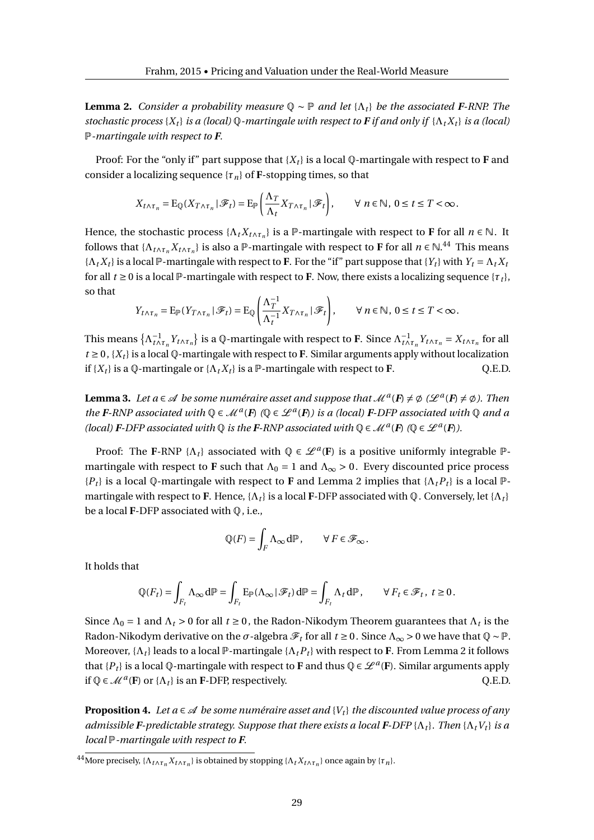**Lemma 2.** *Consider a probability measure*  $\mathbb{Q} \sim \mathbb{P}$  *and let* { $\Lambda_t$ } *be the associated F-RNP. The stochastic process* { $X_t$ } *is a (local)*  $Q$ *-martingale with respect to*  $F$  *if and only if* { $\Lambda_t X_t$ } *is a (local)* P*-martingale with respect to F.*

Proof: For the "only if" part suppose that  ${X_t}$  is a local Q-martingale with respect to **F** and consider a localizing sequence  $\{\tau_n\}$  of **F**-stopping times, so that

$$
X_{t\wedge\tau_n} = \mathrm{E}_{\mathbb{Q}}(X_{T\wedge\tau_n} | \mathscr{F}_t) = \mathrm{E}_{\mathbb{P}}\left(\frac{\Lambda_T}{\Lambda_t} X_{T\wedge\tau_n} | \mathscr{F}_t\right), \qquad \forall \ n \in \mathbb{N}, \ 0 \leq t \leq T < \infty.
$$

Hence, the stochastic process  $\{\Lambda_t X_{t \wedge \tau_n}\}\$ is a  $\mathbb{P}$ -martingale with respect to **F** for all  $n \in \mathbb{N}$ . It follows that  $\{\Lambda_{t\wedge\tau_n}X_{t\wedge\tau_n}\}\$ is also a P-martingale with respect to **F** for all  $n \in \mathbb{N}$ .<sup>44</sup> This means  ${K_t X_t}$  is a local P-martingale with respect to **F**. For the "if" part suppose that  ${Y_t}$  with  $Y_t = \Lambda_t X_t$ for all  $t \ge 0$  is a local P-martingale with respect to **F**. Now, there exists a localizing sequence  $\{\tau_t\}$ , so that

$$
Y_{t \wedge \tau_n} = \mathbb{E}_{\mathbb{P}}(Y_{T \wedge \tau_n} | \mathscr{F}_t) = \mathbb{E}_{\mathbb{Q}} \left( \frac{\Lambda_T^{-1}}{\Lambda_t^{-1}} X_{T \wedge \tau_n} | \mathscr{F}_t \right), \qquad \forall \, n \in \mathbb{N}, \, 0 \le t \le T < \infty.
$$

This means  $\{\Lambda_{t\wedge\tau_n}^{-1}Y_{t\wedge\tau_n}\}\$  is a Q-martingale with respect to F. Since  $\Lambda_{t\wedge\tau_n}^{-1}Y_{t\wedge\tau_n}=X_{t\wedge\tau_n}$  for all  $t \geq 0$ ,  $\{X_t\}$  is a local Q-martingale with respect to **F**. Similar arguments apply without localization if  ${X_t}$  is a  $\varphi$ -martingale or  ${A_t X_t}$  is a  $\varphi$ -martingale with respect to **F**.  $Q.E.D.$ 

**Lemma 3.** Let  $a \in \mathcal{A}$  be some numéraire asset and suppose that  $\mathcal{M}^a(F) \neq \emptyset$  ( $\mathcal{L}^a(F) \neq \emptyset$ ). Then *the F*-RNP associated with  $\mathbb{Q} \in \mathcal{M}^a(F)$  ( $\mathbb{Q} \in \mathcal{L}^a(F)$ ) is a (local) *F*-DFP associated with  $\mathbb{Q}$  and a *(local) F-DFP associated with*  $\mathbb{Q}$  *is the* **F**-RNP associated with  $\mathbb{Q} \in \mathcal{M}^a$  (**F**)  $(\mathbb{Q} \in \mathcal{L}^a(\mathbf{F}))$ .

Proof: The **F**-RNP { $\Lambda_t$ } associated with  $\mathbb{Q} \in \mathcal{L}^a(F)$  is a positive uniformly integrable  $\mathbb{P}$ martingale with respect to **F** such that  $\Lambda_0 = 1$  and  $\Lambda_{\infty} > 0$ . Every discounted price process  ${P_t}$  is a local Q-martingale with respect to **F** and Lemma 2 implies that  ${ \Lambda_t P_t }$  is a local  $P$ martingale with respect to **F**. Hence,  $\{\Lambda_t\}$  is a local **F**-DFP associated with Q. Conversely, let  $\{\Lambda_t\}$ be a local **F**-DFP associated with Q, i.e.,

$$
\mathbb{Q}(F) = \int_F \Lambda_\infty \, d\mathbb{P}, \qquad \forall \, F \in \mathcal{F}_\infty.
$$

It holds that

$$
\mathbb{Q}(F_t) = \int_{F_t} \Lambda_\infty \, d\mathbb{P} = \int_{F_t} E_{\mathbb{P}}(\Lambda_\infty \, | \, \mathcal{F}_t) \, d\mathbb{P} = \int_{F_t} \Lambda_t \, d\mathbb{P}, \qquad \forall \, F_t \in \mathcal{F}_t, \ t \ge 0.
$$

Since  $\Lambda_0 = 1$  and  $\Lambda_t > 0$  for all  $t \ge 0$ , the Radon-Nikodym Theorem guarantees that  $\Lambda_t$  is the Radon-Nikodym derivative on the  $\sigma$ -algebra  $\mathscr{F}_t$  for all  $t \ge 0$  . Since  $\Lambda_\infty > 0$  we have that  $\mathbb{Q} \sim \mathbb{P}$ . Moreover,  $\{\Lambda_t\}$  leads to a local  $\mathbb{P}$ -martingale  $\{\Lambda_t P_t\}$  with respect to **F**. From Lemma 2 it follows that  $\{P_t\}$  is a local Q-martingale with respect to **F** and thus  $Q \in \mathcal{L}^a(F)$ . Similar arguments apply if  $\mathbb{Q} \in \mathcal{M}^a(\mathbf{F})$  or  $\{\Lambda_t\}$  is an **F**-DFP, respectively.  $\qquad Q.E.D.$ 

**Proposition 4.** Let  $a \in \mathcal{A}$  be some numéraire asset and  $\{V_t\}$  the discounted value process of any *admissible F-predictable strategy. Suppose that there exists a local* **F**-DFP { $\Lambda_t$ }*. Then* { $\Lambda_t V_t$ } *is a local* P*-martingale with respect to F.*

<sup>&</sup>lt;sup>44</sup> More precisely, { $Λ$ <sub>*t*Λ</sub> $τ$ </sup>*n*</sub> $X$ *t*∧ $τ$ <sub>*n*</sub>} is obtained by stopping { $Λ$ <sub>*t*</sub> $X$ <sub>*t*∧ $τ$ <sub>*n*</sub>}</sub> once again by { $τ$ <sub>*n*</sub>}.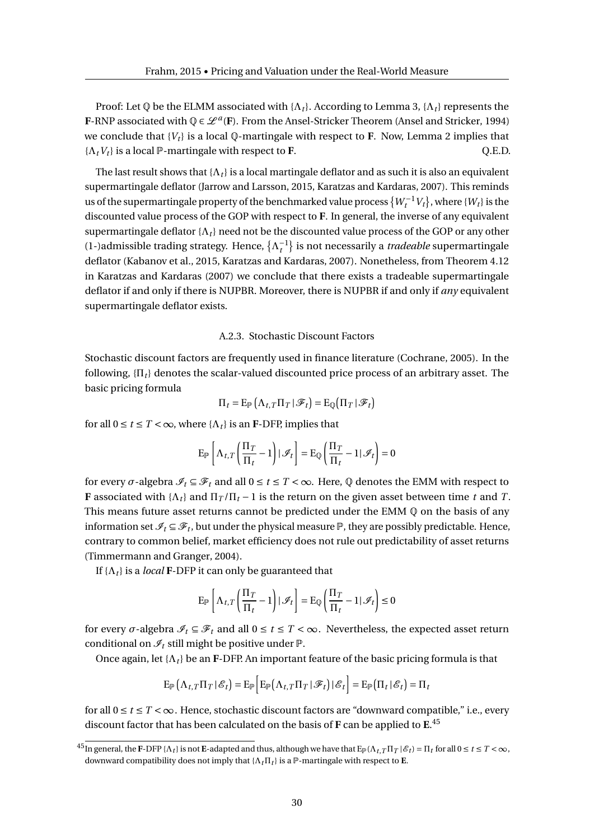Proof: Let  $\Phi$  be the ELMM associated with  $\{\Lambda_t\}$ . According to Lemma 3,  $\{\Lambda_t\}$  represents the **F**-RNP associated with  $\mathbb{Q} \in \mathcal{L}^a(F)$ . From the Ansel-Stricker Theorem (Ansel and Stricker, 1994) we conclude that  ${V_t}$  is a local  $\mathbb Q$ -martingale with respect to **F**. Now, Lemma 2 implies that  $\{ \Lambda_t V_t \}$  is a local P-martingale with respect to **F**.  $Q.E.D.$ 

The last result shows that  $\{\Lambda_t\}$  is a local martingale deflator and as such it is also an equivalent supermartingale deflator (Jarrow and Larsson, 2015, Karatzas and Kardaras, 2007). This reminds us of the supermartingale property of the benchmarked value process  $\{W_t^{-1}V_t\}$ , where  $\{W_t\}$  is the discounted value process of the GOP with respect to **F**. In general, the inverse of any equivalent supermartingale deflator  $\{\Lambda_t\}$  need not be the discounted value process of the GOP or any other (1-)admissible trading strategy. Hence,  $\{\Lambda_t^{-1}\}$  is not necessarily a *tradeable* supermartingale deflator (Kabanov et al., 2015, Karatzas and Kardaras, 2007). Nonetheless, from Theorem 4.12 in Karatzas and Kardaras (2007) we conclude that there exists a tradeable supermartingale deflator if and only if there is NUPBR. Moreover, there is NUPBR if and only if *any* equivalent supermartingale deflator exists.

#### A.2.3. Stochastic Discount Factors

Stochastic discount factors are frequently used in finance literature (Cochrane, 2005). In the following, {Π*<sup>t</sup>* } denotes the scalar-valued discounted price process of an arbitrary asset. The basic pricing formula

$$
\Pi_t = \mathrm{E}_{\mathbb{P}}\left(\Lambda_{t,T}\Pi_T|\mathscr{F}_t\right) = \mathrm{E}_{\mathbb{Q}}\left(\Pi_T|\mathscr{F}_t\right)
$$

for all  $0 \le t \le T < \infty$ , where  $\{\Lambda_t\}$  is an **F**-DFP, implies that

$$
\mathrm{E}_{\mathbb{P}}\left[\Lambda_{t,T}\left(\frac{\Pi_T}{\Pi_t}-1\right)|\mathcal{I}_t\right]=\mathrm{E}_{\mathbb{Q}}\left(\frac{\Pi_T}{\Pi_t}-1|\mathcal{I}_t\right)=0
$$

for every  $\sigma$ -algebra  $\mathcal{I}_t \subseteq \mathcal{F}_t$  and all  $0 \le t \le T < \infty$ . Here,  $\mathbb Q$  denotes the EMM with respect to **F** associated with  $\{\Lambda_t\}$  and  $\Pi_T/\Pi_t - 1$  is the return on the given asset between time *t* and *T*. This means future asset returns cannot be predicted under the EMM  $\mathbb Q$  on the basis of any information set  $\mathscr{I}_t \subseteq \mathscr{F}_t$ , but under the physical measure  $\mathbb P$ , they are possibly predictable. Hence, contrary to common belief, market efficiency does not rule out predictability of asset returns (Timmermann and Granger, 2004).

If  $\{\Lambda_t\}$  is a *local* **F**-DFP it can only be guaranteed that

$$
\mathbf{E}_{\mathbb{P}}\left[\Lambda_{t,T}\left(\frac{\Pi_T}{\Pi_t} - 1\right) | \mathcal{I}_t\right] = \mathbf{E}_{\mathbb{Q}}\left(\frac{\Pi_T}{\Pi_t} - 1 | \mathcal{I}_t\right) \le 0
$$

for every  $\sigma$ -algebra  $\mathcal{I}_t \subseteq \mathcal{F}_t$  and all  $0 \le t \le T < \infty$ . Nevertheless, the expected asset return conditional on  $\mathcal{I}_t$  still might be positive under  $\mathbb{P}$ .

Once again, let  $\{\Lambda_t\}$  be an **F**-DFP. An important feature of the basic pricing formula is that

$$
\mathrm{E}_{\mathbb{P}}\left(\Lambda_{t,T}\Pi_{T} | \mathcal{E}_{t}\right) = \mathrm{E}_{\mathbb{P}}\left[\mathrm{E}_{\mathbb{P}}\left(\Lambda_{t,T}\Pi_{T} | \mathcal{F}_{t}\right) | \mathcal{E}_{t}\right] = \mathrm{E}_{\mathbb{P}}\left(\Pi_{t} | \mathcal{E}_{t}\right) = \Pi_{t}
$$

for all  $0 \le t \le T < \infty$ . Hence, stochastic discount factors are "downward compatible," i.e., every discount factor that has been calculated on the basis of **F** can be applied to **E**. 45

 $^{45}$ In general, the F-DFP { $\Lambda_t$ } is not E-adapted and thus, although we have that E<sub>P</sub>( $\Lambda_{t,T}\Pi_T\,|\,\mathscr{E}_t) = \Pi_t$  for all  $0\leq t\leq T<\infty$ , downward compatibility does not imply that  $\{\Lambda_t \Pi_t\}$  is a  $\mathbb{P}$ -martingale with respect to **E**.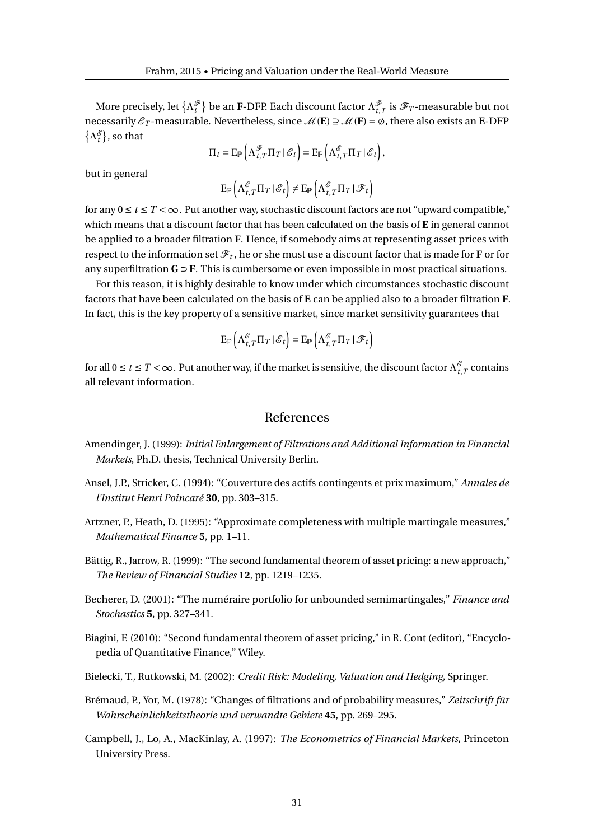More precisely, let  $\{\Lambda_t^{\mathscr{F}}\}$  be an **F**-DFP. Each discount factor  $\Lambda_{t,T}^{\mathscr{F}}$  is  $\mathscr{F}_T$ -measurable but not necessarily  $\mathscr{E}_T$ -measurable. Nevertheless, since  $\mathscr{M}(\mathbf{E}) \supseteq \mathscr{M}(\mathbf{F}) = \emptyset$ , there also exists an **E**-DFP  $\{\Lambda^{\mathscr{E}}_t\}$ , so that

$$
\Pi_t = \mathbf{E}_{\mathbb{P}}\left(\Lambda_{t,T}^{\mathcal{F}}\Pi_T\,|\,\mathcal{E}_t\right) = \mathbf{E}_{\mathbb{P}}\left(\Lambda_{t,T}^{\mathcal{E}}\Pi_T\,|\,\mathcal{E}_t\right),\,
$$

but in general

$$
\mathrm{E}_{\mathbb{P}}\left(\Lambda^{\mathcal{E}}_{t, T} \Pi_T \,|\, \mathcal{E}_t\right) \neq \mathrm{E}_{\mathbb{P}}\left(\Lambda^{\mathcal{E}}_{t, T} \Pi_T \,|\, \mathcal{F}_t\right)
$$

for any  $0 \le t \le T < \infty$ . Put another way, stochastic discount factors are not "upward compatible," which means that a discount factor that has been calculated on the basis of **E** in general cannot be applied to a broader filtration **F**. Hence, if somebody aims at representing asset prices with respect to the information set  $\mathscr{F}_t$  , he or she must use a discount factor that is made for **F** or for any superfiltration **G** ⊃ **F**. This is cumbersome or even impossible in most practical situations.

For this reason, it is highly desirable to know under which circumstances stochastic discount factors that have been calculated on the basis of **E** can be applied also to a broader filtration **F**. In fact, this is the key property of a sensitive market, since market sensitivity guarantees that

$$
\mathrm{E}_{\mathbb{P}}\left(\Lambda_{t,T}^{\mathscr{E}}\Pi_{T}|\mathscr{E}_{t}\right)=\mathrm{E}_{\mathbb{P}}\left(\Lambda_{t,T}^{\mathscr{E}}\Pi_{T}|\mathscr{F}_{t}\right)
$$

for all  $0\leq t\leq T<\infty$  . Put another way, if the market is sensitive, the discount factor  $\Lambda_{t,T}^{\mathscr E}$  contains all relevant information.

### References

- Amendinger, J. (1999): *Initial Enlargement of Filtrations and Additional Information in Financial Markets*, Ph.D. thesis, Technical University Berlin.
- Ansel, J.P., Stricker, C. (1994): "Couverture des actifs contingents et prix maximum," *Annales de l'Institut Henri Poincaré* **30**, pp. 303–315.
- Artzner, P., Heath, D. (1995): "Approximate completeness with multiple martingale measures," *Mathematical Finance* **5**, pp. 1–11.
- Bättig, R., Jarrow, R. (1999): "The second fundamental theorem of asset pricing: a new approach," *The Review of Financial Studies* **12**, pp. 1219–1235.
- Becherer, D. (2001): "The numéraire portfolio for unbounded semimartingales," *Finance and Stochastics* **5**, pp. 327–341.
- Biagini, F. (2010): "Second fundamental theorem of asset pricing," in R. Cont (editor), "Encyclopedia of Quantitative Finance," Wiley.
- Bielecki, T., Rutkowski, M. (2002): *Credit Risk: Modeling, Valuation and Hedging*, Springer.
- Brémaud, P., Yor, M. (1978): "Changes of filtrations and of probability measures," *Zeitschrift für Wahrscheinlichkeitstheorie und verwandte Gebiete* **45**, pp. 269–295.
- Campbell, J., Lo, A., MacKinlay, A. (1997): *The Econometrics of Financial Markets*, Princeton University Press.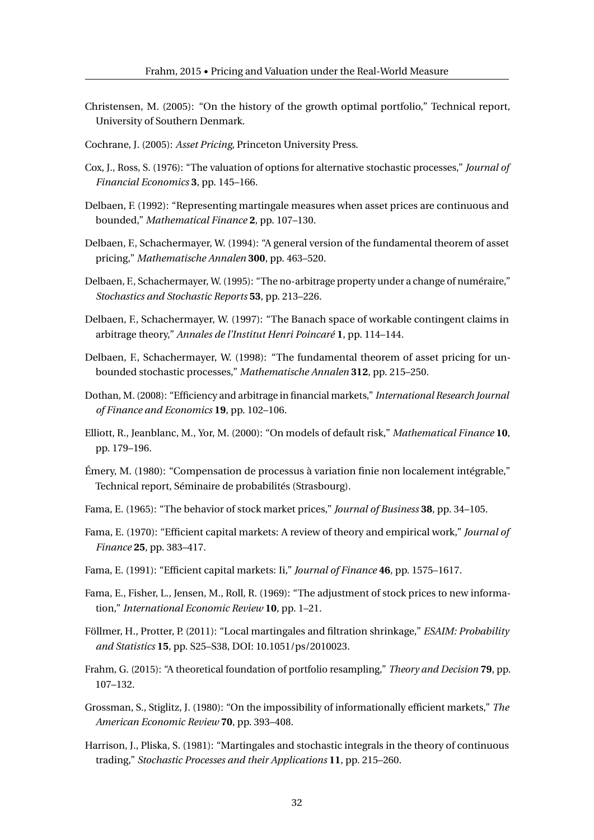- Christensen, M. (2005): "On the history of the growth optimal portfolio," Technical report, University of Southern Denmark.
- Cochrane, J. (2005): *Asset Pricing*, Princeton University Press.
- Cox, J., Ross, S. (1976): "The valuation of options for alternative stochastic processes," *Journal of Financial Economics* **3**, pp. 145–166.
- Delbaen, F. (1992): "Representing martingale measures when asset prices are continuous and bounded," *Mathematical Finance* **2**, pp. 107–130.
- Delbaen, F., Schachermayer, W. (1994): "A general version of the fundamental theorem of asset pricing," *Mathematische Annalen* **300**, pp. 463–520.
- Delbaen, F., Schachermayer, W. (1995): "The no-arbitrage property under a change of numéraire," *Stochastics and Stochastic Reports* **53**, pp. 213–226.
- Delbaen, F., Schachermayer, W. (1997): "The Banach space of workable contingent claims in arbitrage theory," *Annales de l'Institut Henri Poincaré* **1**, pp. 114–144.
- Delbaen, F., Schachermayer, W. (1998): "The fundamental theorem of asset pricing for unbounded stochastic processes," *Mathematische Annalen* **312**, pp. 215–250.
- Dothan, M. (2008): "Efficiency and arbitrage in financial markets," *International Research Journal of Finance and Economics* **19**, pp. 102–106.
- Elliott, R., Jeanblanc, M., Yor, M. (2000): "On models of default risk," *Mathematical Finance* **10**, pp. 179–196.
- Émery, M. (1980): "Compensation de processus à variation finie non localement intégrable," Technical report, Séminaire de probabilités (Strasbourg).
- Fama, E. (1965): "The behavior of stock market prices," *Journal of Business* **38**, pp. 34–105.
- Fama, E. (1970): "Efficient capital markets: A review of theory and empirical work," *Journal of Finance* **25**, pp. 383–417.
- Fama, E. (1991): "Efficient capital markets: Ii," *Journal of Finance* **46**, pp. 1575–1617.
- Fama, E., Fisher, L., Jensen, M., Roll, R. (1969): "The adjustment of stock prices to new information," *International Economic Review* **10**, pp. 1–21.
- Föllmer, H., Protter, P. (2011): "Local martingales and filtration shrinkage," *ESAIM: Probability and Statistics* **15**, pp. S25–S38, DOI: 10.1051/ps/2010023.
- Frahm, G. (2015): "A theoretical foundation of portfolio resampling," *Theory and Decision* **79**, pp. 107–132.
- Grossman, S., Stiglitz, J. (1980): "On the impossibility of informationally efficient markets," *The American Economic Review* **70**, pp. 393–408.
- Harrison, J., Pliska, S. (1981): "Martingales and stochastic integrals in the theory of continuous trading," *Stochastic Processes and their Applications* **11**, pp. 215–260.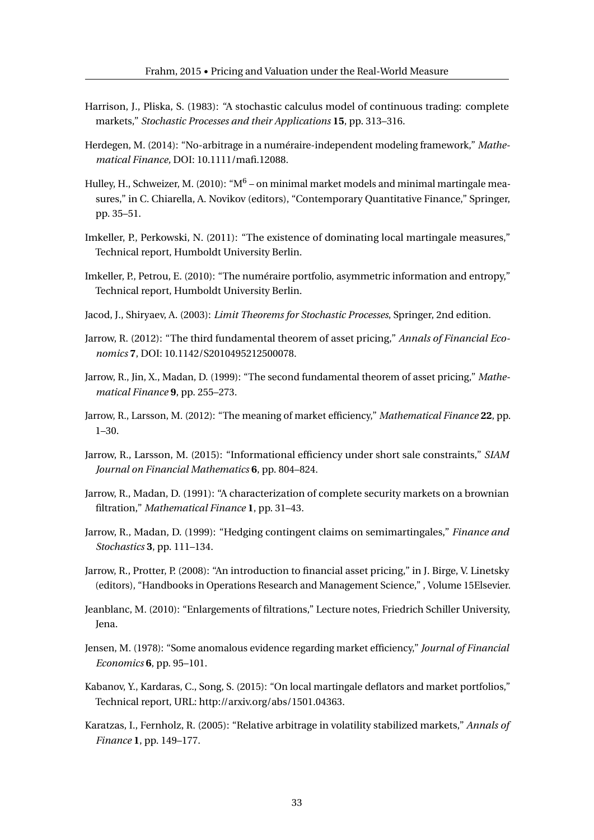- Harrison, J., Pliska, S. (1983): "A stochastic calculus model of continuous trading: complete markets," *Stochastic Processes and their Applications* **15**, pp. 313–316.
- Herdegen, M. (2014): "No-arbitrage in a numéraire-independent modeling framework," *Mathematical Finance,* DOI: 10.1111/mafi.12088.
- Hulley, H., Schweizer, M. (2010): "M $^6$  on minimal market models and minimal martingale measures," in C. Chiarella, A. Novikov (editors), "Contemporary Quantitative Finance," Springer, pp. 35–51.
- Imkeller, P., Perkowski, N. (2011): "The existence of dominating local martingale measures," Technical report, Humboldt University Berlin.
- Imkeller, P., Petrou, E. (2010): "The numéraire portfolio, asymmetric information and entropy," Technical report, Humboldt University Berlin.
- Jacod, J., Shiryaev, A. (2003): *Limit Theorems for Stochastic Processes*, Springer, 2nd edition.
- Jarrow, R. (2012): "The third fundamental theorem of asset pricing," *Annals of Financial Economics* **7**, DOI: 10.1142/S2010495212500078.
- Jarrow, R., Jin, X., Madan, D. (1999): "The second fundamental theorem of asset pricing," *Mathematical Finance* **9**, pp. 255–273.
- Jarrow, R., Larsson, M. (2012): "The meaning of market efficiency," *Mathematical Finance* **22**, pp. 1–30.
- Jarrow, R., Larsson, M. (2015): "Informational efficiency under short sale constraints," *SIAM Journal on Financial Mathematics* **6**, pp. 804–824.
- Jarrow, R., Madan, D. (1991): "A characterization of complete security markets on a brownian filtration," *Mathematical Finance* **1**, pp. 31–43.
- Jarrow, R., Madan, D. (1999): "Hedging contingent claims on semimartingales," *Finance and Stochastics* **3**, pp. 111–134.
- Jarrow, R., Protter, P. (2008): "An introduction to financial asset pricing," in J. Birge, V. Linetsky (editors), "Handbooks in Operations Research and Management Science," , Volume 15Elsevier.
- Jeanblanc, M. (2010): "Enlargements of filtrations," Lecture notes, Friedrich Schiller University, Jena.
- Jensen, M. (1978): "Some anomalous evidence regarding market efficiency," *Journal of Financial Economics* **6**, pp. 95–101.
- Kabanov, Y., Kardaras, C., Song, S. (2015): "On local martingale deflators and market portfolios," Technical report, URL: http://arxiv.org/abs/1501.04363.
- Karatzas, I., Fernholz, R. (2005): "Relative arbitrage in volatility stabilized markets," *Annals of Finance* **1**, pp. 149–177.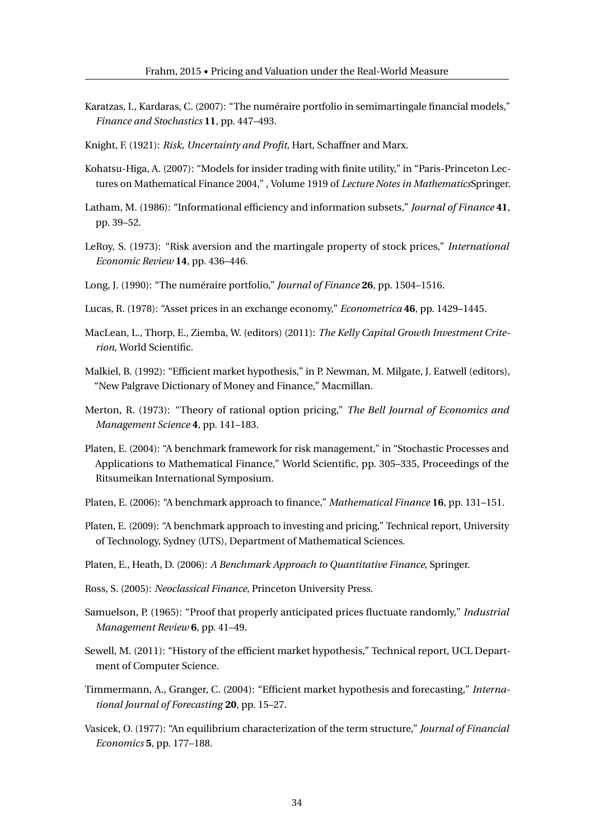- Karatzas, I., Kardaras, C. (2007): "The numéraire portfolio in semimartingale financial models," *Finance and Stochastics* **11**, pp. 447–493.
- Knight, F. (1921): *Risk, Uncertainty and Profit*, Hart, Schaffner and Marx.
- Kohatsu-Higa, A. (2007): "Models for insider trading with finite utility," in "Paris-Princeton Lectures on Mathematical Finance 2004," , Volume 1919 of *Lecture Notes in Mathematics*Springer.
- Latham, M. (1986): "Informational efficiency and information subsets," *Journal of Finance* **41**, pp. 39–52.
- LeRoy, S. (1973): "Risk aversion and the martingale property of stock prices," *International Economic Review* **14**, pp. 436–446.
- Long, J. (1990): "The numéraire portfolio," *Journal of Finance* **26**, pp. 1504–1516.
- Lucas, R. (1978): "Asset prices in an exchange economy," *Econometrica* **46**, pp. 1429–1445.
- MacLean, L., Thorp, E., Ziemba, W. (editors) (2011): *The Kelly Capital Growth Investment Criterion*, World Scientific.
- Malkiel, B. (1992): "Efficient market hypothesis," in P. Newman, M. Milgate, J. Eatwell (editors), "New Palgrave Dictionary of Money and Finance," Macmillan.
- Merton, R. (1973): "Theory of rational option pricing," *The Bell Journal of Economics and Management Science* **4**, pp. 141–183.
- Platen, E. (2004): "A benchmark framework for risk management," in "Stochastic Processes and Applications to Mathematical Finance," World Scientific, pp. 305–335, Proceedings of the Ritsumeikan International Symposium.
- Platen, E. (2006): "A benchmark approach to finance," *Mathematical Finance* **16**, pp. 131–151.
- Platen, E. (2009): "A benchmark approach to investing and pricing," Technical report, University of Technology, Sydney (UTS), Department of Mathematical Sciences.
- Platen, E., Heath, D. (2006): *A Benchmark Approach to Quantitative Finance*, Springer.
- Ross, S. (2005): *Neoclassical Finance*, Princeton University Press.
- Samuelson, P. (1965): "Proof that properly anticipated prices fluctuate randomly," *Industrial Management Review* **6**, pp. 41–49.
- Sewell, M. (2011): "History of the efficient market hypothesis," Technical report, UCL Department of Computer Science.
- Timmermann, A., Granger, C. (2004): "Efficient market hypothesis and forecasting," *International Journal of Forecasting* **20**, pp. 15–27.
- Vasicek, O. (1977): "An equilibrium characterization of the term structure," *Journal of Financial Economics* **5**, pp. 177–188.